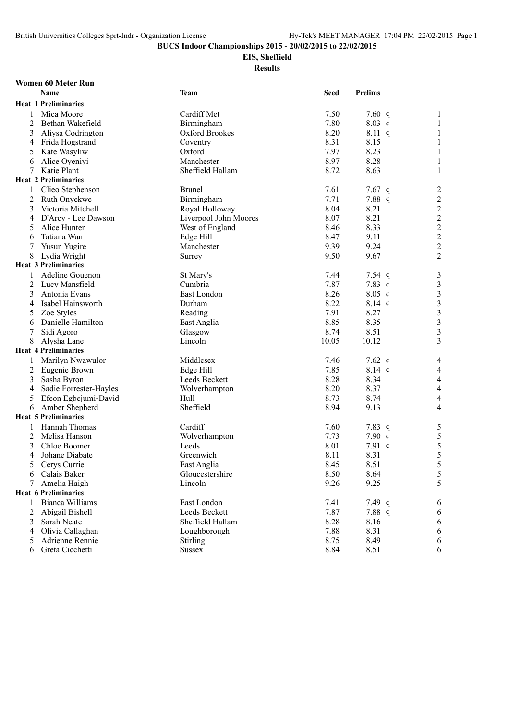## **EIS, Sheffield**

**Results**

#### **Women 60 Meter Run**

|                | Name                        | <b>Team</b>           | <b>Seed</b> | <b>Prelims</b> |                         |
|----------------|-----------------------------|-----------------------|-------------|----------------|-------------------------|
|                | <b>Heat 1 Preliminaries</b> |                       |             |                |                         |
| 1              | Mica Moore                  | Cardiff Met           | 7.50        | 7.60 $q$       | $\mathbf{1}$            |
| 2              | Bethan Wakefield            | Birmingham            | 7.80        | 8.03 q         | 1                       |
| 3              | Aliysa Codrington           | Oxford Brookes        | 8.20        | $8.11\ q$      | 1                       |
| 4              | Frida Hogstrand             | Coventry              | 8.31        | 8.15           | 1                       |
| 5              | Kate Wasyliw                | Oxford                | 7.97        | 8.23           | 1                       |
| 6              | Alice Oyeniyi               | Manchester            | 8.97        | 8.28           | 1                       |
| 7              | Katie Plant                 | Sheffield Hallam      | 8.72        | 8.63           | 1                       |
|                | <b>Heat 2 Preliminaries</b> |                       |             |                |                         |
|                | Clieo Stephenson            | <b>Brunel</b>         | 7.61        | 7.67 $q$       | 2                       |
| 2              | Ruth Onyekwe                | Birmingham            | 7.71        | 7.88 q         | $\overline{c}$          |
| 3              | Victoria Mitchell           | Royal Holloway        | 8.04        | 8.21           | $\overline{c}$          |
| 4              | D'Arcy - Lee Dawson         | Liverpool John Moores | 8.07        | 8.21           | $\overline{c}$          |
| 5              | Alice Hunter                | West of England       | 8.46        | 8.33           | $\overline{\mathbf{c}}$ |
| 6              | Tatiana Wan                 | Edge Hill             | 8.47        | 9.11           | $\overline{c}$          |
| 7              | Yusun Yugire                | Manchester            | 9.39        | 9.24           | $\overline{c}$          |
| 8              | Lydia Wright                | Surrey                | 9.50        | 9.67           | $\overline{2}$          |
|                | <b>Heat 3 Preliminaries</b> |                       |             |                |                         |
| 1              | Adeline Gouenon             | St Mary's             | 7.44        | 7.54 $q$       | $\mathfrak{Z}$          |
| 2              | Lucy Mansfield              | Cumbria               | 7.87        | 7.83 $q$       | $\mathfrak{Z}$          |
| 3              | Antonia Evans               | East London           | 8.26        | $8.05$ q       | $\mathfrak{Z}$          |
| 4              | Isabel Hainsworth           | Durham                | 8.22        | $8.14$ q       | $\mathfrak{Z}$          |
| 5              | Zoe Styles                  | Reading               | 7.91        | 8.27           | $\overline{\mathbf{3}}$ |
| 6              | Danielle Hamilton           | East Anglia           | 8.85        | 8.35           | $\overline{\mathbf{3}}$ |
| 7              | Sidi Agoro                  | Glasgow               | 8.74        | 8.51           | $\overline{\mathbf{3}}$ |
| 8              | Alysha Lane                 | Lincoln               | 10.05       | 10.12          | $\overline{3}$          |
|                | <b>Heat 4 Preliminaries</b> |                       |             |                |                         |
| 1              | Marilyn Nwawulor            | Middlesex             | 7.46        | 7.62 $q$       | 4                       |
| $\overline{c}$ | Eugenie Brown               | Edge Hill             | 7.85        | $8.14$ q       | 4                       |
| 3              | Sasha Byron                 | Leeds Beckett         | 8.28        | 8.34           | $\overline{4}$          |
| 4              | Sadie Forrester-Hayles      | Wolverhampton         | 8.20        | 8.37           | 4                       |
| 5              | Efeon Egbejumi-David        | Hull                  | 8.73        | 8.74           | $\overline{4}$          |
| 6              | Amber Shepherd              | Sheffield             | 8.94        | 9.13           | $\overline{4}$          |
|                | <b>Heat 5 Preliminaries</b> |                       |             |                |                         |
| 1              | Hannah Thomas               | Cardiff               | 7.60        | 7.83 $q$       | 5                       |
| 2              | Melisa Hanson               | Wolverhampton         | 7.73        | 7.90 $q$       | 5                       |
| 3              | Chloe Boomer                | Leeds                 | 8.01        | 7.91 q         | $\sqrt{5}$              |
| 4              | Johane Diabate              | Greenwich             | 8.11        | 8.31           | 5                       |
| 5              | Cerys Currie                | East Anglia           | 8.45        | 8.51           | 5                       |
|                | 6 Calais Baker              | Gloucestershire       | 8.50        | 8.64           | $\sqrt{5}$              |
|                | 7 Amelia Haigh              | Lincoln               | 9.26        | 9.25           | 5                       |
|                | <b>Heat 6 Preliminaries</b> |                       |             |                |                         |
|                | <b>Bianca Williams</b>      | East London           | 7.41        | 7.49 $q$       | 6                       |
| 2              | Abigail Bishell             | Leeds Beckett         | 7.87        | 7.88 q         | 6                       |
| 3              | Sarah Neate                 | Sheffield Hallam      | 8.28        | 8.16           | 6                       |
| 4              | Olivia Callaghan            | Loughborough          | 7.88        | 8.31           | 6                       |
| 5              | Adrienne Rennie             | Stirling              | 8.75        | 8.49           | 6                       |
| 6              | Greta Cicchetti             | <b>Sussex</b>         | 8.84        | 8.51           | 6                       |
|                |                             |                       |             |                |                         |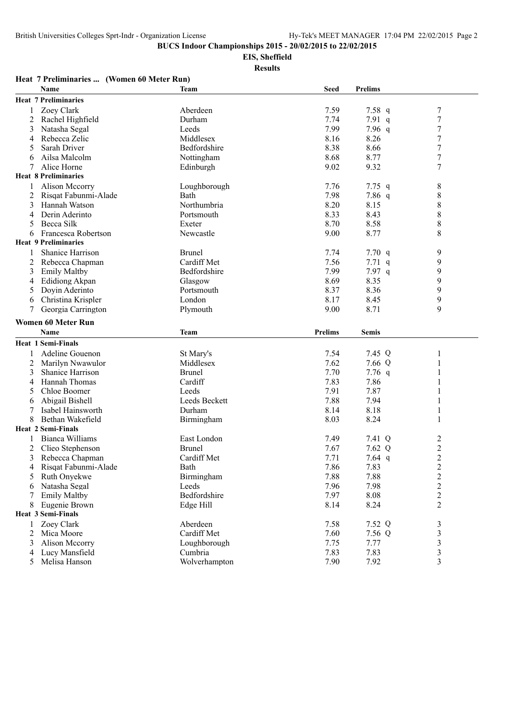**EIS, Sheffield**

**Results**

#### **Heat 7 Preliminaries ... (Women 60 Meter Run) Name Team Seed Prelims Heat 7 Preliminaries** 1 Zoey Clark **Aberdeen** Aberdeen 7.59 7.58 q 7 2 Rachel Highfield Durham 2 7.74 7.91 q 7<br>3 Natasha Segal 2 Leeds 2.99 7.96 q 7 3 Natasha Segal 2 Natasha Segal 2 Leeds 2.99 7.96 q 7<br>
3.16 8.26 7 Nebecca Zelic 2 Niddlesex 8.16 8.26 7 4 Rebecca Zelic Middlesex 8.16 8.26 7 5 Sarah Driver **Bedfordshire** 8.38 8.66 7 6 Ailsa Malcolm Nottingham 8.68 8.77 7 7 Alice Horne **Edinburgh** 8.02 9.32 7 **Heat 8 Preliminaries** 1 Alison Mccorry **1.** Loughborough 1.7.76 7.75 q 8 2 Risqat Fabunmi-Alade Bath 7.98 7.86 q 8<br>3 Hannah Watson Northumbria 8.20 8.15 8 3 Hannah Watson Northumbria 8.20 8.15 8 4 Derin Aderinto Portsmouth 8.33 8.43 8 5 Becca Silk **Exeter** 8.70 8.58 8 6 Francesca Robertson Newcastle 9.00 8.77 8 **Heat 9 Preliminaries** 1 Shanice Harrison Brunel Brunel 2.74 7.70 q 9 2 Rebecca Chapman Cardiff Met 7.56 7.71 q 9 3 Emily Maltby **Bedfordshire Bedfordshire** 7.99 7.97 q 9 4 Edidiong Akpan Glasgow 8.69 8.35 9 5 Doyin Aderinto Portsmouth 8.37 8.36 9 6 Christina Krispler London 8.17 8.45 9 7 Georgia Carrington Plymouth 9.00 8.71 9 **Women 60 Meter Run Name Team Prelims Semis Heat 1 Semi-Finals** 1 Adeline Gouenon St Mary's 31 St Mary's 2.54 7.45 Q 1 2 Marilyn Nwawulor Middlesex 7.62 7.66 Q 1 3 Shanice Harrison Brunel Brunel 7.70 7.76 q 1 4 Hannah Thomas Cardiff 2.83 7.86 1 5 Chloe Boomer Leeds 2.91 7.87 1 6 Abigail Bishell Leeds Beckett 7.88 7.94 1 7 Isabel Hainsworth Durham 8.14 8.18 1 8 Bethan Wakefield Birmingham 8.03 8.24 1 **Heat 2 Semi-Finals** 1 Bianca Williams East London 1.49 7.41 Q 2<br>2 Clieo Stephenson 1.62 O 2 2 Clieo Stephenson Brunel 1.67 7.62 Q 2 2<br>
3 Rebecca Chapman Cardiff Met 2 7.71 7.64 q 2 3 Rebecca Chapman Cardiff Met 7.71 7.64 q 2<br>
4 Risqat Fabunmi-Alade Bath 7.86 7.83 2 1 Risqat Fabunmi-Alade Bath Bath 7.86 7.83 2<br>
1 Ruth Onvekwe Birmingham 7.88 7.88 2 5 Ruth Onyekwe Birmingham 7.88 7.88 2 6 Natasha Segal Leeds 7.96 7.98 2 7 Emily Maltby 8 Eugenie Brown Edge Hill 8.14 8.24 2 **Heat 3 Semi-Finals** 1 Zoey Clark **Aberdeen** 1 2009 Clark 3 2.52 Q 3 2 Mica Moore **Cardiff Met** 7.60 7.56 Q 3 3 Alison Mccorry 2008 Loughborough 2.75 7.77 3 3 4 Lucy Mansfield Cumbria 7.83 7.83 3 5 Melisa Hanson Wolverhampton 7.90 7.92 3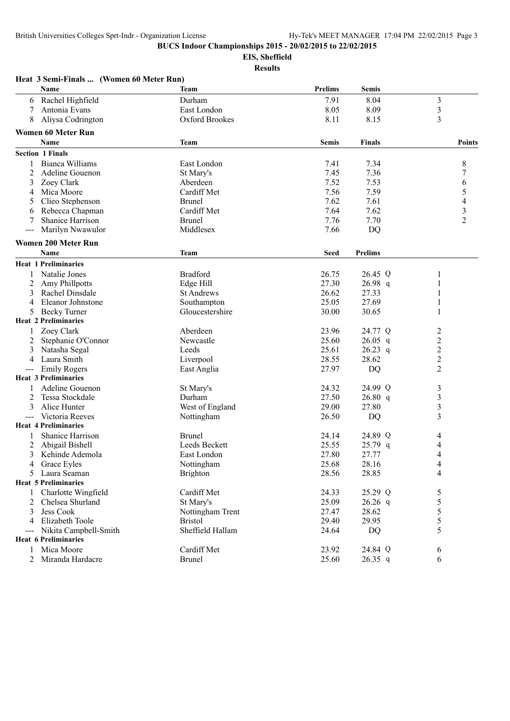**Heat 3 Semi-Finals ... (Women 60 Meter Run)**

**BUCS Indoor Championships 2015 - 20/02/2015 to 22/02/2015**

**EIS, Sheffield**

|       | Name                        | <b>Team</b>       | <b>Prelims</b> | <b>Semis</b>   |                |
|-------|-----------------------------|-------------------|----------------|----------------|----------------|
| 6     | Rachel Highfield            | Durham            | 7.91           | 8.04           | $\mathfrak{Z}$ |
| 7     | Antonia Evans               | East London       | 8.05           | 8.09           | 3              |
| 8     | Aliysa Codrington           | Oxford Brookes    | 8.11           | 8.15           | 3              |
|       | <b>Women 60 Meter Run</b>   |                   |                |                |                |
|       | <b>Name</b>                 | <b>Team</b>       | <b>Semis</b>   | <b>Finals</b>  | <b>Points</b>  |
|       | <b>Section 1 Finals</b>     |                   |                |                |                |
| 1     | Bianca Williams             | East London       | 7.41           | 7.34           | 8              |
| 2     | Adeline Gouenon             | St Mary's         | 7.45           | 7.36           | 7              |
| 3     | Zoey Clark                  | Aberdeen          | 7.52           | 7.53           | 6              |
| 4     | Mica Moore                  | Cardiff Met       | 7.56           | 7.59           | 5              |
| 5     | Clieo Stephenson            | <b>Brunel</b>     | 7.62           | 7.61           | 4              |
| 6     | Rebecca Chapman             | Cardiff Met       | 7.64           | 7.62           | $\mathfrak{Z}$ |
| 7     | Shanice Harrison            | <b>Brunel</b>     | 7.76           | 7.70           | $\overline{c}$ |
|       | Marilyn Nwawulor            | Middlesex         | 7.66           | DQ             |                |
|       | <b>Women 200 Meter Run</b>  |                   |                |                |                |
|       | <b>Name</b>                 | Team              | <b>Seed</b>    | <b>Prelims</b> |                |
|       | <b>Heat 1 Preliminaries</b> |                   |                |                |                |
|       | Natalie Jones               | <b>Bradford</b>   | 26.75          | 26.45 Q        | 1              |
| 2     | <b>Amy Phillpotts</b>       | Edge Hill         | 27.30          | 26.98 q        | 1              |
| 3     | Rachel Dinsdale             | <b>St Andrews</b> | 26.62          | 27.33          | 1              |
| 4     | Eleanor Johnstone           | Southampton       | 25.05          | 27.69          | 1              |
| 5     | <b>Becky Turner</b>         | Gloucestershire   | 30.00          | 30.65          | 1              |
|       | <b>Heat 2 Preliminaries</b> |                   |                |                |                |
|       | Zoey Clark                  | Aberdeen          | 23.96          | 24.77 Q        | 2              |
| 2     | Stephanie O'Connor          | Newcastle         | 25.60          | $26.05$ q      | $\overline{c}$ |
| 3     | Natasha Segal               | Leeds             | 25.61          | $26.23$ q      | $\overline{c}$ |
| 4     | Laura Smith                 | Liverpool         | 28.55          | 28.62          | $\overline{c}$ |
| ---   | <b>Emily Rogers</b>         | East Anglia       | 27.97          | DQ             | $\overline{2}$ |
|       | <b>Heat 3 Preliminaries</b> |                   |                |                |                |
|       | Adeline Gouenon             | St Mary's         | 24.32          | 24.99 Q        | 3              |
| 2     | Tessa Stockdale             | Durham            | 27.50          | 26.80 q        | $\mathfrak{Z}$ |
| 3     | Alice Hunter                | West of England   | 29.00          | 27.80          | 3              |
| $---$ | Victoria Reeves             | Nottingham        | 26.50          | DQ             | 3              |
|       | <b>Heat 4 Preliminaries</b> |                   |                |                |                |
|       | Shanice Harrison            | <b>Brunel</b>     | 24.14          | 24.89 Q        | 4              |
| 2     | Abigail Bishell             | Leeds Beckett     | 25.55          | $25.79$ q      | 4              |
| 3     | Kehinde Ademola             | East London       | 27.80          | 27.77          | 4              |
| 4     | Grace Eyles                 | Nottingham        | 25.68          | 28.16          | 4              |
|       | 5 Laura Seaman              | <b>Brighton</b>   | 28.56          | 28.85          | 4              |
|       | <b>Heat 5 Preliminaries</b> |                   |                |                |                |
| 1     | Charlotte Wingfield         | Cardiff Met       | 24.33          | 25.29 Q        | 5              |
| 2     | Chelsea Shurland            | St Mary's         | 25.09          | $26.26$ q      | 5              |
| 3     | Jess Cook                   | Nottingham Trent  | 27.47          | 28.62          | 5              |
| 4     | Elizabeth Toole             | <b>Bristol</b>    | 29.40          | 29.95          | 5              |
| $---$ | Nikita Campbell-Smith       | Sheffield Hallam  | 24.64          | DQ             | 5              |
|       | <b>Heat 6 Preliminaries</b> |                   |                |                |                |
| 1     | Mica Moore                  | Cardiff Met       | 23.92          | 24.84 Q        | 6              |
|       | 2 Miranda Hardacre          | <b>Brunel</b>     | 25.60          | $26.35$ q      | 6              |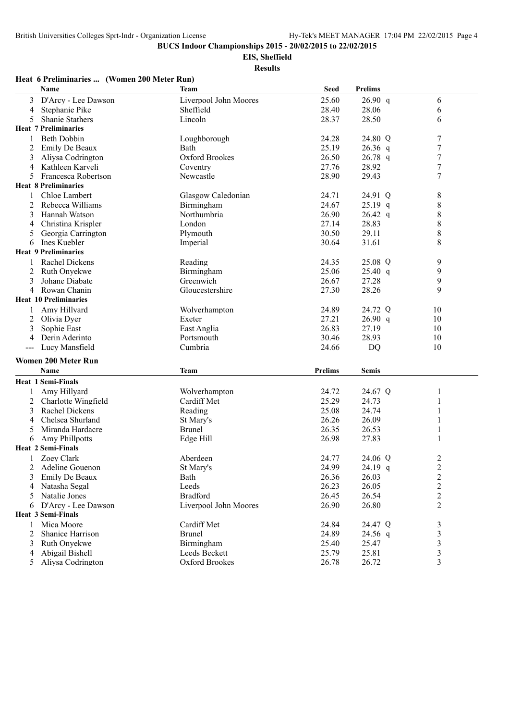**EIS, Sheffield**

**Results**

#### **Heat 6 Preliminaries ... (Women 200 Meter Run)**

|                | Name                             | <b>Team</b>           | <b>Seed</b>    | <b>Prelims</b>     |                         |
|----------------|----------------------------------|-----------------------|----------------|--------------------|-------------------------|
| 3              | D'Arcy - Lee Dawson              | Liverpool John Moores | 25.60          | 26.90 q            | 6                       |
| 4              | Stephanie Pike                   | Sheffield             | 28.40          | 28.06              | 6                       |
| 5              | <b>Shanie Stathers</b>           | Lincoln               | 28.37          | 28.50              | 6                       |
|                | <b>Heat 7 Preliminaries</b>      |                       |                |                    |                         |
| 1              | <b>Beth Dobbin</b>               | Loughborough          | 24.28          | 24.80 Q            | 7                       |
| $\overline{c}$ | Emily De Beaux                   | Bath                  | 25.19          | $26.36$ q          | $\boldsymbol{7}$        |
| 3              | Aliysa Codrington                | Oxford Brookes        | 26.50          | $26.78$ q          | 7                       |
| $\overline{4}$ | Kathleen Karveli                 | Coventry              | 27.76          | 28.92              | $\boldsymbol{7}$        |
| 5              | Francesca Robertson              | Newcastle             | 28.90          | 29.43              | $\boldsymbol{7}$        |
|                | <b>Heat 8 Preliminaries</b>      |                       |                |                    |                         |
| 1              | Chloe Lambert                    | Glasgow Caledonian    | 24.71          | 24.91 Q            | 8                       |
| 2              | Rebecca Williams                 | Birmingham            | 24.67          | $25.19$ q          | 8                       |
| 3              | Hannah Watson                    | Northumbria           | 26.90          | $26.42$ q          | 8                       |
| 4              | Christina Krispler               | London                | 27.14          | 28.83              | 8                       |
| 5              | Georgia Carrington               | Plymouth              | 30.50          | 29.11              | 8                       |
| 6              | Ines Kuebler                     | Imperial              | 30.64          | 31.61              | 8                       |
|                | <b>Heat 9 Preliminaries</b>      |                       |                |                    |                         |
| 1              | Rachel Dickens                   | Reading               | 24.35          | 25.08 Q            | 9                       |
| 2              | Ruth Onyekwe                     | Birmingham            | 25.06          | 25.40 q            | 9                       |
| 3              | Johane Diabate                   | Greenwich             | 26.67          | 27.28              | 9                       |
| 4              | Rowan Chanin                     | Gloucestershire       | 27.30          | 28.26              | 9                       |
|                | <b>Heat 10 Preliminaries</b>     |                       |                |                    |                         |
|                | Amy Hillyard                     | Wolverhampton         | 24.89          | 24.72 Q            | 10                      |
| 2              | Olivia Dyer                      | Exeter                | 27.21          | 26.90 q            | 10                      |
| 3              | Sophie East                      | East Anglia           | 26.83          | 27.19              | 10                      |
| 4              | Derin Aderinto                   | Portsmouth            | 30.46          | 28.93              | 10                      |
| $--$           | Lucy Mansfield                   | Cumbria               | 24.66          | DQ                 | 10                      |
|                | <b>Women 200 Meter Run</b>       |                       |                |                    |                         |
|                | Name                             | <b>Team</b>           | <b>Prelims</b> | <b>Semis</b>       |                         |
|                | <b>Heat 1 Semi-Finals</b>        |                       |                |                    |                         |
|                | Amy Hillyard                     | Wolverhampton         | 24.72          | 24.67 Q            | $\mathbf{1}$            |
| 2              | Charlotte Wingfield              | Cardiff Met           | 25.29          | 24.73              | 1                       |
| 3              | Rachel Dickens                   | Reading               | 25.08          | 24.74              | 1                       |
| 4              | Chelsea Shurland                 | St Mary's             | 26.26          | 26.09              | 1                       |
|                | Miranda Hardacre                 | <b>Brunel</b>         | 26.35          | 26.53              | 1                       |
| 6              | Amy Phillpotts                   | Edge Hill             | 26.98          | 27.83              | 1                       |
|                | <b>Heat 2 Semi-Finals</b>        |                       |                |                    |                         |
|                | Zoey Clark                       | Aberdeen              | 24.77          | 24.06 Q            | $\overline{c}$          |
|                | 2 Adeline Gouenon                | St Mary's             | 24.99          | 24.19 q            | $\overline{\mathbf{c}}$ |
| 3              | Emily De Beaux                   |                       |                | 26.03              | 2                       |
| 4              | Natasha Segal                    | Bath<br>Leeds         | 26.36<br>26.23 | 26.05              | 2                       |
| 5              | Natalie Jones                    | <b>Bradford</b>       | 26.45          | 26.54              | 2                       |
|                | D'Arcy - Lee Dawson              | Liverpool John Moores | 26.90          | 26.80              | $\overline{c}$          |
| 6              | Heat 3 Semi-Finals               |                       |                |                    |                         |
| 1              | Mica Moore                       | Cardiff Met           | 24.84          | 24.47 Q            |                         |
| 2              |                                  | <b>Brunel</b>         |                |                    | 3                       |
|                | Shanice Harrison<br>Ruth Onyekwe | Birmingham            | 24.89<br>25.40 | $24.56$ q<br>25.47 | 3<br>3                  |
| 3              | Abigail Bishell                  | Leeds Beckett         | 25.79          | 25.81              |                         |
| 4              | Aliysa Codrington                | <b>Oxford Brookes</b> | 26.78          | 26.72              | $\mathfrak{Z}$<br>3     |
| 5              |                                  |                       |                |                    |                         |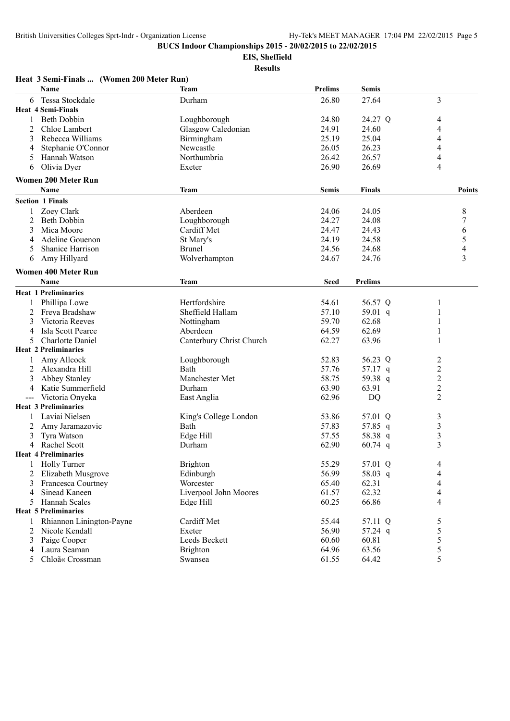**EIS, Sheffield**

| Heat 3 Semi-Finals  (Women 200 Meter Run)          |                          |                |                  |                         |
|----------------------------------------------------|--------------------------|----------------|------------------|-------------------------|
| Name                                               | Team                     | <b>Prelims</b> | <b>Semis</b>     |                         |
| Tessa Stockdale<br>6                               | Durham                   | 26.80          | 27.64            | 3                       |
| <b>Heat 4 Semi-Finals</b>                          |                          |                |                  |                         |
| <b>Beth Dobbin</b>                                 | Loughborough             | 24.80          | 24.27 Q          | 4                       |
| Chloe Lambert<br>2                                 | Glasgow Caledonian       | 24.91          | 24.60            | 4                       |
| 3<br>Rebecca Williams                              | Birmingham               | 25.19          | 25.04            | 4                       |
| Stephanie O'Connor<br>4                            | Newcastle                | 26.05          | 26.23            | 4                       |
| Hannah Watson                                      | Northumbria              | 26.42          | 26.57            | 4                       |
| Olivia Dyer<br>6                                   | Exeter                   | 26.90          | 26.69            | 4                       |
| <b>Women 200 Meter Run</b>                         |                          |                |                  |                         |
| Name                                               | <b>Team</b>              | <b>Semis</b>   | <b>Finals</b>    | <b>Points</b>           |
| <b>Section 1 Finals</b>                            |                          |                |                  |                         |
| Zoey Clark                                         | Aberdeen                 | 24.06          | 24.05            | 8                       |
| 2<br><b>Beth Dobbin</b>                            | Loughborough             | 24.27          | 24.08            | 7                       |
| Mica Moore<br>3                                    | Cardiff Met              | 24.47          | 24.43            | 6                       |
| Adeline Gouenon<br>4                               | St Mary's                | 24.19          | 24.58            | 5                       |
| <b>Shanice Harrison</b><br>5                       | <b>Brunel</b>            | 24.56          | 24.68            | $\overline{4}$          |
| Amy Hillyard<br>6                                  | Wolverhampton            | 24.67          | 24.76            | $\overline{\mathbf{3}}$ |
| <b>Women 400 Meter Run</b>                         |                          |                |                  |                         |
| <b>Name</b>                                        | <b>Team</b>              | <b>Seed</b>    | <b>Prelims</b>   |                         |
| <b>Heat 1 Preliminaries</b>                        |                          |                |                  |                         |
| Phillipa Lowe                                      | Hertfordshire            | 54.61          | 56.57 Q          | 1                       |
| 2<br>Freya Bradshaw                                | Sheffield Hallam         | 57.10          | 59.01 $q$        | 1                       |
| Victoria Reeves<br>3                               | Nottingham               | 59.70          | 62.68            | 1                       |
| Isla Scott Pearce<br>4                             | Aberdeen                 | 64.59          | 62.69            | 1                       |
| <b>Charlotte Daniel</b><br>5                       | Canterbury Christ Church | 62.27          | 63.96            | 1                       |
| <b>Heat 2 Preliminaries</b>                        |                          |                |                  |                         |
| Amy Allcock                                        | Loughborough             | 52.83          | 56.23 Q          |                         |
| 2<br>Alexandra Hill                                | Bath                     | 57.76          | 57.17 $q$        | 2<br>$\overline{c}$     |
|                                                    | Manchester Met           | 58.75          |                  | $\overline{c}$          |
| <b>Abbey Stanley</b><br>Katie Summerfield          | Durham                   | 63.90          | 59.38 q<br>63.91 | $\overline{2}$          |
| 4<br>Victoria Onyeka                               |                          | 62.96          | DQ               | $\overline{2}$          |
| $\qquad \qquad - -$<br><b>Heat 3 Preliminaries</b> | East Anglia              |                |                  |                         |
| Laviai Nielsen                                     |                          | 53.86          | 57.01 Q          |                         |
| 1                                                  | King's College London    |                |                  | 3                       |
| 2<br>Amy Jaramazovic                               | Bath                     | 57.83          | 57.85 q          | 3                       |
| Tyra Watson<br>3<br>Rachel Scott                   | Edge Hill                | 57.55          | 58.38 q          | $\mathfrak{Z}$<br>3     |
| 4<br><b>Heat 4 Preliminaries</b>                   | Durham                   | 62.90          | $60.74$ q        |                         |
|                                                    |                          |                |                  |                         |
| <b>Holly Turner</b>                                | <b>Brighton</b>          | 55.29          | 57.01 Q          | 4                       |
| Elizabeth Musgrove<br>2                            | Edinburgh                | 56.99          | 58.03 q          | 4                       |
| Francesca Courtney<br>3                            | Worcester                | 65.40          | 62.31            | 4                       |
| Sinead Kaneen<br>4                                 | Liverpool John Moores    | 61.57          | 62.32            | 4                       |
| <b>Hannah Scales</b><br>5                          | Edge Hill                | 60.25          | 66.86            | 4                       |
| <b>Heat 5 Preliminaries</b>                        |                          |                |                  |                         |
| Rhiannon Linington-Payne                           | Cardiff Met              | 55.44          | 57.11 Q          | 5                       |
| 2<br>Nicole Kendall                                | Exeter                   | 56.90          | 57.24 q          | 5                       |
| 3<br>Paige Cooper                                  | Leeds Beckett            | 60.60          | 60.81            | 5                       |
| Laura Seaman<br>4                                  | <b>Brighton</b>          | 64.96          | 63.56            | 5                       |
| Chloã« Crossman<br>5                               | Swansea                  | 61.55          | 64.42            | 5                       |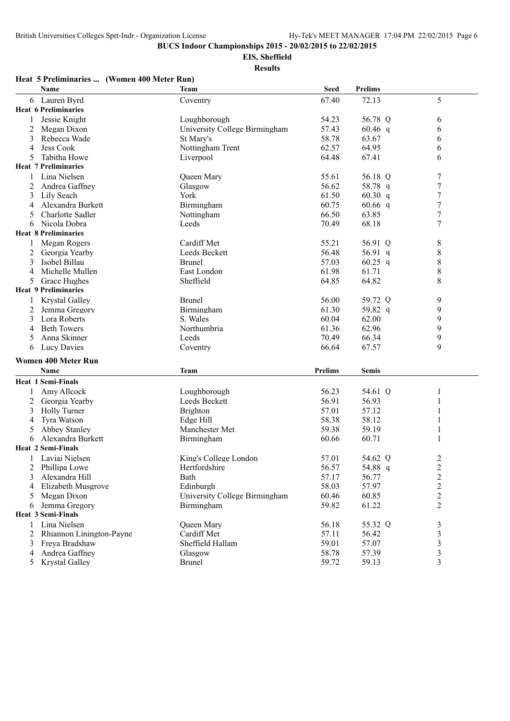**EIS, Sheffield**

**Results**

## **Heat 5 Preliminaries ... (Women 400 Meter Run)**

|   | Name                        | <b>Team</b>                   | <b>Seed</b>    | <b>Prelims</b> |                         |
|---|-----------------------------|-------------------------------|----------------|----------------|-------------------------|
| 6 | Lauren Byrd                 | Coventry                      | 67.40          | 72.13          | 5                       |
|   | <b>Heat 6 Preliminaries</b> |                               |                |                |                         |
| 1 | Jessie Knight               | Loughborough                  | 54.23          | 56.78 Q        | 6                       |
| 2 | Megan Dixon                 | University College Birmingham | 57.43          | $60.46$ q      | 6                       |
| 3 | Rebecca Wade                | St Mary's                     | 58.78          | 63.67          | 6                       |
| 4 | Jess Cook                   | Nottingham Trent              | 62.57          | 64.95          | 6                       |
| 5 | Tabitha Howe                | Liverpool                     | 64.48          | 67.41          | 6                       |
|   | <b>Heat 7 Preliminaries</b> |                               |                |                |                         |
| 1 | Lina Nielsen                | Queen Mary                    | 55.61          | 56.18 Q        | 7                       |
| 2 | Andrea Gaffney              | Glasgow                       | 56.62          | 58.78 q        | $\boldsymbol{7}$        |
| 3 | Lily Seach                  | York                          | 61.50          | $60.30$ q      | $\tau$                  |
| 4 | Alexandra Burkett           | Birmingham                    | 60.75          | $60.66$ q      | 7                       |
| 5 | Charlotte Sadler            | Nottingham                    | 66.50          | 63.85          | $\tau$                  |
| 6 | Nicola Dobra                | Leeds                         | 70.49          | 68.18          | $\tau$                  |
|   | <b>Heat 8 Preliminaries</b> |                               |                |                |                         |
| 1 | Megan Rogers                | Cardiff Met                   | 55.21          | 56.91 Q        | 8                       |
| 2 | Georgia Yearby              | Leeds Beckett                 | 56.48          | 56.91 q        | $\,$ $\,$               |
| 3 | Isobel Billau               | <b>Brunel</b>                 | 57.03          | 60.25 q        | $\,$ 8 $\,$             |
| 4 | Michelle Mullen             | East London                   | 61.98          | 61.71          | $\,8\,$                 |
| 5 | Grace Hughes                | Sheffield                     | 64.85          | 64.82          | $\,8\,$                 |
|   | <b>Heat 9 Preliminaries</b> |                               |                |                |                         |
|   | <b>Krystal Galley</b>       | <b>Brunel</b>                 | 56.00          | 59.72 Q        | 9                       |
| 2 | Jemma Gregory               | Birmingham                    | 61.30          | 59.82 q        | 9                       |
| 3 | Lora Roberts                | S. Wales                      | 60.04          | 62.00          | 9                       |
| 4 | <b>Beth Towers</b>          | Northumbria                   | 61.36          | 62.96          | $\boldsymbol{9}$        |
| 5 | Anna Skinner                | Leeds                         | 70.49          | 66.34          | $\boldsymbol{9}$        |
| 6 | Lucy Davies                 | Coventry                      | 66.64          | 67.57          | 9                       |
|   |                             |                               |                |                |                         |
|   | <b>Women 400 Meter Run</b>  |                               |                |                |                         |
|   | Name                        | <b>Team</b>                   | <b>Prelims</b> | <b>Semis</b>   |                         |
|   | <b>Heat 1 Semi-Finals</b>   |                               |                |                |                         |
| 1 | Amy Allcock                 | Loughborough                  | 56.23          | 54.61 Q        | 1                       |
| 2 | Georgia Yearby              | Leeds Beckett                 | 56.91          | 56.93          |                         |
| 3 | <b>Holly Turner</b>         | <b>Brighton</b>               | 57.01          | 57.12          |                         |
| 4 | Tyra Watson                 | Edge Hill                     | 58.38          | 58.12          | 1                       |
| 5 | <b>Abbey Stanley</b>        | Manchester Met                | 59.38          | 59.19          | 1                       |
| 6 | Alexandra Burkett           | Birmingham                    | 60.66          | 60.71          | 1                       |
|   | <b>Heat 2 Semi-Finals</b>   |                               |                |                |                         |
|   | Laviai Nielsen              | King's College London         | 57.01          | 54.62 Q        | $\overline{c}$          |
| 2 | Phillipa Lowe               | Hertfordshire                 | 56.57          | 54.88 q        | $\overline{2}$          |
|   | Alexandra Hill              | Bath                          | 57.17          | 56.77          | $\overline{\mathbf{c}}$ |
| 4 | Elizabeth Musgrove          | Edinburgh                     | 58.03          | 57.97          | $\overline{2}$          |
| 5 | Megan Dixon                 | University College Birmingham | 60.46          | 60.85          | $\overline{c}$          |
| 6 | Jemma Gregory               | Birmingham                    | 59.82          | 61.22          | 2                       |
|   | <b>Heat 3 Semi-Finals</b>   |                               |                |                |                         |
| 1 | Lina Nielsen                | Queen Mary                    | 56.18          | 55.32 Q        | 3                       |
|   | 2 Rhiannon Linington-Payne  | Cardiff Met                   | 57.11          | 56.42          | 3                       |
| 3 | Freya Bradshaw              | Sheffield Hallam              | 59.01          | 57.07          | 3                       |
| 4 | Andrea Gaffney              | Glasgow                       | 58.78          | 57.39          | $\mathfrak{Z}$          |
|   | 5 Krystal Galley            | <b>Brunel</b>                 | 59.72          | 59.13          | 3                       |
|   |                             |                               |                |                |                         |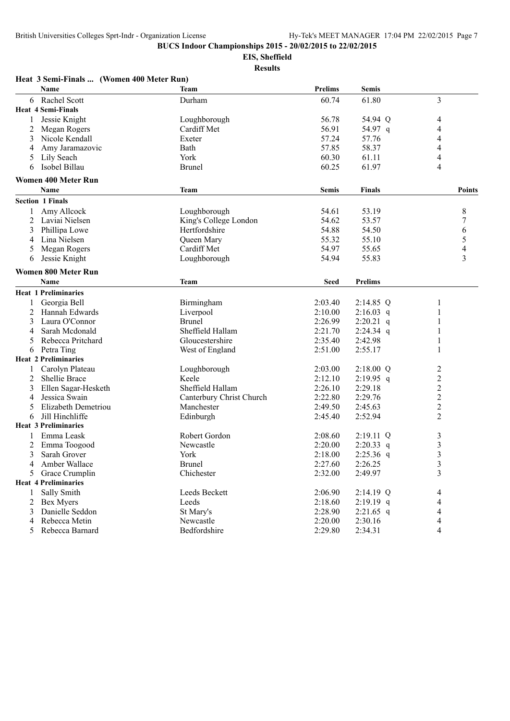**EIS, Sheffield**

|                | Heat 3 Semi-Finals  (Women 400 Meter Run) |                          |                |                |                          |
|----------------|-------------------------------------------|--------------------------|----------------|----------------|--------------------------|
|                | Name                                      | Team                     | <b>Prelims</b> | <b>Semis</b>   |                          |
| 6              | Rachel Scott                              | Durham                   | 60.74          | 61.80          | 3                        |
|                | <b>Heat 4 Semi-Finals</b>                 |                          |                |                |                          |
| 1              | Jessie Knight                             | Loughborough             | 56.78          | 54.94 Q        | 4                        |
| $\overline{2}$ | Megan Rogers                              | Cardiff Met              | 56.91          | 54.97 q        | 4                        |
| 3              | Nicole Kendall                            | Exeter                   | 57.24          | 57.76          | 4                        |
| 4              | Amy Jaramazovic                           | Bath                     | 57.85          | 58.37          | 4                        |
|                | Lily Seach                                | York                     | 60.30          | 61.11          | 4                        |
| 6              | Isobel Billau                             | <b>Brunel</b>            | 60.25          | 61.97          | 4                        |
|                | <b>Women 400 Meter Run</b>                |                          |                |                |                          |
|                | <b>Name</b>                               | <b>Team</b>              | <b>Semis</b>   | <b>Finals</b>  | Points                   |
|                | <b>Section 1 Finals</b>                   |                          |                |                |                          |
| 1              | Amy Allcock                               | Loughborough             | 54.61          | 53.19          | 8                        |
| 2              | Laviai Nielsen                            | King's College London    | 54.62          | 53.57          | 7                        |
| 3              | Phillipa Lowe                             | Hertfordshire            | 54.88          | 54.50          | 6                        |
| 4              | Lina Nielsen                              | Queen Mary               | 55.32          | 55.10          | 5                        |
| 5              | Megan Rogers                              | Cardiff Met              | 54.97          | 55.65          | $\overline{4}$           |
| 6              | Jessie Knight                             | Loughborough             | 54.94          | 55.83          | $\overline{\mathbf{3}}$  |
|                | Women 800 Meter Run                       |                          |                |                |                          |
|                | <b>Name</b>                               | <b>Team</b>              | <b>Seed</b>    | <b>Prelims</b> |                          |
|                | <b>Heat 1 Preliminaries</b>               |                          |                |                |                          |
| 1              | Georgia Bell                              | Birmingham               | 2:03.40        | 2:14.85 Q      |                          |
|                |                                           |                          | 2:10.00        |                |                          |
| 2              | Hannah Edwards<br>Laura O'Connor          | Liverpool                | 2:26.99        | $2:16.03$ q    |                          |
| 3              |                                           | <b>Brunel</b>            |                | $2:20.21$ q    |                          |
| 4              | Sarah Mcdonald                            | Sheffield Hallam         | 2:21.70        | 2:24.34 q      |                          |
| 5              | Rebecca Pritchard                         | Gloucestershire          | 2:35.40        | 2:42.98        |                          |
| 6              | Petra Ting<br><b>Heat 2 Preliminaries</b> | West of England          | 2:51.00        | 2:55.17        | 1                        |
|                |                                           |                          |                |                |                          |
| 1              | Carolyn Plateau                           | Loughborough             | 2:03.00        | 2:18.00 Q      | 2                        |
| 2              | <b>Shellie Brace</b>                      | Keele                    | 2:12.10        | 2:19.95 q      | $\boldsymbol{2}$         |
| 3              | Ellen Sagar-Hesketh                       | Sheffield Hallam         | 2:26.10        | 2:29.18        | $\sqrt{2}$               |
| 4              | Jessica Swain                             | Canterbury Christ Church | 2:22.80        | 2:29.76        | $\overline{c}$           |
| 5              | Elizabeth Demetriou                       | Manchester               | 2:49.50        | 2:45.63        | $\overline{c}$           |
| 6              | Jill Hinchliffe                           | Edinburgh                | 2:45.40        | 2:52.94        | $\overline{2}$           |
|                | <b>Heat 3 Preliminaries</b>               |                          |                |                |                          |
| 1              | Emma Leask                                | Robert Gordon            | 2:08.60        | $2:19.11$ Q    | $\mathfrak{Z}$           |
| 2              | Emma Toogood                              | Newcastle                | 2:20.00        | $2:20.33$ q    | 3                        |
| 3              | Sarah Grover                              | York                     | 2:18.00        | $2:25.36$ q    | 3                        |
| 4              | Amber Wallace                             | <b>Brunel</b>            | 2:27.60        | 2:26.25        | 3                        |
| 5.             | Grace Crumplin                            | Chichester               | 2:32.00        | 2:49.97        | 3                        |
|                | <b>Heat 4 Preliminaries</b>               |                          |                |                |                          |
| 1              | Sally Smith                               | Leeds Beckett            | 2:06.90        | 2:14.19 Q      | 4                        |
| 2              | <b>Bex Myers</b>                          | Leeds                    | 2:18.60        | $2:19.19$ q    | 4                        |
| 3              | Danielle Seddon                           | St Mary's                | 2:28.90        | $2:21.65$ q    | $\overline{\mathcal{A}}$ |
| 4              | Rebecca Metin                             | Newcastle                | 2:20.00        | 2:30.16        | 4                        |
|                | 5 Rebecca Barnard                         | Bedfordshire             | 2:29.80        | 2:34.31        | 4                        |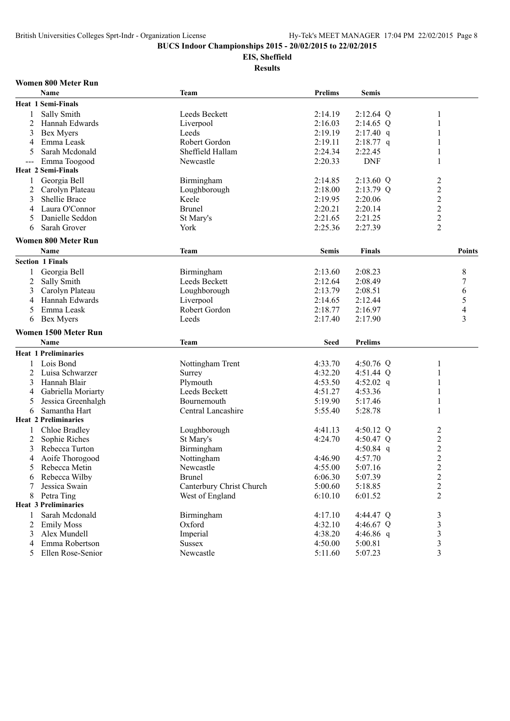# **EIS, Sheffield**

**Results**

#### **Women 800 Meter Run**

|                | <b>Name</b>                 | <b>Team</b>              | <b>Prelims</b> | <b>Semis</b>   |                          |
|----------------|-----------------------------|--------------------------|----------------|----------------|--------------------------|
|                | <b>Heat 1 Semi-Finals</b>   |                          |                |                |                          |
| 1              | Sally Smith                 | Leeds Beckett            | 2:14.19        | $2:12.64$ Q    | $\mathbf{1}$             |
| $\overline{2}$ | Hannah Edwards              | Liverpool                | 2:16.03        | $2:14.65$ Q    | 1                        |
| 3              | Bex Myers                   | Leeds                    | 2:19.19        | $2:17.40$ q    | 1                        |
| 4              | Emma Leask                  | Robert Gordon            | 2:19.11        | $2:18.77$ q    |                          |
| 5              | Sarah Mcdonald              | Sheffield Hallam         | 2:24.34        | 2:22.45        | 1                        |
| ---            | Emma Toogood                | Newcastle                | 2:20.33        | <b>DNF</b>     | $\mathbf{1}$             |
|                | <b>Heat 2 Semi-Finals</b>   |                          |                |                |                          |
| 1              | Georgia Bell                | Birmingham               | 2:14.85        | 2:13.60 Q      | $\overline{c}$           |
| 2              | Carolyn Plateau             | Loughborough             | 2:18.00        | 2:13.79 Q      | $\overline{c}$           |
| 3              | Shellie Brace               | Keele                    | 2:19.95        | 2:20.06        | $\overline{c}$           |
| 4              | Laura O'Connor              | <b>Brunel</b>            | 2:20.21        | 2:20.14        | $\overline{c}$           |
| 5              | Danielle Seddon             | St Mary's                | 2:21.65        | 2:21.25        | $\overline{c}$           |
| 6              | Sarah Grover                | York                     | 2:25.36        | 2:27.39        | $\overline{2}$           |
|                |                             |                          |                |                |                          |
|                | Women 800 Meter Run         |                          |                |                |                          |
|                | Name                        | Team                     | <b>Semis</b>   | <b>Finals</b>  | <b>Points</b>            |
|                | <b>Section 1 Finals</b>     |                          |                |                |                          |
| 1              | Georgia Bell                | Birmingham               | 2:13.60        | 2:08.23        | 8                        |
| 2              | Sally Smith                 | Leeds Beckett            | 2:12.64        | 2:08.49        | 7                        |
| 3              | Carolyn Plateau             | Loughborough             | 2:13.79        | 2:08.51        | 6                        |
| 4              | Hannah Edwards              | Liverpool                | 2:14.65        | 2:12.44        | 5                        |
| 5              | Emma Leask                  | Robert Gordon            | 2:18.77        | 2:16.97        | $\overline{\mathcal{L}}$ |
| 6              | Bex Myers                   | Leeds                    | 2:17.40        | 2:17.90        | 3                        |
|                | Women 1500 Meter Run        |                          |                |                |                          |
|                | <b>Name</b>                 | Team                     | <b>Seed</b>    | <b>Prelims</b> |                          |
|                |                             |                          |                |                |                          |
|                | <b>Heat 1 Preliminaries</b> |                          |                |                |                          |
| 1              | Lois Bond                   | Nottingham Trent         | 4:33.70        | 4:50.76 Q      | 1                        |
| 2              | Luisa Schwarzer             | Surrey                   | 4:32.20        | 4:51.44 Q      | 1                        |
| 3              | Hannah Blair                | Plymouth                 | 4:53.50        | 4:52.02 q      | 1                        |
| 4              | Gabriella Moriarty          | Leeds Beckett            | 4:51.27        | 4:53.36        | 1                        |
| 5              | Jessica Greenhalgh          | Bournemouth              | 5:19.90        | 5:17.46        | 1                        |
| 6              | Samantha Hart               | Central Lancashire       | 5:55.40        | 5:28.78        | 1                        |
|                | <b>Heat 2 Preliminaries</b> |                          |                |                |                          |
| 1              | Chloe Bradley               | Loughborough             | 4:41.13        | 4:50.12 Q      | 2                        |
| 2              | Sophie Riches               | St Mary's                | 4:24.70        | 4:50.47 Q      | $\overline{c}$           |
| 3              | Rebecca Turton              | Birmingham               |                | 4:50.84 q      | $\overline{c}$           |
| 4              | Aoife Thorogood             | Nottingham               | 4:46.90        | 4:57.70        | $\overline{c}$           |
| 5              | Rebecca Metin               | Newcastle                | 4:55.00        | 5:07.16        | $\overline{c}$           |
| 6              | Rebecca Wilby               | <b>Brunel</b>            | 6:06.30        | 5:07.39        | $\overline{c}$           |
|                | Jessica Swain               | Canterbury Christ Church | 5:00.60        | 5:18.85        | $\overline{c}$           |
| 8              | Petra Ting                  | West of England          | 6:10.10        | 6:01.52        | $\overline{c}$           |
|                | <b>Heat 3 Preliminaries</b> |                          |                |                |                          |
| 1              | Sarah Mcdonald              | Birmingham               | 4:17.10        | 4:44.47 Q      | 3                        |
| 2              | <b>Emily Moss</b>           | Oxford                   | 4:32.10        | 4:46.67 $Q$    | $\mathfrak{Z}$           |
| 3              | Alex Mundell                | Imperial                 | 4:38.20        | 4:46.86 q      | 3                        |
| 4              | Emma Robertson              | <b>Sussex</b>            | 4:50.00        | 5:00.81        | $\mathfrak{Z}$           |
| 5              | Ellen Rose-Senior           | Newcastle                | 5:11.60        | 5:07.23        | 3                        |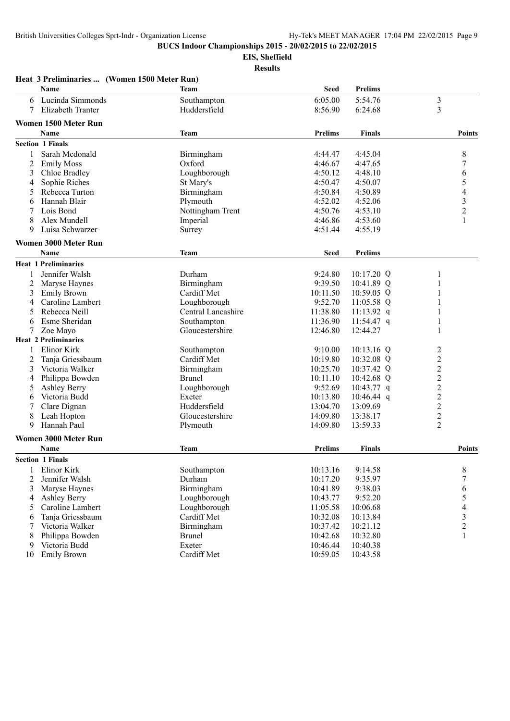**EIS, Sheffield**

|                | Heat 3 Preliminaries  (Women 1500 Meter Run) |                    |                |                |                          |
|----------------|----------------------------------------------|--------------------|----------------|----------------|--------------------------|
|                | Name                                         | Team               | <b>Seed</b>    | <b>Prelims</b> |                          |
| 6              | Lucinda Simmonds                             | Southampton        | 6:05.00        | 5:54.76        | $\mathfrak{Z}$           |
| 7              | Elizabeth Tranter                            | Huddersfield       | 8:56.90        | 6:24.68        | 3                        |
|                | Women 1500 Meter Run                         |                    |                |                |                          |
|                | Name                                         | <b>Team</b>        | <b>Prelims</b> | <b>Finals</b>  | <b>Points</b>            |
|                | <b>Section 1 Finals</b>                      |                    |                |                |                          |
|                |                                              |                    |                |                |                          |
| 1              | Sarah Mcdonald                               | Birmingham         | 4:44.47        | 4:45.04        | 8                        |
| 2              | <b>Emily Moss</b>                            | Oxford             | 4:46.67        | 4:47.65        | 7                        |
| 3              | Chloe Bradley                                | Loughborough       | 4:50.12        | 4:48.10        | 6                        |
| 4              | Sophie Riches                                | St Mary's          | 4:50.47        | 4:50.07        | 5                        |
| 5              | Rebecca Turton                               | Birmingham         | 4:50.84        | 4:50.89        | $\overline{\mathcal{A}}$ |
| 6              | Hannah Blair                                 | Plymouth           | 4:52.02        | 4:52.06        | $\mathfrak{Z}$           |
| 7              | Lois Bond                                    | Nottingham Trent   | 4:50.76        | 4:53.10        | $\overline{c}$           |
| 8              | Alex Mundell                                 | Imperial           | 4:46.86        | 4:53.60        | 1                        |
| 9              | Luisa Schwarzer                              | Surrey             | 4:51.44        | 4:55.19        |                          |
|                | Women 3000 Meter Run                         |                    |                |                |                          |
|                | Name                                         | <b>Team</b>        | <b>Seed</b>    | <b>Prelims</b> |                          |
|                | <b>Heat 1 Preliminaries</b>                  |                    |                |                |                          |
| 1              | Jennifer Walsh                               | Durham             | 9:24.80        | 10:17.20 Q     | 1                        |
| $\overline{2}$ | Maryse Haynes                                | Birmingham         | 9:39.50        | 10:41.89 Q     | 1                        |
| 3              | <b>Emily Brown</b>                           | Cardiff Met        | 10:11.50       | 10:59.05 Q     |                          |
| 4              | Caroline Lambert                             | Loughborough       | 9:52.70        | 11:05.58 Q     |                          |
| 5              | Rebecca Neill                                | Central Lancashire | 11:38.80       | $11:13.92$ q   | 1                        |
| 6              | Esme Sheridan                                | Southampton        | 11:36.90       | 11:54.47 q     | 1                        |
| 7              | Zoe Mayo                                     | Gloucestershire    | 12:46.80       | 12:44.27       | 1                        |
|                | <b>Heat 2 Preliminaries</b>                  |                    |                |                |                          |
| 1              | Elinor Kirk                                  | Southampton        | 9:10.00        | $10:13.16$ Q   | $\overline{\mathbf{c}}$  |
| $\overline{2}$ | Tanja Griessbaum                             | Cardiff Met        | 10:19.80       | 10:32.08 Q     | $\overline{c}$           |
| 3              | Victoria Walker                              | Birmingham         | 10:25.70       | 10:37.42 Q     | $\overline{c}$           |
| 4              | Philippa Bowden                              | <b>Brunel</b>      | 10:11.10       | 10:42.68 Q     | $\overline{c}$           |
| 5              | <b>Ashley Berry</b>                          | Loughborough       | 9:52.69        | 10:43.77 q     | $\overline{c}$           |
| 6              | Victoria Budd                                | Exeter             | 10:13.80       | $10:46.44$ q   | $\overline{c}$           |
| 7              | Clare Dignan                                 | Huddersfield       | 13:04.70       | 13:09.69       | $\overline{c}$           |
| 8              | Leah Hopton                                  | Gloucestershire    | 14:09.80       | 13:38.17       | $\overline{c}$           |
| 9              | Hannah Paul                                  | Plymouth           | 14:09.80       | 13:59.33       | $\overline{c}$           |
|                |                                              |                    |                |                |                          |
|                | Women 3000 Meter Run                         |                    |                |                |                          |
|                | Name                                         | <b>Team</b>        | <b>Prelims</b> | <b>Finals</b>  | <b>Points</b>            |
|                | <b>Section 1 Finals</b>                      |                    |                |                |                          |
| 1              | Elinor Kirk                                  | Southampton        | 10:13.16       | 9:14.58        | 8                        |
| $\overline{2}$ | Jennifer Walsh                               | Durham             | 10:17.20       | 9:35.97        | $\boldsymbol{7}$         |
| 3              | Maryse Haynes                                | Birmingham         | 10:41.89       | 9:38.03        | 6                        |
| 4              | <b>Ashley Berry</b>                          | Loughborough       | 10:43.77       | 9:52.20        | 5                        |
| 5              | Caroline Lambert                             | Loughborough       | 11:05.58       | 10:06.68       | 4                        |
| 6              | Tanja Griessbaum                             | Cardiff Met        | 10:32.08       | 10:13.84       | $\mathfrak{Z}$           |
| 7              | Victoria Walker                              | Birmingham         | 10:37.42       | 10:21.12       | $\overline{c}$           |
| 8              | Philippa Bowden                              | <b>Brunel</b>      | 10:42.68       | 10:32.80       | 1                        |
| 9              | Victoria Budd                                | Exeter             | 10:46.44       | 10:40.38       |                          |
| 10             | <b>Emily Brown</b>                           | Cardiff Met        | 10:59.05       | 10:43.58       |                          |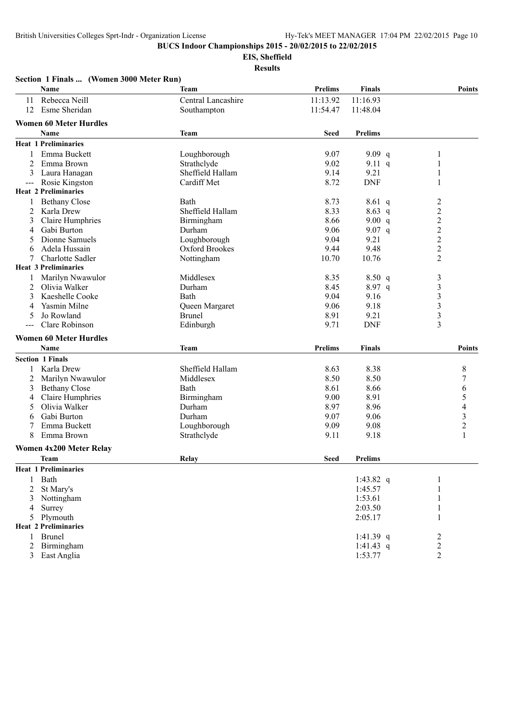**EIS, Sheffield**

|                | Section 1 Finals  (Women 3000 Meter Run) |                    |                |                |                  |
|----------------|------------------------------------------|--------------------|----------------|----------------|------------------|
|                | Name                                     | Team               | <b>Prelims</b> | <b>Finals</b>  | <b>Points</b>    |
| 11             | Rebecca Neill                            | Central Lancashire | 11:13.92       | 11:16.93       |                  |
| 12             | Esme Sheridan                            | Southampton        | 11:54.47       | 11:48.04       |                  |
|                | <b>Women 60 Meter Hurdles</b>            |                    |                |                |                  |
|                | Name                                     | <b>Team</b>        | <b>Seed</b>    | <b>Prelims</b> |                  |
|                |                                          |                    |                |                |                  |
|                | <b>Heat 1 Preliminaries</b>              |                    |                |                |                  |
| 1              | Emma Buckett                             | Loughborough       | 9.07           | 9.09 $q$       |                  |
| 2              | Emma Brown                               | Strathclyde        | 9.02           | 9.11 q         | 1                |
| 3              | Laura Hanagan                            | Sheffield Hallam   | 9.14           | 9.21           | 1                |
| $---$          | Rosie Kingston                           | Cardiff Met        | 8.72           | <b>DNF</b>     | 1                |
|                | <b>Heat 2 Preliminaries</b>              |                    |                |                |                  |
| 1              | <b>Bethany Close</b>                     | Bath               | 8.73           | $8.61\ q$      | $\overline{c}$   |
| 2              | Karla Drew                               | Sheffield Hallam   | 8.33           | $8.63$ q       | $\overline{c}$   |
| 3              | Claire Humphries                         | Birmingham         | 8.66           | 9.00 $q$       | $\overline{c}$   |
| 4              | Gabi Burton                              | Durham             | 9.06           | 9.07 q         | $\overline{c}$   |
| 5              | Dionne Samuels                           | Loughborough       | 9.04           | 9.21           | $\overline{c}$   |
| 6              | Adela Hussain                            | Oxford Brookes     | 9.44           | 9.48           | $\overline{2}$   |
| 7              | Charlotte Sadler                         | Nottingham         | 10.70          | 10.76          | $\overline{2}$   |
|                | <b>Heat 3 Preliminaries</b>              |                    |                |                |                  |
| 1              | Marilyn Nwawulor                         | Middlesex          | 8.35           | 8.50 q         | 3                |
| 2              | Olivia Walker                            | Durham             | 8.45           | 8.97 q         | $\mathfrak{Z}$   |
| 3              | Kaeshelle Cooke                          | Bath               | 9.04           | 9.16           | $\mathfrak{Z}$   |
|                | Yasmin Milne                             | Queen Margaret     | 9.06           | 9.18           | $\mathfrak{Z}$   |
| 5              | Jo Rowland                               | <b>Brunel</b>      | 8.91           | 9.21           | $\mathfrak{Z}$   |
|                | Clare Robinson                           | Edinburgh          | 9.71           | <b>DNF</b>     | 3                |
|                |                                          |                    |                |                |                  |
|                | <b>Women 60 Meter Hurdles</b>            |                    |                |                |                  |
|                | Name                                     | <b>Team</b>        | <b>Prelims</b> | <b>Finals</b>  | <b>Points</b>    |
|                | <b>Section 1 Finals</b>                  |                    |                |                |                  |
|                | Karla Drew                               | Sheffield Hallam   | 8.63           | 8.38           | 8                |
| 2              | Marilyn Nwawulor                         | Middlesex          | 8.50           | 8.50           | 7                |
| 3              | <b>Bethany Close</b>                     | Bath               | 8.61           | 8.66           | 6                |
| 4              | Claire Humphries                         | Birmingham         | 9.00           | 8.91           | 5                |
| 5              | Olivia Walker                            | Durham             | 8.97           | 8.96           | 4                |
| 6              | Gabi Burton                              | Durham             | 9.07           | 9.06           | $\mathfrak{Z}$   |
|                | Emma Buckett                             | Loughborough       | 9.09           | 9.08           | $\boldsymbol{2}$ |
| 8              | Emma Brown                               | Strathclyde        | 9.11           | 9.18           | 1                |
|                |                                          |                    |                |                |                  |
|                | <b>Women 4x200 Meter Relay</b>           |                    |                |                |                  |
|                | Team                                     | Relay              | <b>Seed</b>    | <b>Prelims</b> |                  |
|                | <b>Heat 1 Preliminaries</b>              |                    |                |                |                  |
| $\mathbf{1}$   | Bath                                     |                    |                | 1:43.82 $q$    | 1                |
| $\overline{2}$ | St Mary's                                |                    |                | 1:45.57        | 1                |
| 3              | Nottingham                               |                    |                | 1:53.61        | 1                |
| 4              | Surrey                                   |                    |                | 2:03.50        | 1                |
| 5              | Plymouth                                 |                    |                | 2:05.17        | 1                |
|                | <b>Heat 2 Preliminaries</b>              |                    |                |                |                  |
| 1              | <b>Brunel</b>                            |                    |                | 1:41.39 q      | $\overline{c}$   |
| 2              | Birmingham                               |                    |                | 1:41.43 $q$    | $\overline{c}$   |
|                | 3 East Anglia                            |                    |                | 1:53.77        | $\overline{2}$   |
|                |                                          |                    |                |                |                  |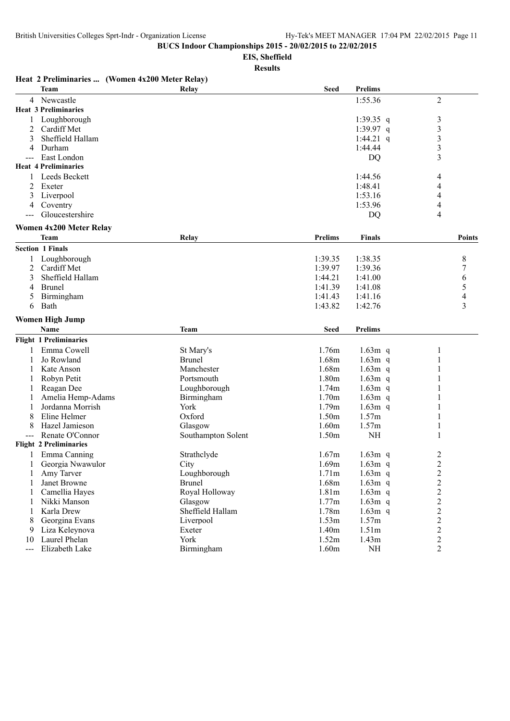**EIS, Sheffield**

|              | Heat 2 Preliminaries  (Women 4x200 Meter Relay) |                    |                |                |                |
|--------------|-------------------------------------------------|--------------------|----------------|----------------|----------------|
|              | <b>Team</b>                                     | Relay              | <b>Seed</b>    | <b>Prelims</b> |                |
|              | 4 Newcastle                                     |                    |                | 1:55.36        | $\overline{2}$ |
|              | <b>Heat 3 Preliminaries</b>                     |                    |                |                |                |
|              | Loughborough                                    |                    |                | 1:39.35 q      | $\mathfrak{Z}$ |
| 2            | Cardiff Met                                     |                    |                | 1:39.97 q      | 3              |
| 3            | Sheffield Hallam                                |                    |                | 1:44.21 q      | 3              |
| 4            | Durham                                          |                    |                | 1:44.44        | 3              |
|              | East London                                     |                    |                | DQ             | 3              |
|              | <b>Heat 4 Preliminaries</b>                     |                    |                |                |                |
| 1            | Leeds Beckett                                   |                    |                | 1:44.56        | 4              |
| 2            | Exeter                                          |                    |                | 1:48.41        | 4              |
| 3            | Liverpool                                       |                    |                | 1:53.16        | 4              |
| 4            | Coventry                                        |                    |                | 1:53.96        | 4              |
|              | Gloucestershire                                 |                    |                | DQ             | 4              |
|              |                                                 |                    |                |                |                |
|              | <b>Women 4x200 Meter Relay</b>                  |                    |                |                |                |
|              | <b>Team</b>                                     | Relay              | <b>Prelims</b> | <b>Finals</b>  | Points         |
|              | <b>Section 1 Finals</b>                         |                    |                |                |                |
|              | Loughborough                                    |                    | 1:39.35        | 1:38.35        | 8              |
| 2            | Cardiff Met                                     |                    | 1:39.97        | 1:39.36        | 7              |
| 3            | Sheffield Hallam                                |                    | 1:44.21        | 1:41.00        | 6              |
| 4            | <b>Brunel</b>                                   |                    | 1:41.39        | 1:41.08        | 5              |
| 5            | Birmingham                                      |                    | 1:41.43        | 1:41.16        | 4              |
| 6            | Bath                                            |                    | 1:43.82        | 1:42.76        | 3              |
|              | <b>Women High Jump</b>                          |                    |                |                |                |
|              | <b>Name</b>                                     | Team               | <b>Seed</b>    | <b>Prelims</b> |                |
|              | <b>Flight 1 Preliminaries</b>                   |                    |                |                |                |
|              | Emma Cowell                                     | St Mary's          | 1.76m          | $1.63m$ q      | 1              |
|              | Jo Rowland                                      | <b>Brunel</b>      | 1.68m          | $1.63m$ q      | 1              |
|              | Kate Anson                                      | Manchester         | 1.68m          | $1.63m$ q      |                |
|              | Robyn Petit                                     | Portsmouth         | 1.80m          | $1.63m$ q      |                |
|              | Reagan Dee                                      | Loughborough       | 1.74m          | $1.63m$ q      |                |
|              | Amelia Hemp-Adams                               | Birmingham         | 1.70m          | $1.63m$ q      | 1              |
|              | Jordanna Morrish                                | York               | 1.79m          | $1.63m$ q      | 1              |
|              | Eline Helmer                                    | Oxford             | 1.50m          | 1.57m          |                |
| 8            | Hazel Jamieson                                  | Glasgow            | 1.60m          | 1.57m          | 1              |
|              | Renate O'Connor                                 | Southampton Solent | 1.50m          | <b>NH</b>      | 1              |
|              | <b>Flight 2 Preliminaries</b>                   |                    |                |                |                |
| $\mathbf{1}$ | Emma Canning                                    | Strathclyde        | 1.67m          | $1.63m$ q      | $\overline{2}$ |
| 1            | Georgia Nwawulor                                | City               | 1.69m          | $1.63m$ q      |                |
| 1            | Amy Tarver                                      | Loughborough       | 1.71m          | $1.63m$ q      | $\frac{2}{2}$  |
| 1            | Janet Browne                                    | <b>Brunel</b>      | 1.68m          | $1.63m$ q      | $\overline{c}$ |
|              | Camellia Hayes                                  | Royal Holloway     | 1.81m          | $1.63m$ q      |                |
| 1<br>1       | Nikki Manson                                    | Glasgow            | 1.77m          | $1.63m$ q      | $\frac{2}{2}$  |
| 1            | Karla Drew                                      | Sheffield Hallam   | 1.78m          | $1.63m$ q      | $\overline{c}$ |
| 8            | Georgina Evans                                  | Liverpool          | 1.53m          | 1.57m          |                |
| 9            | Liza Keleynova                                  | Exeter             | 1.40m          | 1.51m          | $\frac{2}{2}$  |
| 10           | Laurel Phelan                                   | York               | 1.52m          | 1.43m          | $\overline{c}$ |
| $---$        | Elizabeth Lake                                  | Birmingham         | 1.60m          | NH             | $\overline{2}$ |
|              |                                                 |                    |                |                |                |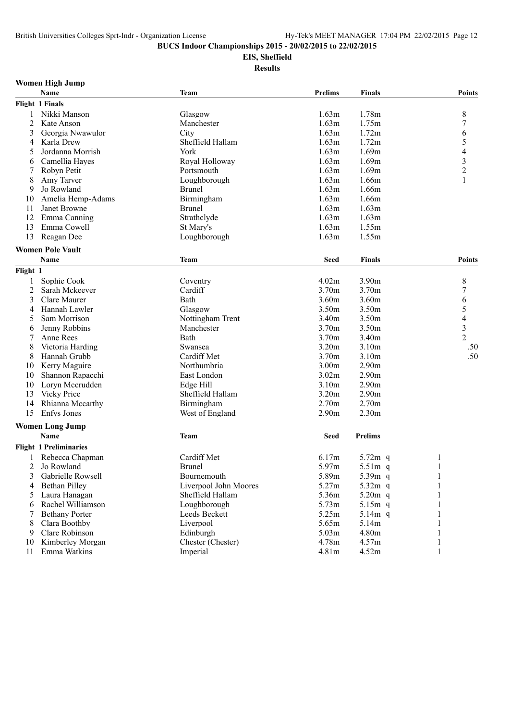## **EIS, Sheffield Results**

| Women High Jump |  |  |
|-----------------|--|--|
|-----------------|--|--|

|                | Name                          | <b>Team</b>           | <b>Prelims</b> | <b>Finals</b>     | <b>Points</b>            |
|----------------|-------------------------------|-----------------------|----------------|-------------------|--------------------------|
|                | Flight 1 Finals               |                       |                |                   |                          |
| 1              | Nikki Manson                  | Glasgow               | 1.63m          | 1.78m             | 8                        |
| 2              | Kate Anson                    | Manchester            | 1.63m          | 1.75m             | 7                        |
| 3              | Georgia Nwawulor              | City                  | 1.63m          | 1.72m             | 6                        |
| 4              | Karla Drew                    | Sheffield Hallam      | 1.63m          | 1.72m             | 5                        |
| 5              | Jordanna Morrish              | York                  | 1.63m          | 1.69m             | $\overline{\mathcal{L}}$ |
| 6              | Camellia Hayes                | Royal Holloway        | 1.63m          | 1.69m             | $\mathfrak{Z}$           |
| 7              | Robyn Petit                   | Portsmouth            | 1.63m          | 1.69m             | $\overline{c}$           |
| 8              | Amy Tarver                    | Loughborough          | 1.63m          | 1.66m             |                          |
| 9              | Jo Rowland                    | <b>Brunel</b>         | 1.63m          | 1.66m             |                          |
| 10             | Amelia Hemp-Adams             | Birmingham            | 1.63m          | 1.66m             |                          |
| 11             | Janet Browne                  | <b>Brunel</b>         | 1.63m          | 1.63m             |                          |
| 12             | Emma Canning                  | Strathclyde           | 1.63m          | 1.63m             |                          |
| 13             | Emma Cowell                   | St Mary's             | 1.63m          | 1.55m             |                          |
| 13             | Reagan Dee                    | Loughborough          | 1.63m          | 1.55m             |                          |
|                |                               |                       |                |                   |                          |
|                | <b>Women Pole Vault</b>       |                       |                |                   |                          |
|                | Name                          | <b>Team</b>           | <b>Seed</b>    | <b>Finals</b>     | <b>Points</b>            |
| Flight 1       |                               |                       |                |                   |                          |
| 1              | Sophie Cook                   | Coventry              | 4.02m          | 3.90m             | 8                        |
| $\overline{2}$ | Sarah Mckeever                | Cardiff               | 3.70m          | 3.70m             | 7                        |
| 3              | Clare Maurer                  | Bath                  | 3.60m          | 3.60m             | 6                        |
| 4              | Hannah Lawler                 | Glasgow               | 3.50m          | 3.50m             | 5                        |
| 5              | Sam Morrison                  | Nottingham Trent      | 3.40m          | 3.50m             | 4                        |
| 6              | Jenny Robbins                 | Manchester            | 3.70m          | 3.50m             | $\mathfrak{Z}$           |
| 7              | Anne Rees                     | Bath                  | 3.70m          | 3.40m             | $\overline{2}$           |
| 8              | Victoria Harding              | Swansea               | 3.20m          | 3.10m             | .50                      |
| 8              | Hannah Grubb                  | Cardiff Met           | 3.70m          | 3.10m             | .50                      |
| 10             | Kerry Maguire                 | Northumbria           | 3.00m          | 2.90 <sub>m</sub> |                          |
| 10             | Shannon Rapacchi              | East London           | 3.02m          | 2.90 <sub>m</sub> |                          |
| 10             | Loryn Mccrudden               | Edge Hill             | 3.10m          | 2.90 <sub>m</sub> |                          |
| 13             | Vicky Price                   | Sheffield Hallam      | 3.20m          | 2.90m             |                          |
| 14             | Rhianna Mccarthy              | Birmingham            | 2.70m          | 2.70m             |                          |
| 15             | Enfys Jones                   | West of England       | 2.90m          | 2.30m             |                          |
|                |                               |                       |                |                   |                          |
|                | <b>Women Long Jump</b>        |                       |                |                   |                          |
|                | Name                          | <b>Team</b>           | <b>Seed</b>    | <b>Prelims</b>    |                          |
|                | <b>Flight 1 Preliminaries</b> |                       |                |                   |                          |
|                | Rebecca Chapman               | Cardiff Met           | 6.17m          | 5.72m q           | 1                        |
| 2              | Jo Rowland                    | <b>Brunel</b>         | 5.97m          | $5.51m$ q         | 1                        |
| 3              | Gabrielle Rowsell             | Bournemouth           | 5.89m          | 5.39m q           |                          |
| 4              | Bethan Pilley                 | Liverpool John Moores | 5.27m          | 5.32m q           |                          |
| 5              | Laura Hanagan                 | Sheffield Hallam      | 5.36m          | 5.20m q           |                          |
| 6              | Rachel Williamson             | Loughborough          | 5.73m          | $5.15m$ q         |                          |
| 7              | <b>Bethany Porter</b>         | Leeds Beckett         | 5.25m          | 5.14m q           |                          |
| 8              | Clara Boothby                 | Liverpool             | 5.65m          | 5.14m             |                          |
| 9              | Clare Robinson                | Edinburgh             | 5.03m          | 4.80m             |                          |
| 10             | Kimberley Morgan              | Chester (Chester)     | 4.78m          | 4.57m             |                          |
| 11             | Emma Watkins                  | Imperial              | 4.81m          | 4.52m             | 1                        |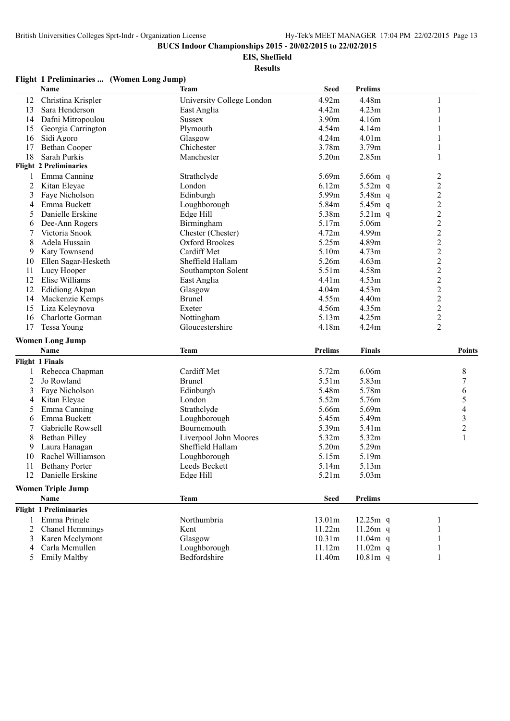**EIS, Sheffield**

**Results**

#### **Flight 1 Preliminaries ... (Women Long Jump)**

|                | Name                                  | Team                         | <b>Seed</b>       | <b>Prelims</b>           |                |
|----------------|---------------------------------------|------------------------------|-------------------|--------------------------|----------------|
| 12             | Christina Krispler                    | University College London    | 4.92m             | 4.48m                    | 1              |
| 13             | Sara Henderson                        | East Anglia                  | 4.42m             | 4.23m                    | 1              |
| 14             | Dafni Mitropoulou                     | <b>Sussex</b>                | 3.90m             | 4.16m                    |                |
| 15             | Georgia Carrington                    | Plymouth                     | 4.54m             | 4.14m                    |                |
| 16             | Sidi Agoro                            | Glasgow                      | 4.24m             | 4.01m                    |                |
| 17             | <b>Bethan Cooper</b>                  | Chichester                   | 3.78m             | 3.79m                    |                |
| 18             | Sarah Purkis                          | Manchester                   | 5.20m             | 2.85m                    |                |
|                | <b>Flight 2 Preliminaries</b>         |                              |                   |                          |                |
| 1              | Emma Canning                          | Strathclyde                  | 5.69m             | 5.66m q                  | $\overline{c}$ |
| 2              | Kitan Eleyae                          | London                       | 6.12m             | $5.52m$ q                | $\sqrt{2}$     |
| 3              | Faye Nicholson                        | Edinburgh                    | 5.99m             | 5.48m q                  | $\overline{c}$ |
| 4              | Emma Buckett                          | Loughborough                 | 5.84m             | 5.45m q                  | $\overline{c}$ |
| 5              | Danielle Erskine                      | Edge Hill                    | 5.38m             | $5.21m$ q                | $\overline{c}$ |
| 6              | Dee-Ann Rogers                        | Birmingham                   | 5.17m             | 5.06m                    | $\overline{c}$ |
| 7              | Victoria Snook                        | Chester (Chester)            | 4.72m             | 4.99m                    | $\overline{c}$ |
| 8              | Adela Hussain                         | Oxford Brookes               | 5.25m             | 4.89m                    | $\overline{c}$ |
| 9              | Katy Townsend                         | Cardiff Met                  | 5.10m             | 4.73m                    | $\overline{c}$ |
| 10             | Ellen Sagar-Hesketh                   | Sheffield Hallam             | 5.26m             | 4.63m                    | $\overline{c}$ |
| 11             | Lucy Hooper                           | Southampton Solent           | 5.51m             | 4.58m                    | $\overline{c}$ |
| 12             | Elise Williams                        | East Anglia                  | 4.41 <sub>m</sub> | 4.53m                    | $\mathfrak{2}$ |
| 12             | <b>Edidiong Akpan</b>                 | Glasgow                      | 4.04m             | 4.53m                    | $\overline{2}$ |
| 14             | Mackenzie Kemps                       | <b>Brunel</b>                | 4.55m             | 4.40m                    | $\sqrt{2}$     |
| 15             | Liza Keleynova                        | Exeter                       | 4.56m             | 4.35m                    | $\overline{c}$ |
| 16             | Charlotte Gorman                      | Nottingham                   | 5.13m             | 4.25m                    | $\overline{c}$ |
| 17             |                                       |                              |                   | 4.24m                    | $\overline{2}$ |
|                | <b>Tessa Young</b>                    | Gloucestershire              | 4.18m             |                          |                |
|                | <b>Women Long Jump</b>                |                              |                   |                          |                |
|                | Name                                  | <b>Team</b>                  | <b>Prelims</b>    | <b>Finals</b>            | <b>Points</b>  |
|                | <b>Flight 1 Finals</b>                |                              |                   |                          |                |
|                | Rebecca Chapman                       | Cardiff Met                  | 5.72m             | 6.06m                    | 8              |
| $\overline{c}$ | Jo Rowland                            | <b>Brunel</b>                | 5.51m             | 5.83m                    | 7              |
| 3              | Faye Nicholson                        | Edinburgh                    | 5.48m             | 5.78m                    | 6              |
| 4              | Kitan Eleyae                          | London                       | 5.52m             | 5.76m                    | 5              |
| 5              | Emma Canning                          | Strathclyde                  | 5.66m             | 5.69m                    | 4              |
| 6              | Emma Buckett                          | Loughborough                 | 5.45m             | 5.49m                    | 3              |
|                | Gabrielle Rowsell                     | Bournemouth                  | 5.39m             | 5.41m                    | $\overline{c}$ |
| 8              | <b>Bethan Pilley</b>                  | Liverpool John Moores        | 5.32m             | 5.32m                    | 1              |
| 9              | Laura Hanagan                         | Sheffield Hallam             | 5.20m             | 5.29m                    |                |
| 10             | Rachel Williamson                     | Loughborough                 | 5.15m             | 5.19m                    |                |
| 11             | <b>Bethany Porter</b>                 | Leeds Beckett                | 5.14m             | 5.13m                    |                |
|                | 12 Danielle Erskine                   | Edge Hill                    | 5.21m             | 5.03m                    |                |
|                | <b>Women Triple Jump</b>              |                              |                   |                          |                |
|                | Name                                  | <b>Team</b>                  | <b>Seed</b>       | <b>Prelims</b>           |                |
|                | <b>Flight 1 Preliminaries</b>         |                              |                   |                          |                |
|                | 1 Emma Pringle                        | Northumbria                  | 13.01m            | $12.25m$ q               |                |
| 2              | Chanel Hemmings                       | Kent                         | 11.22m            | 11.26 $m$ q              |                |
| 3              | Karen Mcclymont                       | Glasgow                      | 10.31m            | 11.04 $m$ q              |                |
|                |                                       |                              |                   |                          |                |
|                |                                       |                              |                   |                          |                |
| 4<br>5         | Carla Mcmullen<br><b>Emily Maltby</b> | Loughborough<br>Bedfordshire | 11.12m<br>11.40m  | $11.02m$ q<br>$10.81m$ q |                |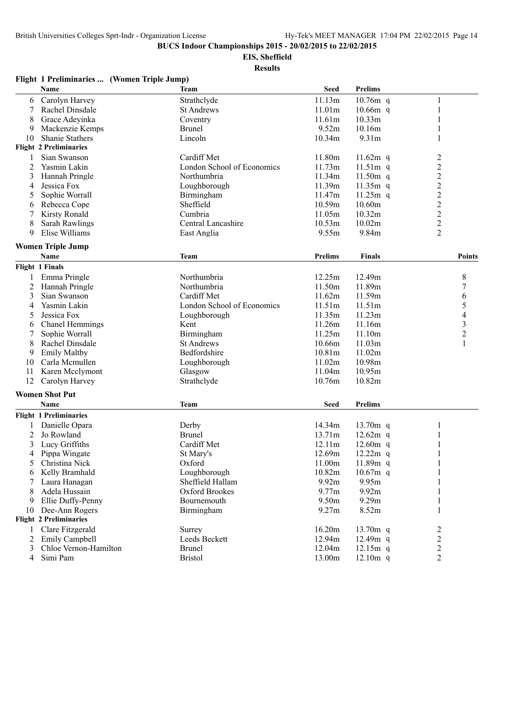**EIS, Sheffield**

|                | Flight 1 Preliminaries  (Women Triple Jump) |                            |                    |                |                |
|----------------|---------------------------------------------|----------------------------|--------------------|----------------|----------------|
|                | Name                                        | <b>Team</b>                | <b>Seed</b>        | Prelims        |                |
| 6              | Carolyn Harvey                              | Strathclyde                | 11.13m             | $10.76m$ q     | 1              |
| 7              | Rachel Dinsdale                             | <b>St Andrews</b>          | 11.01m             | $10.66m$ q     | 1              |
| 8              | Grace Adevinka                              | Coventry                   | 11.61m             | 10.33m         | 1              |
| 9              | Mackenzie Kemps                             | <b>Brunel</b>              | 9.52m              | 10.16m         | 1              |
| 10             | <b>Shanie Stathers</b>                      | Lincoln                    | 10.34m             | 9.31m          | 1              |
|                | <b>Flight 2 Preliminaries</b>               |                            |                    |                |                |
| 1              | Sian Swanson                                | Cardiff Met                | 11.80m             | $11.62m$ q     |                |
| 2              | Yasmin Lakin                                | London School of Economics | 11.73m             | $11.51m$ q     | $\frac{2}{2}$  |
| 3              | Hannah Pringle                              | Northumbria                | 11.34m             | 11.50 $m$ q    |                |
| 4              | Jessica Fox                                 | Loughborough               | 11.39m             | $11.35m$ q     | $\frac{2}{2}$  |
| 5              | Sophie Worrall                              | Birmingham                 | 11.47m             | $11.25m$ q     |                |
| 6              | Rebecca Cope                                | Sheffield                  | 10.59m             | 10.60m         | $\overline{c}$ |
| 7              | <b>Kirsty Ronald</b>                        | Cumbria                    | 11.05m             | 10.32m         | $\overline{c}$ |
| 8              | <b>Sarah Rawlings</b>                       | Central Lancashire         | 10.53m             | 10.02m         | $\overline{2}$ |
| 9              | Elise Williams                              | East Anglia                | 9.55m              | 9.84m          | $\overline{2}$ |
|                |                                             |                            |                    |                |                |
|                | <b>Women Triple Jump</b><br>Name            |                            | <b>Prelims</b>     | Finals         | Points         |
|                |                                             | <b>Team</b>                |                    |                |                |
|                | <b>Flight 1 Finals</b>                      |                            |                    |                |                |
| 1              | Emma Pringle                                | Northumbria                | 12.25m             | 12.49m         | 8              |
| 2              | Hannah Pringle                              | Northumbria                | 11.50m             | 11.89m         | $\overline{7}$ |
| 3              | Sian Swanson                                | Cardiff Met                | 11.62m             | 11.59m         | 6              |
| 4              | Yasmin Lakin                                | London School of Economics | 11.51m             | 11.51m         | 5              |
| 5              | Jessica Fox                                 | Loughborough               | 11.35m             | 11.23m         | 4              |
| 6              | Chanel Hemmings                             | Kent                       | 11.26m             | 11.16m         | 3              |
| 7              | Sophie Worrall                              | Birmingham                 | 11.25m             | 11.10m         | $\overline{c}$ |
| 8              | Rachel Dinsdale                             | <b>St Andrews</b>          | 10.66m             | 11.03m         | 1              |
| 9              | <b>Emily Maltby</b>                         | Bedfordshire               | 10.81 <sub>m</sub> | 11.02m         |                |
| 10             | Carla Mcmullen                              | Loughborough               | 11.02m             | 10.98m         |                |
| 11             | Karen Mcclymont                             | Glasgow                    | 11.04m             | 10.95m         |                |
| 12             | Carolyn Harvey                              | Strathclyde                | 10.76m             | 10.82m         |                |
|                | <b>Women Shot Put</b>                       |                            |                    |                |                |
|                | Name                                        | <b>Team</b>                | <b>Seed</b>        | <b>Prelims</b> |                |
|                | <b>Flight 1 Preliminaries</b>               |                            |                    |                |                |
|                | Danielle Opara                              | Derby                      | 14.34m             | 13.70m q       | 1              |
| 2              | Jo Rowland                                  | <b>Brunel</b>              | 13.71m             | $12.62m$ q     | 1              |
| 3              | Lucy Griffiths                              | Cardiff Met                | 12.11m             | 12.60m q       | $\mathbf{1}$   |
| 4              | Pippa Wingate                               | St Mary's                  | 12.69m             | $12.22m$ q     | $\mathbf{1}$   |
| 5              | Christina Nick                              | Oxford                     | 11.00m             | 11.89m q       | 1              |
| 6              | Kelly Bramhald                              | Loughborough               | 10.82m             | $10.67m$ q     |                |
| 7              | Laura Hanagan                               | Sheffield Hallam           | 9.92m              | 9.95m          | 1              |
| 8              | Adela Hussain                               | Oxford Brookes             | 9.77m              | 9.92m          | 1              |
| 9              | Ellie Duffy-Penny                           | Bournemouth                | 9.50m              | 9.29m          | 1              |
| 10             | Dee-Ann Rogers                              | Birmingham                 | 9.27m              | 8.52m          | 1              |
|                | <b>Flight 2 Preliminaries</b>               |                            |                    |                |                |
| $\mathbf{1}$   | Clare Fitzgerald                            | Surrey                     | 16.20m             | 13.70m q       | 2              |
| 2              | Emily Campbell                              | Leeds Beckett              | 12.94m             | $12.49m$ q     | 2              |
| 3              | Chloe Vernon-Hamilton                       | <b>Brunel</b>              | 12.04m             | $12.15m$ q     | $\overline{c}$ |
| $\overline{4}$ | Simi Pam                                    | <b>Bristol</b>             | 13.00m             | $12.10m$ q     | $\overline{2}$ |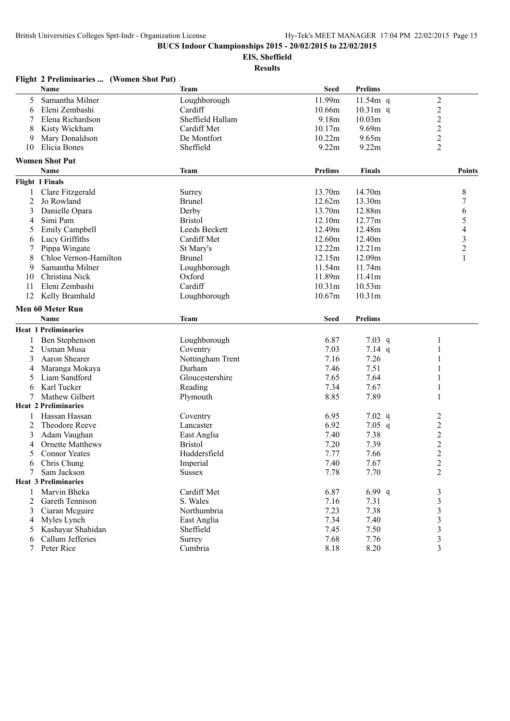## **EIS, Sheffield**

|                | Flight 2 Preliminaries  (Women Shot Put) |                  |             |                    |                          |
|----------------|------------------------------------------|------------------|-------------|--------------------|--------------------------|
|                | Name                                     | Team             | <b>Seed</b> | <b>Prelims</b>     |                          |
| 5              | Samantha Milner                          | Loughborough     | 11.99m      | $11.54m$ q         | $\overline{c}$           |
| 6              | Eleni Zembashi                           | Cardiff          | 10.66m      | $10.31m$ q         | $\overline{c}$           |
| 7              | Elena Richardson                         | Sheffield Hallam | 9.18m       | 10.03m             | $\overline{c}$           |
| 8              | Kisty Wickham                            | Cardiff Met      | 10.17m      | 9.69m              | $\overline{c}$           |
| 9              | Mary Donaldson                           | De Montfort      | 10.22m      | 9.65m              | $\overline{c}$           |
| 10             | Elicia Bones                             | Sheffield        | 9.22m       | 9.22m              | $\overline{2}$           |
|                | <b>Women Shot Put</b>                    |                  |             |                    |                          |
|                | Name                                     | Team             | Prelims     | <b>Finals</b>      | <b>Points</b>            |
|                | <b>Flight 1 Finals</b>                   |                  |             |                    |                          |
| 1              | Clare Fitzgerald                         | Surrey           | 13.70m      | 14.70m             | 8                        |
| $\overline{2}$ | Jo Rowland                               | <b>Brunel</b>    | 12.62m      | 13.30m             | 7                        |
| 3              | Danielle Opara                           | Derby            | 13.70m      | 12.88m             | 6                        |
| 4              | Simi Pam                                 | <b>Bristol</b>   | 12.10m      | 12.77m             | 5                        |
| 5              | Emily Campbell                           | Leeds Beckett    | 12.49m      | 12.48m             | $\overline{\mathcal{L}}$ |
| 6              | Lucy Griffiths                           | Cardiff Met      | 12.60m      | 12.40m             |                          |
| 7              | Pippa Wingate                            | St Mary's        | 12.22m      | 12.21m             | $\frac{3}{2}$            |
| 8              | Chloe Vernon-Hamilton                    | <b>Brunel</b>    | 12.15m      | 12.09m             |                          |
| 9              | Samantha Milner                          | Loughborough     | 11.54m      | 11.74m             |                          |
| 10             | Christina Nick                           | Oxford           | 11.89m      | 11.41m             |                          |
| 11             | Eleni Zembashi                           | Cardiff          | 10.31m      | 10.53m             |                          |
| 12             | Kelly Bramhald                           | Loughborough     | 10.67m      | 10.31 <sub>m</sub> |                          |
|                | Men 60 Meter Run                         |                  |             |                    |                          |
|                | <b>Name</b>                              | Team             | <b>Seed</b> | <b>Prelims</b>     |                          |
|                | <b>Heat 1 Preliminaries</b>              |                  |             |                    |                          |
| 1              | Ben Stephenson                           | Loughborough     | 6.87        | $7.03$ q           | 1                        |
| 2              | <b>Usman Musa</b>                        | Coventry         | 7.03        | 7.14 $q$           | 1                        |
| 3              | Aaron Shearer                            | Nottingham Trent | 7.16        | 7.26               |                          |
| 4              | Maranga Mokaya                           | Durham           | 7.46        | 7.51               |                          |
| 5              | Liam Sandford                            | Gloucestershire  | 7.65        | 7.64               | $\mathbf{1}$             |
| 6              | Karl Tucker                              | Reading          | 7.34        | 7.67               | $\mathbf{1}$             |
| 7              | Mathew Gilbert                           | Plymouth         | 8.85        | 7.89               | 1                        |
|                | <b>Heat 2 Preliminaries</b>              |                  |             |                    |                          |
|                | Hassan Hassan                            | Coventry         | 6.95        | $7.02$ q           | 2                        |
| 2              | Theodore Reeve                           | Lancaster        | 6.92        | $7.05$ q           | $\overline{c}$           |
| 3              | Adam Vaughan                             | East Anglia      | 7.40        | 7.38               | $\overline{c}$           |
| 4              | <b>Ornette Matthews</b>                  | <b>Bristol</b>   | 7.20        | 7.39               | $\overline{c}$           |
| 5              | <b>Connor Yeates</b>                     | Huddersfield     | 7.77        | 7.66               | $\overline{c}$           |
| 6              | Chris Chung                              | Imperial         | 7.40        | 7.67               | $\overline{c}$           |
|                | Sam Jackson                              | <b>Sussex</b>    | 7.78        | 7.70               | $\overline{2}$           |
|                | <b>Heat 3 Preliminaries</b>              |                  |             |                    |                          |
| 1              | Marvin Bheka                             | Cardiff Met      | 6.87        | 6.99 q             | 3                        |
| 2              | Gareth Tennison                          | S. Wales         | 7.16        | 7.31               | $\overline{\mathbf{3}}$  |
| 3              | Ciaran Mcguire                           | Northumbria      | 7.23        | 7.38               |                          |
|                | Myles Lynch                              | East Anglia      | 7.34        | 7.40               | $\overline{\mathbf{3}}$  |
| 4<br>5         | Kashayar Shahidan                        | Sheffield        | 7.45        | 7.50               | $\frac{3}{3}$            |
|                | Callum Jefferies                         | Surrey           | 7.68        | 7.76               | $\overline{\mathbf{3}}$  |
| 6              | Peter Rice                               | Cumbria          | 8.18        | 8.20               | $\overline{\mathbf{3}}$  |
| 7              |                                          |                  |             |                    |                          |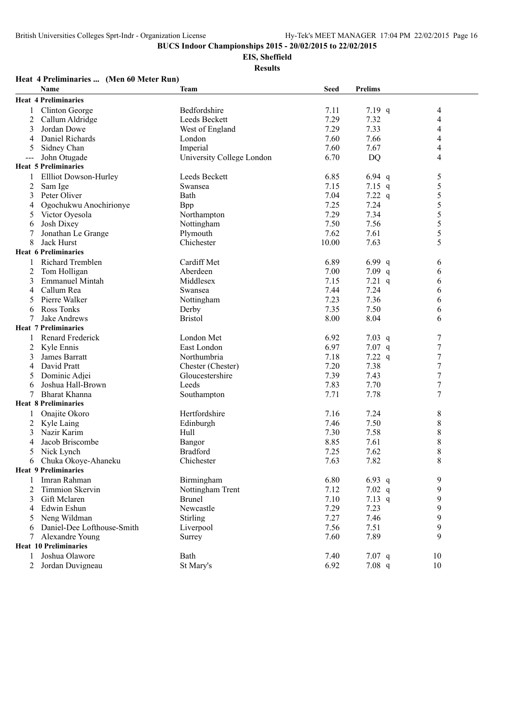**EIS, Sheffield**

| Heat 4 Preliminaries  (Men 60 Meter Run) |  |
|------------------------------------------|--|
|------------------------------------------|--|

|                | Name                         | <b>Team</b>               | <b>Seed</b> | <b>Prelims</b> |                  |  |
|----------------|------------------------------|---------------------------|-------------|----------------|------------------|--|
|                | <b>Heat 4 Preliminaries</b>  |                           |             |                |                  |  |
| 1              | Clinton George               | Bedfordshire              | 7.11        | 7.19 $q$       | 4                |  |
| 2              | Callum Aldridge              | Leeds Beckett             | 7.29        | 7.32           | 4                |  |
| 3              | Jordan Dowe                  | West of England           | 7.29        | 7.33           | 4                |  |
| 4              | Daniel Richards              | London                    | 7.60        | 7.66           | 4                |  |
| 5              | Sidney Chan                  | Imperial                  | 7.60        | 7.67           | 4                |  |
| $--$           | John Otugade                 | University College London | 6.70        | <b>DQ</b>      | $\overline{4}$   |  |
|                | <b>Heat 5 Preliminaries</b>  |                           |             |                |                  |  |
| 1              | <b>Ellliot Dowson-Hurley</b> | Leeds Beckett             | 6.85        | 6.94 $q$       | 5                |  |
| $\overline{c}$ | Sam Ige                      | Swansea                   | 7.15        | 7.15 $q$       | 5                |  |
| 3              | Peter Oliver                 | Bath                      | 7.04        | 7.22 $q$       | 5                |  |
| 4              | Ogochukwu Anochirionye       | <b>B</b> pp               | 7.25        | 7.24           | $\sqrt{5}$       |  |
| 5              | Victor Oyesola               | Northampton               | 7.29        | 7.34           | 5                |  |
| 6              | Josh Dixey                   | Nottingham                | 7.50        | 7.56           | 5                |  |
| 7              | Jonathan Le Grange           | Plymouth                  | 7.62        | 7.61           | 5                |  |
| 8              | Jack Hurst                   | Chichester                | 10.00       | 7.63           | 5                |  |
|                | <b>Heat 6 Preliminaries</b>  |                           |             |                |                  |  |
|                | Richard Tremblen             | Cardiff Met               | 6.89        | 6.99 q         | 6                |  |
| 2              | Tom Holligan                 | Aberdeen                  | 7.00        | $7.09$ q       | 6                |  |
| 3              | <b>Emmanuel Mintah</b>       | Middlesex                 | 7.15        | $7.21$ q       | 6                |  |
| 4              | Callum Rea                   | Swansea                   | 7.44        | 7.24           | 6                |  |
| 5              | Pierre Walker                | Nottingham                | 7.23        | 7.36           | 6                |  |
| 6              | <b>Ross Tonks</b>            | Derby                     | 7.35        | 7.50           | 6                |  |
| 7              | Jake Andrews                 | <b>Bristol</b>            | 8.00        | 8.04           | 6                |  |
|                | <b>Heat 7 Preliminaries</b>  |                           |             |                |                  |  |
|                | Renard Frederick             | London Met                | 6.92        | 7.03 $q$       | 7                |  |
| 2              | Kyle Ennis                   | East London               | 6.97        | $7.07$ q       | $\tau$           |  |
| 3              | James Barratt                | Northumbria               | 7.18        | 7.22 q         | $\boldsymbol{7}$ |  |
| 4              | David Pratt                  | Chester (Chester)         | 7.20        | 7.38           | $\tau$           |  |
| 5              | Dominic Adjei                | Gloucestershire           | 7.39        | 7.43           | $\tau$           |  |
| 6              | Joshua Hall-Brown            | Leeds                     | 7.83        | 7.70           | $\tau$           |  |
| 7              | Bharat Khanna                | Southampton               | 7.71        | 7.78           | $\tau$           |  |
|                | <b>Heat 8 Preliminaries</b>  |                           |             |                |                  |  |
| 1              | Onajite Okoro                | Hertfordshire             | 7.16        | 7.24           | 8                |  |
| 2              | Kyle Laing                   | Edinburgh                 | 7.46        | 7.50           | $\,$ $\,$        |  |
| 3              | Nazir Karim                  | Hull                      | 7.30        | 7.58           | 8                |  |
| 4              | Jacob Briscombe              | Bangor                    | 8.85        | 7.61           | 8                |  |
| 5              | Nick Lynch                   | <b>Bradford</b>           | 7.25        | 7.62           | $\,$ $\,$        |  |
| 6              | Chuka Okoye-Ahaneku          | Chichester                | 7.63        | 7.82           | 8                |  |
|                | <b>Heat 9 Preliminaries</b>  |                           |             |                |                  |  |
| 1              | Imran Rahman                 | Birmingham                | 6.80        | $6.93$ q       | 9                |  |
| 2              | <b>Timmion Skervin</b>       | Nottingham Trent          | 7.12        | 7.02 $q$       | 9                |  |
| 3              | Gift Mclaren                 | <b>Brunel</b>             | 7.10        | $7.13$ q       | 9                |  |
| 4              | Edwin Eshun                  | Newcastle                 | 7.29        | 7.23           | 9                |  |
| 5              | Neng Wildman                 | Stirling                  | 7.27        | 7.46           | 9                |  |
| 6              | Daniel-Dee Lofthouse-Smith   | Liverpool                 | 7.56        | 7.51           | 9                |  |
| 7              | Alexandre Young              | Surrey                    | 7.60        | 7.89           | 9                |  |
|                | <b>Heat 10 Preliminaries</b> |                           |             |                |                  |  |
| 1              | Joshua Olawore               | Bath                      | 7.40        | $7.07$ q       | 10               |  |
| 2              | Jordan Duvigneau             | St Mary's                 | 6.92        | 7.08 q         | 10               |  |
|                |                              |                           |             |                |                  |  |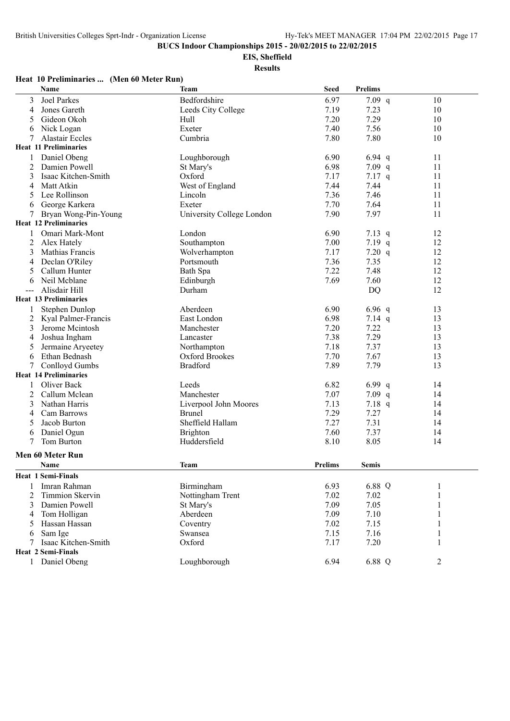**EIS, Sheffield**

**Results**

### **Heat 10 Preliminaries ... (Men 60 Meter Run)**

| Name                         | <b>Team</b>               | <b>Seed</b>    | <b>Prelims</b> |                |
|------------------------------|---------------------------|----------------|----------------|----------------|
| <b>Joel Parkes</b><br>3      | Bedfordshire              | 6.97           | $7.09$ q       | 10             |
| Jones Gareth<br>4            | Leeds City College        | 7.19           | 7.23           | 10             |
| Gideon Okoh<br>5             | Hull                      | 7.20           | 7.29           | 10             |
| Nick Logan<br>6              | Exeter                    | 7.40           | 7.56           | 10             |
| <b>Alastair Eccles</b><br>7  | Cumbria                   | 7.80           | 7.80           | 10             |
| <b>Heat 11 Preliminaries</b> |                           |                |                |                |
| Daniel Obeng                 | Loughborough              | 6.90           | 6.94 $q$       | 11             |
| Damien Powell<br>2           | St Mary's                 | 6.98           | $7.09$ q       | 11             |
| Isaac Kitchen-Smith<br>3     | Oxford                    | 7.17           | $7.17$ q       | 11             |
| Matt Atkin<br>4              | West of England           | 7.44           | 7.44           | 11             |
| Lee Rollinson<br>5           | Lincoln                   | 7.36           | 7.46           | 11             |
| George Karkera<br>6          | Exeter                    | 7.70           | 7.64           | 11             |
| Bryan Wong-Pin-Young         | University College London | 7.90           | 7.97           | 11             |
| <b>Heat 12 Preliminaries</b> |                           |                |                |                |
| Omari Mark-Mont              | London                    | 6.90           | 7.13 $q$       | 12             |
| 2<br>Alex Hately             | Southampton               | 7.00           | 7.19 $q$       | 12             |
| 3<br>Mathias Francis         | Wolverhampton             | 7.17           | $7.20$ q       | 12             |
| Declan O'Riley<br>4          | Portsmouth                | 7.36           | 7.35           | 12             |
| Callum Hunter<br>5           | Bath Spa                  | 7.22           | 7.48           | 12             |
| Neil Mcblane<br>6            | Edinburgh                 | 7.69           | 7.60           | 12             |
| Alisdair Hill                | Durham                    |                | <b>DQ</b>      | 12             |
| <b>Heat 13 Preliminaries</b> |                           |                |                |                |
| Stephen Dunlop<br>1          | Aberdeen                  | 6.90           | $6.96$ q       | 13             |
| 2<br>Kyal Palmer-Francis     | East London               | 6.98           | $7.14$ q       | 13             |
| Jerome Mcintosh<br>3         | Manchester                | 7.20           | 7.22           | 13             |
| Joshua Ingham<br>4           | Lancaster                 | 7.38           | 7.29           | 13             |
| Jermaine Aryeetey<br>5       | Northampton               | 7.18           | 7.37           | 13             |
| Ethan Bednash<br>6           | Oxford Brookes            | 7.70           | 7.67           | 13             |
| <b>Conlloyd Gumbs</b><br>7   | <b>Bradford</b>           | 7.89           | 7.79           | 13             |
| <b>Heat 14 Preliminaries</b> |                           |                |                |                |
| Oliver Back<br>1             | Leeds                     | 6.82           | 6.99 $q$       | 14             |
| 2<br>Callum Mclean           | Manchester                | 7.07           | $7.09$ q       | 14             |
| Nathan Harris<br>3           | Liverpool John Moores     | 7.13           | $7.18$ q       | 14             |
| Cam Barrows<br>4             | Brunel                    | 7.29           | 7.27           | 14             |
| Jacob Burton<br>5            | Sheffield Hallam          | 7.27           | 7.31           | 14             |
| Daniel Ogun<br>6             | Brighton                  | 7.60           | 7.37           | 14             |
| Tom Burton<br>7              | Huddersfield              | 8.10           | 8.05           | 14             |
| Men 60 Meter Run             |                           |                |                |                |
| Name                         | Team                      | <b>Prelims</b> | <b>Semis</b>   |                |
|                              |                           |                |                |                |
| <b>Heat 1 Semi-Finals</b>    |                           |                |                |                |
| Imran Rahman                 | Birmingham                | 6.93           | 6.88 Q         | 1              |
| Timmion Skervin<br>2         | Nottingham Trent          | 7.02           | 7.02           | 1              |
| 3<br>Damien Powell           | St Mary's                 | 7.09           | 7.05           | 1              |
| Tom Holligan<br>4            | Aberdeen                  | 7.09           | 7.10           | 1              |
| Hassan Hassan<br>5           | Coventry                  | 7.02           | 7.15           |                |
| Sam Ige<br>6                 | Swansea                   | 7.15           | 7.16           |                |
| Isaac Kitchen-Smith<br>7     | Oxford                    | 7.17           | 7.20           | 1              |
| <b>Heat 2 Semi-Finals</b>    |                           |                |                |                |
| Daniel Obeng<br>$\mathbf{1}$ | Loughborough              | 6.94           | 6.88 Q         | $\overline{2}$ |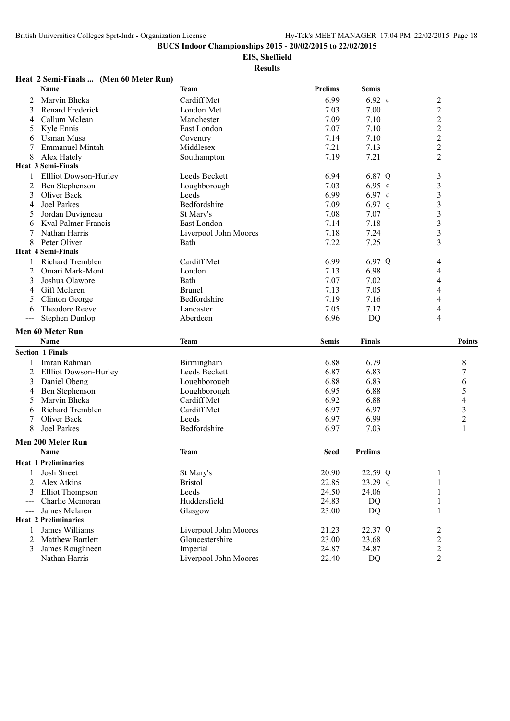**EIS, Sheffield**

**Results**

#### **Name Team Prelims Semis** 2 Marvin Bheka Cardiff Met 6.99 6.92 q 2<br>3 Renard Frederick London Met 7.03 7.00 2 3 Renard Frederick London Met 7.03 7.00 2<br>Callum Mclean Manchester 7.09 7.10 2 4 Callum Mclean 1.10 2<br>
5 Kyle Ennis East London 1.10 2<br>
6 Usman Musa 1.14 7.10 2<br>
2 Coventry 2.14 7.10 2 5 Kyle Ennis East London 7.07 7.10 2 6 Usman Musa Coventry 7.14 7.10 2 7 Emmanuel Mintah 19 Middlesex 1.13 2<br>
8 Alex Hately 1.19 2<br>
2 2 8 Alex Hately Southampton 2.19 7.21 **Heat 3 Semi-Finals** 1 Ellliot Dowson-Hurley Leeds Beckett 6.94 6.87 Q 3<br>2 Ben Stephenson 1. Loughborough 6.94 6.95 q 3 2 Ben Stephenson Loughborough 7.03 3 Oliver Back Leeds Leeds 6.99 6.97 q 3 4 Joel Parkes **Bedfordshire** 7.09 6.97 q 3 5 Jordan Duvigneau St Mary's 7.08 7.07 3 6 Kyal Palmer-Francis East London 7.14 7.18 3 7 Nathan Harris Liverpool John Moores 7.18 7.24 3<br>8 Peter Oliver 8 Rath 7.22 7.25 3 8 Peter Oliver 3 **Bath** 8 **Peter Oliver 3** 3 **Heat 4 Semi-Finals** 1 Richard Tremblen Cardiff Met 6.99 6.97 Q 4 2 Omari Mark-Mont London London 2.13 6.98 4 3 Joshua Olawore Bath 7.07 7.02 4 4 Gift Mclaren 19 Brunel 1.13 7.05 4<br>5 Clinton George 1.16 5 Clinton George 1.16 4 5 Clinton George Bedfordshire 7.19 7.16 6 Theodore Reeve Lancaster 2.05 7.17 4 --- Stephen Dunlop Aberdeen 6.96 DQ 4 **Men 60 Meter Run Name Team Semis Finals Points Section 1 Finals** 1 Imran Rahman Birmingham 6.88 6.79 8 2 Ellliot Dowson-Hurley Leeds Beckett 6.87 6.83 3 Daniel Obeng Loughborough 6.88 6.83 6 4 Ben Stephenson Loughborough 6.95 6.88 5 5 Marvin Bheka **Cardiff Met** 6.92 6.88 4 6 Richard Tremblen Cardiff Met 6.97 6.97 3 7 Oliver Back 2 Leeds 6.97 6.99 2 8 Joel Parkes **Bedfordshire** 6.97 7.03 1 **Men 200 Meter Run Name Team Seed Prelims Heat 1 Preliminaries** 1 Josh Street St Mary's 20.90 22.59 Q 1 2 Alex Atkins Bristol 22.85 23.29 q 1 3 Elliot Thompson Leeds 24.50 24.06 1 --- Charlie Mcmoran Huddersfield 24.83 DQ 1 --- James Mclaren Glasgow 23.00 DQ 1 **Heat 2 Preliminaries** 1 James Williams Liverpool John Moores 21.23 22.37 Q 2 2 Matthew Bartlett Gloucestershire 23.00 23.68 2<br>3 James Roughneen 1 – 1 – 1 – 1 – 1 – 24.87 24.87 2 3 James Roughneen Imperial 24.87 24.87 2 --- Nathan Harris Liverpool John Moores 22.40 DQ 2

### **Heat 2 Semi-Finals ... (Men 60 Meter Run)**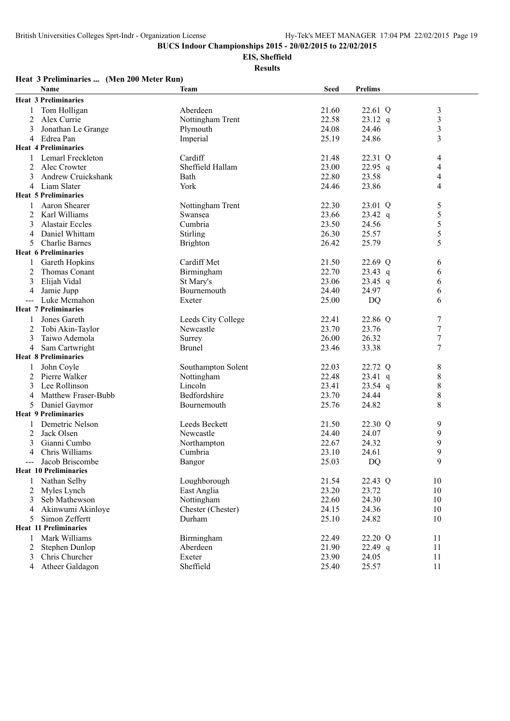**EIS, Sheffield**

**Results**

#### **Heat 3 Preliminaries ... (Men 200 Meter Run) Name Team Seed Prelims Heat 3 Preliminaries** 1 Tom Holligan Aberdeen 21.60 22.61 Q 3 2 Alex Currie 19 Nottingham Trent 22.58 23.12 q 3<br>3 Jonathan Le Grange 19 Plymouth 24.08 24.46 3 Jonathan Le Grange 24.08 24.46 4 Edrea Pan Imperial 25.19 24.86 3 **Heat 4 Preliminaries** 1 Lemarl Freckleton Cardiff 21.48 22.31 Q 4 2 Alec Crowter Sheffield Hallam 23.00 22.95 q 4<br>3 Andrew Cruickshank Bath 22.80 23.58 4 3 Andrew Cruickshank Bath 22.80 23.58 4 4 Liam Slater **12.12 Vork** 124.46 23.86 4 **Heat 5 Preliminaries** 1 Aaron Shearer 1 1 Aaron Shearer 1 22.30 23.01 Q 5 2 Karl Williams Swansea 23.66 23.42 q 5<br>3 Alastair Eccles 6 Cumbria 23.50 24.56 5 3 Alastair Eccles Cumbria 23.50 24.56 5<br>4 Daniel Whittam Stirling 26.30 25.57 5 4 Daniel Whittam Stirling 26.30 25.57 5 Charlie Barnes 26.42 25.79 5 S **Heat 6 Preliminaries** 1 Gareth Hopkins **Cardiff Met** 21.50 22.69 Q 6 2 Thomas Conant 22.70 23.43 q 6<br>
23 Elijah Vidal 23.06 23.45 q 6<br>
23 Elijah Vidal 23.06 23.45 q 6 3 Elijah Vidal St Mary's 23.06 23.45 q 6 4 Jamie Jupp Bournemouth 24.40 24.97 6 --- Luke Mcmahon Exeter 25.00 DQ 6 **Heat 7 Preliminaries** 1 Jones Gareth 1 Leeds City College 22.41 22.86 Q 7<br>2 Tobi Akin-Taylor 1 Newcastle 23.70 23.76 7 2 Tobi Akin-Taylor Newcastle 23.70 23.76 3 Taiwo Ademola Surrey 26.00 26.32 7 4 Sam Cartwright Brunel 23.46 33.38 7 **Heat 8 Preliminaries** 1 John Coyle Southampton Solent 22.03 22.72 Q 8<br>2 Pierre Walker Nottingham 22.48 23.41 q 8 2 Pierre Walker Nottingham 22.48 23.41 q 8<br>3 Lee Rollinson 23.54 q 8 3 Lee Rollinson 23.41 23.41 23.41 23.41 23.70 23.70 4 Matthew Fraser-Bubb Bedfordshire 23.70 24.44 8<br>5 Daniel Gaymor Bournemouth 25.76 24.82 8 5 Daniel Gaymor **Heat 9 Preliminaries** 1 Demetric Nelson Leeds Beckett 21.50 22.30 Q 9 2 Jack Olsen 24.07 19 Newcastle 24.40 24.07 9 3 Gianni Cumbo Northampton 22.67 24.32 9 4 Chris Williams Cumbria 23.10 24.61 9 --- Jacob Briscombe Bangor Bangor 25.03 DQ 9 **Heat 10 Preliminaries** 1 Nathan Selby Loughborough 21.54 22.43 Q 10 2 Myles Lynch East Anglia 23.20 23.72 10 3 Seb Mathewson Nottingham 22.60 24.30 10 4 Akinwumi Akinloye Chester (Chester) 24.15 24.36 10 5 Simon Zeffertt Durham 25.10 24.82 10 **Heat 11 Preliminaries** 1 Mark Williams Birmingham 22.49 22.20 Q 11 2 Stephen Dunlop Aberdeen 21.90 22.49 q 11 3 Chris Churcher Exeter 23.90 24.05 11 4 Atheer Galdagon Sheffield 25.40 25.57 11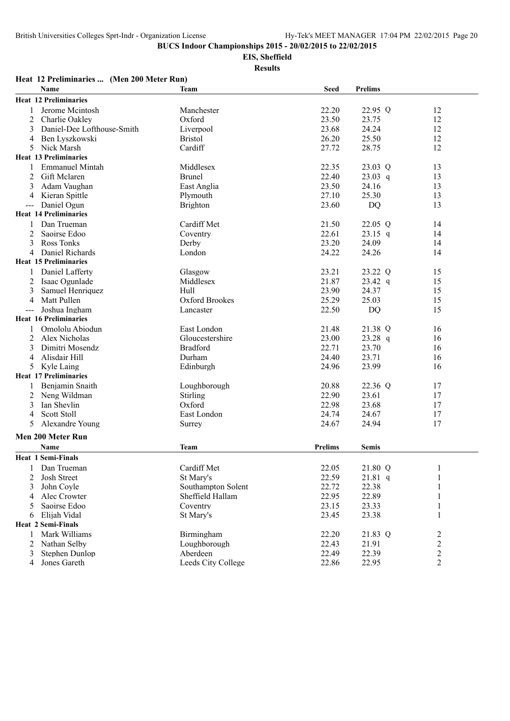**EIS, Sheffield**

|       | Heat 12 Preliminaries  (Men 200 Meter Run) |                    |                |                |               |  |
|-------|--------------------------------------------|--------------------|----------------|----------------|---------------|--|
|       | <b>Name</b>                                | Team               | <b>Seed</b>    | <b>Prelims</b> |               |  |
|       | <b>Heat 12 Preliminaries</b>               |                    |                |                |               |  |
|       | Jerome Mcintosh                            | Manchester         | 22.20          | 22.95 Q        | 12            |  |
| 2     | Charlie Oakley                             | Oxford             | 23.50          | 23.75          | 12            |  |
| 3     | Daniel-Dee Lofthouse-Smith                 | Liverpool          | 23.68          | 24.24          | 12            |  |
| 4     | Ben Lyszkowski                             | <b>Bristol</b>     | 26.20          | 25.50          | 12            |  |
| 5     | Nick Marsh                                 | Cardiff            | 27.72          | 28.75          | 12            |  |
|       | <b>Heat 13 Preliminaries</b>               |                    |                |                |               |  |
|       | <b>Emmanuel Mintah</b>                     | Middlesex          | 22.35          | 23.03 Q        | 13            |  |
| 2     | Gift Mclaren                               | <b>Brunel</b>      | 22.40          | 23.03 q        | 13            |  |
| 3     | Adam Vaughan                               | East Anglia        | 23.50          | 24.16          | 13            |  |
| 4     | Kieran Spittle                             | Plymouth           | 27.10          | 25.30          | 13            |  |
| $---$ | Daniel Ogun                                | <b>Brighton</b>    | 23.60          | DQ             | 13            |  |
|       | <b>Heat 14 Preliminaries</b>               |                    |                |                |               |  |
|       | Dan Trueman                                | Cardiff Met        | 21.50          | 22.05 Q        | 14            |  |
| 2     | Saoirse Edoo                               | Coventry           | 22.61          | $23.15$ q      | 14            |  |
| 3     | Ross Tonks                                 | Derby              | 23.20          | 24.09          | 14            |  |
| 4     | Daniel Richards                            | London             | 24.22          | 24.26          | 14            |  |
|       | <b>Heat 15 Preliminaries</b>               |                    |                |                |               |  |
| 1     | Daniel Lafferty                            | Glasgow            | 23.21          | 23.22 Q        | 15            |  |
| 2     | Isaac Ogunlade                             | Middlesex          | 21.87          | $23.42$ q      | 15            |  |
| 3     | Samuel Henriquez                           | Hull               | 23.90          | 24.37          | 15            |  |
| 4     | Matt Pullen                                | Oxford Brookes     | 25.29          | 25.03          | 15            |  |
|       | Joshua Ingham                              | Lancaster          | 22.50          | DQ             | 15            |  |
|       | <b>Heat 16 Preliminaries</b>               |                    |                |                |               |  |
| 1     | Omololu Abiodun                            | East London        | 21.48          | 21.38 Q        | 16            |  |
| 2     | Alex Nicholas                              | Gloucestershire    | 23.00          | $23.28$ q      | 16            |  |
| 3     | Dimitri Mosendz                            | <b>Bradford</b>    | 22.71          | 23.70          | 16            |  |
| 4     | Alisdair Hill                              | Durham             | 24.40          | 23.71          | 16            |  |
| 5     | Kyle Laing                                 | Edinburgh          | 24.96          | 23.99          | 16            |  |
|       | <b>Heat 17 Preliminaries</b>               |                    |                |                |               |  |
| 1     | Benjamin Snaith                            | Loughborough       | 20.88          | 22.36 Q        | 17            |  |
| 2     | Neng Wildman                               | Stirling           | 22.90          | 23.61          | 17            |  |
| 3     | Ian Shevlin                                | Oxford             | 22.98          | 23.68          | 17            |  |
| 4     | <b>Scott Stoll</b>                         | East London        | 24.74          | 24.67          | 17            |  |
| 5     | Alexandre Young                            | Surrey             | 24.67          | 24.94          | 17            |  |
|       | Men 200 Meter Run                          |                    |                |                |               |  |
|       | Name                                       | Team               | <b>Prelims</b> | <b>Semis</b>   |               |  |
|       | <b>Heat 1 Semi-Finals</b>                  |                    |                |                |               |  |
|       | Dan Trueman                                | Cardiff Met        | 22.05          | 21.80 Q        | 1             |  |
| 2     | Josh Street                                | St Mary's          | 22.59          | $21.81$ q      | 1             |  |
| 3     | John Coyle                                 | Southampton Solent | 22.72          | 22.38          | 1             |  |
| 4     | Alec Crowter                               | Sheffield Hallam   | 22.95          | 22.89          | 1             |  |
| 5     | Saoirse Edoo                               | Coventry           | 23.15          | 23.33          | $\mathbf 1$   |  |
| 6     | Elijah Vidal                               | St Mary's          | 23.45          | 23.38          | $\mathbf{1}$  |  |
|       | <b>Heat 2 Semi-Finals</b>                  |                    |                |                |               |  |
| 1     | Mark Williams                              | Birmingham         | 22.20          | 21.83 Q        |               |  |
| 2     | Nathan Selby                               | Loughborough       | 22.43          | 21.91          | $\frac{2}{2}$ |  |
| 3     | Stephen Dunlop                             | Aberdeen           | 22.49          | 22.39          |               |  |
| 4     | Jones Gareth                               | Leeds City College | 22.86          | 22.95          | $\frac{2}{2}$ |  |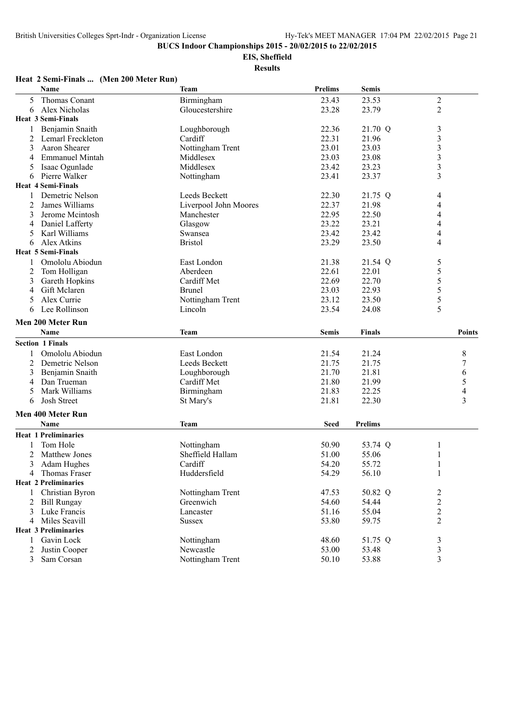**EIS, Sheffield**

**Results**

#### **Heat 2 Semi-Finals ... (Men 200 Meter Run)**

|                | Name                        | <b>Team</b>           | <b>Prelims</b> | <b>Semis</b>   |                         |
|----------------|-----------------------------|-----------------------|----------------|----------------|-------------------------|
| 5              | Thomas Conant               | Birmingham            | 23.43          | 23.53          | $\boldsymbol{2}$        |
| 6              | Alex Nicholas               | Gloucestershire       | 23.28          | 23.79          | $\overline{2}$          |
|                | <b>Heat 3 Semi-Finals</b>   |                       |                |                |                         |
|                | Benjamin Snaith             | Loughborough          | 22.36          | 21.70 Q        | 3                       |
| 2              | Lemarl Freckleton           | Cardiff               | 22.31          | 21.96          | $\mathfrak{Z}$          |
| 3              | Aaron Shearer               | Nottingham Trent      | 23.01          | 23.03          | $\mathfrak{Z}$          |
| 4              | <b>Emmanuel Mintah</b>      | Middlesex             | 23.03          | 23.08          | $\mathfrak{Z}$          |
| 5              | Isaac Ogunlade              | Middlesex             | 23.42          | 23.23          | $\mathfrak{Z}$          |
| 6              | Pierre Walker               | Nottingham            | 23.41          | 23.37          | 3                       |
|                | <b>Heat 4 Semi-Finals</b>   |                       |                |                |                         |
|                | Demetric Nelson             | Leeds Beckett         | 22.30          | 21.75 Q        | 4                       |
| 2              | James Williams              | Liverpool John Moores | 22.37          | 21.98          | 4                       |
| 3              | Jerome Mcintosh             | Manchester            | 22.95          | 22.50          | 4                       |
| 4              | Daniel Lafferty             | Glasgow               | 23.22          | 23.21          | 4                       |
| 5              | Karl Williams               | Swansea               | 23.42          | 23.42          | 4                       |
| 6              | Alex Atkins                 | <b>Bristol</b>        | 23.29          | 23.50          | $\overline{4}$          |
|                | <b>Heat 5 Semi-Finals</b>   |                       |                |                |                         |
| 1              | Omololu Abiodun             | East London           | 21.38          | 21.54 Q        | 5                       |
| $\overline{2}$ | Tom Holligan                | Aberdeen              | 22.61          | 22.01          | 5                       |
| 3              | Gareth Hopkins              | Cardiff Met           | 22.69          | 22.70          | 5                       |
| 4              | Gift Mclaren                | <b>Brunel</b>         | 23.03          | 22.93          | 5                       |
| 5              | Alex Currie                 | Nottingham Trent      | 23.12          | 23.50          | 5                       |
| 6              | Lee Rollinson               | Lincoln               | 23.54          | 24.08          | 5                       |
|                |                             |                       |                |                |                         |
|                | Men 200 Meter Run           |                       |                |                |                         |
|                | Name                        | <b>Team</b>           | Semis          | <b>Finals</b>  | Points                  |
|                | <b>Section 1 Finals</b>     |                       |                |                |                         |
|                | Omololu Abiodun             | East London           | 21.54          | 21.24          | 8                       |
| 2              | Demetric Nelson             | Leeds Beckett         | 21.75          | 21.75          | 7                       |
| 3              | Benjamin Snaith             | Loughborough          | 21.70          | 21.81          | 6                       |
| 4              | Dan Trueman                 | Cardiff Met           | 21.80          | 21.99          | 5                       |
| 5              | Mark Williams               | Birmingham            | 21.83          | 22.25          | 4                       |
| 6              | Josh Street                 | St Mary's             | 21.81          | 22.30          | $\overline{\mathbf{3}}$ |
|                | Men 400 Meter Run           |                       |                |                |                         |
|                | Name                        | <b>Team</b>           | <b>Seed</b>    | <b>Prelims</b> |                         |
|                |                             |                       |                |                |                         |
|                | <b>Heat 1 Preliminaries</b> |                       |                |                |                         |
|                | Tom Hole                    | Nottingham            | 50.90          | 53.74 Q        | 1                       |
| 2              | Matthew Jones               | Sheffield Hallam      | 51.00          | 55.06          | 1                       |
| 3              | Adam Hughes                 | Cardiff               | 54.20          | 55.72          | 1                       |
| 4              | Thomas Fraser               | Huddersfield          | 54.29          | 56.10          | 1                       |
|                | <b>Heat 2 Preliminaries</b> |                       |                |                |                         |
| 1              | Christian Byron             | Nottingham Trent      | 47.53          | 50.82 Q        | $\overline{c}$          |
| 2              | <b>Bill Rungay</b>          | Greenwich             | 54.60          | 54.44          | $\overline{c}$          |
| 3              | Luke Francis                | Lancaster             | 51.16          | 55.04          | $\overline{c}$          |
|                | 4 Miles Seavill             | <b>Sussex</b>         | 53.80          | 59.75          | $\overline{2}$          |
|                | <b>Heat 3 Preliminaries</b> |                       |                |                |                         |
| 1              | Gavin Lock                  | Nottingham            | 48.60          | 51.75 Q        | $\mathfrak{Z}$          |
| 2              | Justin Cooper               | Newcastle             | 53.00          | 53.48          | 3                       |
| 3              | Sam Corsan                  | Nottingham Trent      | 50.10          | 53.88          | 3                       |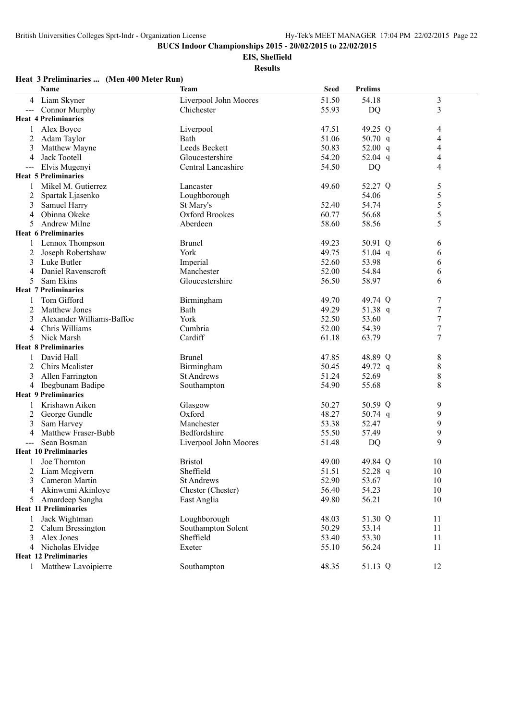**EIS, Sheffield**

**Results**

## **Heat 3 Preliminaries ... (Men 400 Meter Run)**

|        | Name                                     | Team                  | <b>Seed</b>    | <b>Prelims</b>   |                                      |
|--------|------------------------------------------|-----------------------|----------------|------------------|--------------------------------------|
| 4      | Liam Skyner                              | Liverpool John Moores | 51.50          | 54.18            | $\mathfrak{Z}$                       |
| $---$  | <b>Connor Murphy</b>                     | Chichester            | 55.93          | <b>DQ</b>        | $\overline{\mathbf{3}}$              |
|        | <b>Heat 4 Preliminaries</b>              |                       |                |                  |                                      |
| 1      | Alex Boyce                               | Liverpool             | 47.51          | 49.25 Q          | 4                                    |
| 2      | Adam Taylor                              | Bath                  | 51.06          | 50.70 $q$        | 4                                    |
| 3      | Matthew Mayne                            | Leeds Beckett         | 50.83          | 52.00 $q$        | 4                                    |
| 4      | Jack Tootell                             | Gloucestershire       | 54.20          | 52.04 q          | 4                                    |
| $---$  | Elvis Mugenyi                            | Central Lancashire    | 54.50          | DQ               | 4                                    |
|        | <b>Heat 5 Preliminaries</b>              |                       |                |                  |                                      |
| 1      | Mikel M. Gutierrez                       | Lancaster             | 49.60          | 52.27 Q          | 5                                    |
| 2      | Spartak Ljasenko                         | Loughborough          |                | 54.06            | 5                                    |
| 3      | Samuel Harry                             | St Mary's             | 52.40          | 54.74            | 5                                    |
| 4      | Obinna Okeke                             | Oxford Brookes        | 60.77          | 56.68            | 5                                    |
| 5      | <b>Andrew Milne</b>                      | Aberdeen              | 58.60          | 58.56            | 5                                    |
|        | <b>Heat 6 Preliminaries</b>              |                       |                |                  |                                      |
|        | Lennox Thompson                          | <b>Brunel</b>         | 49.23          | 50.91 Q          | 6                                    |
| 2      | Joseph Robertshaw                        | York                  | 49.75          | 51.04 $q$        | 6                                    |
| 3      | Luke Butler                              | Imperial              | 52.60          | 53.98            | 6                                    |
| 4      | Daniel Ravenscroft                       | Manchester            | 52.00          | 54.84            | 6                                    |
| 5      | Sam Ekins<br><b>Heat 7 Preliminaries</b> | Gloucestershire       | 56.50          | 58.97            | 6                                    |
|        |                                          |                       |                |                  |                                      |
|        | Tom Gifford<br>Matthew Jones             | Birmingham<br>Bath    | 49.70<br>49.29 | 49.74 Q          | 7                                    |
| 2<br>3 | Alexander Williams-Baffoe                | York                  | 52.50          | 51.38 q<br>53.60 | $\boldsymbol{7}$<br>$\boldsymbol{7}$ |
| 4      | Chris Williams                           | Cumbria               | 52.00          | 54.39            | 7                                    |
| 5      | Nick Marsh                               | Cardiff               | 61.18          | 63.79            | $\boldsymbol{7}$                     |
|        | <b>Heat 8 Preliminaries</b>              |                       |                |                  |                                      |
|        | David Hall                               | <b>Brunel</b>         | 47.85          | 48.89 Q          | 8                                    |
| 2      | Chirs Mcalister                          | Birmingham            | 50.45          | 49.72 q          | 8                                    |
| 3      | Allen Farrington                         | <b>St Andrews</b>     | 51.24          | 52.69            | 8                                    |
| 4      | Ibegbunam Badipe                         | Southampton           | 54.90          | 55.68            | 8                                    |
|        | <b>Heat 9 Preliminaries</b>              |                       |                |                  |                                      |
|        | Krishawn Aiken                           | Glasgow               | 50.27          | 50.59 Q          | 9                                    |
| 2      | George Gundle                            | Oxford                | 48.27          | 50.74 $q$        | 9                                    |
| 3      | Sam Harvey                               | Manchester            | 53.38          | 52.47            | 9                                    |
| 4      | Matthew Fraser-Bubb                      | Bedfordshire          | 55.50          | 57.49            | 9                                    |
|        | Sean Bosman                              | Liverpool John Moores | 51.48          | DQ               | 9                                    |
|        | <b>Heat 10 Preliminaries</b>             |                       |                |                  |                                      |
|        | Joe Thornton                             | <b>Bristol</b>        | 49.00          | 49.84 Q          | 10                                   |
| 2      | Liam Mcgivern                            | Sheffield             | 51.51          | 52.28 q          | 10                                   |
| 3      | Cameron Martin                           | <b>St Andrews</b>     | 52.90          | 53.67            | 10                                   |
| 4      | Akinwumi Akinloye                        | Chester (Chester)     | 56.40          | 54.23            | 10                                   |
| 5      | Amardeep Sangha                          | East Anglia           | 49.80          | 56.21            | 10                                   |
|        | <b>Heat 11 Preliminaries</b>             |                       |                |                  |                                      |
| 1      | Jack Wightman                            | Loughborough          | 48.03          | 51.30 Q          | 11                                   |
|        | 2 Calum Bressington                      | Southampton Solent    | 50.29          | 53.14            | 11                                   |
| 3      | Alex Jones                               | Sheffield             | 53.40          | 53.30            | 11                                   |
| 4      | Nicholas Elvidge                         | Exeter                | 55.10          | 56.24            | 11                                   |
|        | <b>Heat 12 Preliminaries</b>             |                       |                |                  |                                      |
|        | 1 Matthew Lavoipierre                    | Southampton           | 48.35          | 51.13 Q          | 12                                   |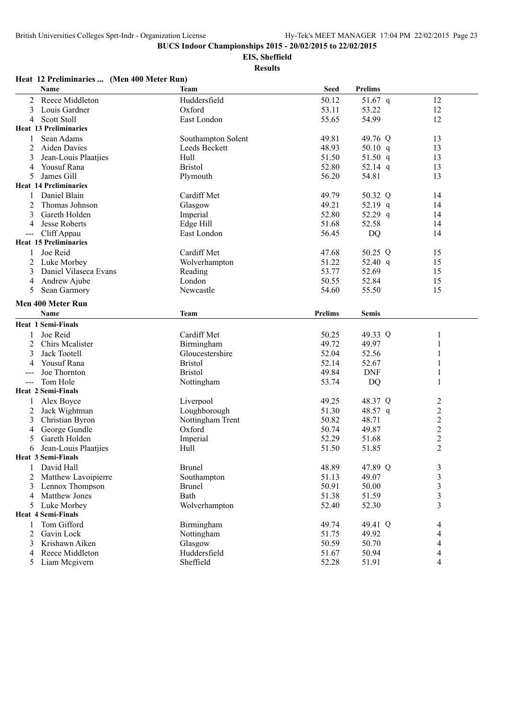**EIS, Sheffield**

|       | Name                         | <b>Team</b>        | <b>Seed</b>    | <b>Prelims</b> |                |
|-------|------------------------------|--------------------|----------------|----------------|----------------|
| 2     | Reece Middleton              | Huddersfield       | 50.12          | 51.67 $q$      | 12             |
| 3     | Louis Gardner                | Oxford             | 53.11          | 53.22          | 12             |
| 4     | <b>Scott Stoll</b>           | East London        | 55.65          | 54.99          | 12             |
|       | <b>Heat 13 Preliminaries</b> |                    |                |                |                |
| 1     | Sean Adams                   | Southampton Solent | 49.81          | 49.76 Q        | 13             |
| 2     | Aiden Davies                 | Leeds Beckett      | 48.93          | 50.10 $q$      | 13             |
| 3     | Jean-Louis Plaatjies         | Hull               | 51.50          | 51.50 q        | 13             |
| 4     | <b>Yousuf Rana</b>           | <b>Bristol</b>     | 52.80          | 52.14 $q$      | 13             |
| 5     | James Gill                   | Plymouth           | 56.20          | 54.81          | 13             |
|       | <b>Heat 14 Preliminaries</b> |                    |                |                |                |
| 1     | Daniel Blain                 | Cardiff Met        | 49.79          | 50.32 Q        | 14             |
| 2     | Thomas Johnson               | Glasgow            | 49.21          | 52.19 q        | 14             |
| 3     | Gareth Holden                | Imperial           | 52.80          | 52.29 q        | 14             |
| 4     | Jesse Roberts                | Edge Hill          | 51.68          | 52.58          | 14             |
|       | Cliff Appau                  | East London        | 56.45          | <b>DQ</b>      | 14             |
|       | <b>Heat 15 Preliminaries</b> |                    |                |                |                |
| 1     | Joe Reid                     | Cardiff Met        | 47.68          | 50.25 Q        | 15             |
| 2     | Luke Morbey                  | Wolverhampton      | 51.22          | 52.40 q        | 15             |
| 3     | Daniel Vilaseca Evans        | Reading            | 53.77          | 52.69          | 15             |
| 4     | Andrew Ajube                 | London             | 50.55          | 52.84          | 15             |
| 5     | Sean Garmory                 | Newcastle          | 54.60          | 55.50          | 15             |
|       |                              |                    |                |                |                |
|       | <b>Men 400 Meter Run</b>     |                    |                |                |                |
|       | Name                         | <b>Team</b>        | <b>Prelims</b> | <b>Semis</b>   |                |
|       | <b>Heat 1 Semi-Finals</b>    |                    |                |                |                |
| 1     | Joe Reid                     | Cardiff Met        | 50.25          | 49.33 Q        | 1              |
| 2     | <b>Chirs Mcalister</b>       | Birmingham         | 49.72          | 49.97          | 1              |
| 3     | Jack Tootell                 | Gloucestershire    | 52.04          | 52.56          | 1              |
| 4     | Yousuf Rana                  | <b>Bristol</b>     | 52.14          | 52.67          | 1              |
|       | Joe Thornton                 | <b>Bristol</b>     | 49.84          | <b>DNF</b>     | 1              |
| $---$ | Tom Hole                     | Nottingham         | 53.74          | DQ             | 1              |
|       | <b>Heat 2 Semi-Finals</b>    |                    |                |                |                |
|       | Alex Boyce                   | Liverpool          | 49.25          | 48.37 Q        | $\overline{c}$ |
| 2     | Jack Wightman                | Loughborough       | 51.30          | 48.57 q        | $\overline{c}$ |
| 3     | Christian Byron              | Nottingham Trent   | 50.82          | 48.71          | $\overline{c}$ |
| 4     | George Gundle                | Oxford             | 50.74          | 49.87          |                |
| 5     | Gareth Holden                | Imperial           | 52.29          | 51.68          | $\frac{2}{2}$  |
| 6     | Jean-Louis Plaatjies         | Hull               | 51.50          | 51.85          | $\overline{2}$ |
|       | <b>Heat 3 Semi-Finals</b>    |                    |                |                |                |
|       | David Hall                   | <b>Brunel</b>      | 48.89          | 47.89 Q        | 3              |
|       | Matthew Lavoipierre          | Southampton        | 51.13          | 49.07          | 3              |
| 3     | Lennox Thompson              | <b>Brunel</b>      | 50.91          | 50.00          | 3              |
| 4     | <b>Matthew Jones</b>         | Bath               | 51.38          | 51.59          | 3              |
| 5     | Luke Morbey                  | Wolverhampton      | 52.40          | 52.30          | 3              |
|       | <b>Heat 4 Semi-Finals</b>    |                    |                |                |                |
| 1     | Tom Gifford                  | Birmingham         | 49.74          | 49.41 Q        | 4              |
| 2     | Gavin Lock                   | Nottingham         | 51.75          | 49.92          | 4              |
| 3     | Krishawn Aiken               | Glasgow            | 50.59          | 50.70          | 4              |
| 4     | Reece Middleton              | Huddersfield       | 51.67          | 50.94          | 4              |
|       | 5 Liam Mcgivern              | Sheffield          | 52.28          | 51.91          | 4              |
|       |                              |                    |                |                |                |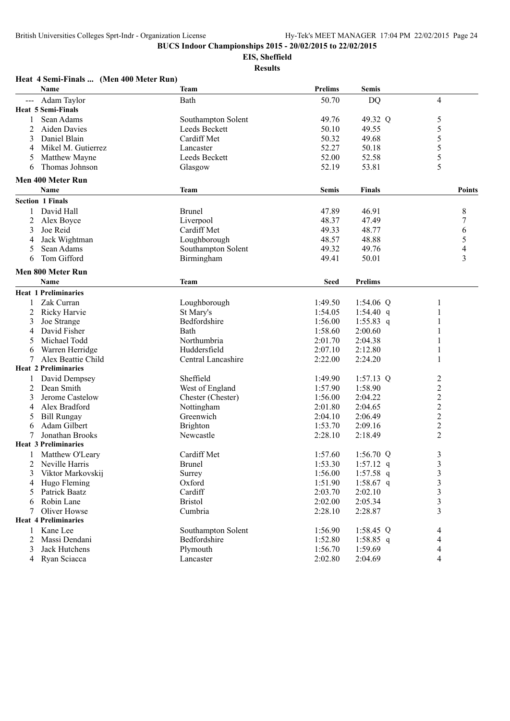**EIS, Sheffield**

|                   | Heat 4 Semi-Finals  (Men 400 Meter Run) |                    |                |                |                         |
|-------------------|-----------------------------------------|--------------------|----------------|----------------|-------------------------|
|                   | Name                                    | <b>Team</b>        | <b>Prelims</b> | <b>Semis</b>   |                         |
| $\qquad \qquad -$ | Adam Taylor                             | Bath               | 50.70          | <b>DQ</b>      | 4                       |
|                   | <b>Heat 5 Semi-Finals</b>               |                    |                |                |                         |
| 1                 | Sean Adams                              | Southampton Solent | 49.76          | 49.32 Q        | 5                       |
| 2                 | Aiden Davies                            | Leeds Beckett      | 50.10          | 49.55          | 5                       |
| 3                 | Daniel Blain                            | Cardiff Met        | 50.32          | 49.68          | 5                       |
| 4                 | Mikel M. Gutierrez                      | Lancaster          | 52.27          | 50.18          | 5                       |
| 5                 | Matthew Mayne                           | Leeds Beckett      | 52.00          | 52.58          | 5                       |
| 6                 | Thomas Johnson                          | Glasgow            | 52.19          | 53.81          | 5                       |
|                   | Men 400 Meter Run                       |                    |                |                |                         |
|                   | <b>Name</b>                             | <b>Team</b>        | <b>Semis</b>   | <b>Finals</b>  | Points                  |
|                   | <b>Section 1 Finals</b>                 |                    |                |                |                         |
| 1                 | David Hall                              | <b>Brunel</b>      | 47.89          | 46.91          | 8                       |
| $\overline{2}$    | Alex Boyce                              | Liverpool          | 48.37          | 47.49          | 7                       |
| 3                 | Joe Reid                                | Cardiff Met        | 49.33          | 48.77          | 6                       |
| 4                 | Jack Wightman                           | Loughborough       | 48.57          | 48.88          | 5                       |
| 5                 | Sean Adams                              | Southampton Solent | 49.32          | 49.76          | $\overline{4}$          |
| 6                 | Tom Gifford                             | Birmingham         | 49.41          | 50.01          | 3                       |
|                   | Men 800 Meter Run                       |                    |                |                |                         |
|                   | Name                                    | <b>Team</b>        | <b>Seed</b>    | <b>Prelims</b> |                         |
|                   | <b>Heat 1 Preliminaries</b>             |                    |                |                |                         |
| 1                 | Zak Curran                              | Loughborough       | 1:49.50        | 1:54.06 $Q$    | 1                       |
| 2                 | Ricky Harvie                            | St Mary's          | 1:54.05        | $1:54.40$ q    |                         |
| 3                 | Joe Strange                             | Bedfordshire       | 1:56.00        | $1:55.83$ q    | 1                       |
| 4                 | David Fisher                            | Bath               | 1:58.60        | 2:00.60        | 1                       |
| 5                 | Michael Todd                            | Northumbria        | 2:01.70        | 2:04.38        | 1                       |
| 6                 | Warren Herridge                         | Huddersfield       | 2:07.10        | 2:12.80        | 1                       |
| 7                 | Alex Beattie Child                      | Central Lancashire | 2:22.00        | 2:24.20        | $\mathbf{1}$            |
|                   | <b>Heat 2 Preliminaries</b>             |                    |                |                |                         |
|                   | David Dempsey                           | Sheffield          | 1:49.90        | $1:57.13$ Q    | $\overline{c}$          |
| 2                 | Dean Smith                              | West of England    | 1:57.90        | 1:58.90        | $\overline{2}$          |
| 3                 | Jerome Castelow                         | Chester (Chester)  | 1:56.00        | 2:04.22        | $\overline{c}$          |
| 4                 | Alex Bradford                           | Nottingham         | 2:01.80        | 2:04.65        |                         |
| 5                 | <b>Bill Rungay</b>                      | Greenwich          | 2:04.10        | 2:06.49        | $\frac{2}{2}$           |
| 6                 | Adam Gilbert                            | <b>Brighton</b>    | 1:53.70        | 2:09.16        | $\overline{c}$          |
|                   | <b>Jonathan Brooks</b>                  | Newcastle          | 2:28.10        | 2:18.49        | $\overline{2}$          |
|                   | <b>Heat 3 Preliminaries</b>             |                    |                |                |                         |
|                   | Matthew O'Leary                         | Cardiff Met        | 1:57.60        | 1:56.70 $Q$    | 3                       |
| 2                 | Neville Harris                          | <b>Brunel</b>      | 1:53.30        | $1:57.12$ q    | $\mathfrak{Z}$          |
| 3                 | Viktor Markovskij                       | Surrey             | 1:56.00        | $1:57.58$ q    | 3                       |
| 4                 | Hugo Fleming                            | Oxford             | 1:51.90        | 1:58.67 q      | $\overline{\mathbf{3}}$ |
| 5                 | Patrick Baatz                           | Cardiff            | 2:03.70        | 2:02.10        |                         |
| 6                 | Robin Lane                              | <b>Bristol</b>     | 2:02.00        | 2:05.34        | $\frac{3}{3}$           |
| 7                 | Oliver Howse                            | Cumbria            | 2:28.10        | 2:28.87        | $\overline{3}$          |
|                   | <b>Heat 4 Preliminaries</b>             |                    |                |                |                         |
| 1                 | Kane Lee                                | Southampton Solent | 1:56.90        | $1:58.45$ Q    | 4                       |
| $\overline{2}$    | Massi Dendani                           | Bedfordshire       | 1:52.80        | 1:58.85 q      | $\overline{4}$          |
| 3                 | Jack Hutchens                           | Plymouth           | 1:56.70        | 1:59.69        | 4                       |
| 4                 | Ryan Sciacca                            | Lancaster          | 2:02.80        | 2:04.69        | 4                       |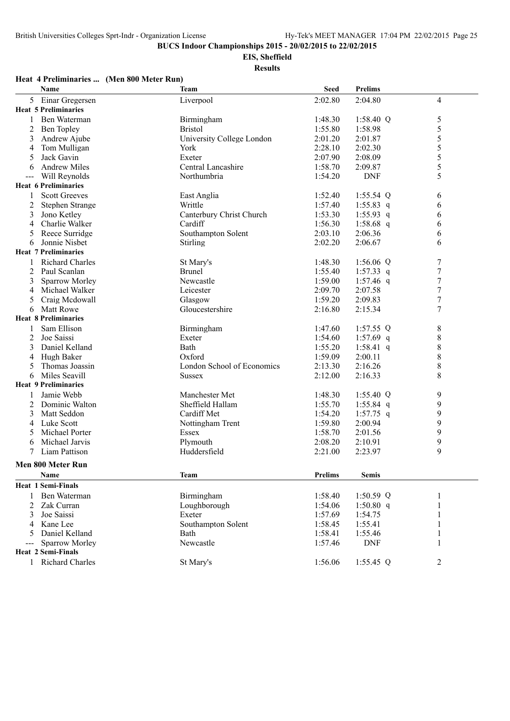**EIS, Sheffield**

**Results**

## **Heat 4 Preliminaries ... (Men 800 Meter Run)**

|                     | Name                        | <b>Team</b>                | <b>Seed</b>    | <b>Prelims</b> |                |
|---------------------|-----------------------------|----------------------------|----------------|----------------|----------------|
|                     | 5 Einar Gregersen           | Liverpool                  | 2:02.80        | 2:04.80        | $\overline{4}$ |
|                     | <b>Heat 5 Preliminaries</b> |                            |                |                |                |
| 1                   | Ben Waterman                | Birmingham                 | 1:48.30        | 1:58.40 Q      | 5              |
| $\overline{c}$      | Ben Topley                  | <b>Bristol</b>             | 1:55.80        | 1:58.98        | 5              |
| 3                   | Andrew Ajube                | University College London  | 2:01.20        | 2:01.87        | 5              |
| 4                   | Tom Mulligan                | York                       | 2:28.10        | 2:02.30        | 5              |
| 5                   | Jack Gavin                  | Exeter                     | 2:07.90        | 2:08.09        | 5              |
| 6                   | <b>Andrew Miles</b>         | Central Lancashire         | 1:58.70        | 2:09.87        | 5              |
| $\qquad \qquad - -$ | Will Reynolds               | Northumbria                | 1:54.20        | <b>DNF</b>     | 5              |
|                     | <b>Heat 6 Preliminaries</b> |                            |                |                |                |
|                     | <b>Scott Greeves</b>        | East Anglia                | 1:52.40        | $1:55.54$ Q    | 6              |
| 2                   | Stephen Strange             | Writtle                    | 1:57.40        | $1:55.83$ q    | 6              |
| 3                   | Jono Ketley                 | Canterbury Christ Church   | 1:53.30        | 1:55.93 q      | 6              |
| $\overline{4}$      | Charlie Walker              | Cardiff                    | 1:56.30        | 1:58.68 $q$    | 6              |
| 5                   | Reece Surridge              | Southampton Solent         | 2:03.10        | 2:06.36        | 6              |
| 6                   | Jonnie Nisbet               | Stirling                   | 2:02.20        | 2:06.67        | 6              |
|                     | <b>Heat 7 Preliminaries</b> |                            |                |                |                |
|                     | <b>Richard Charles</b>      | St Mary's                  | 1:48.30        | 1:56.06 $Q$    | 7              |
| 2                   | Paul Scanlan                | <b>Brunel</b>              | 1:55.40        | 1:57.33 q      | 7              |
| 3                   | Sparrow Morley              | Newcastle                  | 1:59.00        | 1:57.46 $q$    | $\overline{7}$ |
| 4                   | Michael Walker              | Leicester                  | 2:09.70        | 2:07.58        | $\overline{7}$ |
| 5                   | Craig Mcdowall              | Glasgow                    | 1:59.20        | 2:09.83        | $\overline{7}$ |
| 6                   | <b>Matt Rowe</b>            | Gloucestershire            | 2:16.80        | 2:15.34        | $\overline{7}$ |
|                     | <b>Heat 8 Preliminaries</b> |                            |                |                |                |
|                     | Sam Ellison                 | Birmingham                 | 1:47.60        | 1:57.55 $Q$    | 8              |
| 2                   | Joe Saissi                  | Exeter                     | 1:54.60        | 1:57.69 q      | 8              |
| 3                   | Daniel Kelland              | Bath                       | 1:55.20        | 1:58.41 q      | $\,$ 8 $\,$    |
| 4                   | Hugh Baker                  | Oxford                     | 1:59.09        | 2:00.11        | 8              |
| 5                   | Thomas Joassin              | London School of Economics | 2:13.30        | 2:16.26        | 8              |
| 6                   | Miles Seavill               | <b>Sussex</b>              | 2:12.00        | 2:16.33        | 8              |
|                     | <b>Heat 9 Preliminaries</b> |                            |                |                |                |
|                     | Jamie Webb                  | Manchester Met             | 1:48.30        | $1:55.40$ Q    | 9              |
| 2                   | Dominic Walton              | Sheffield Hallam           | 1:55.70        | $1:55.84$ q    | 9              |
| 3                   | Matt Seddon                 | Cardiff Met                | 1:54.20        | $1:57.75$ q    | 9              |
| 4                   | Luke Scott                  | Nottingham Trent           | 1:59.80        | 2:00.94        | 9              |
| 5                   | Michael Porter              | Essex                      | 1:58.70        | 2:01.56        | 9              |
| 6                   | Michael Jarvis              | Plymouth                   | 2:08.20        | 2:10.91        | 9              |
|                     | Liam Pattison               | Huddersfield               | 2:21.00        | 2:23.97        | 9              |
|                     | Men 800 Meter Run           |                            |                |                |                |
|                     | Name                        | <b>Team</b>                | <b>Prelims</b> | <b>Semis</b>   |                |
|                     | <b>Heat 1 Semi-Finals</b>   |                            |                |                |                |
| 1                   | Ben Waterman                | Birmingham                 | 1:58.40        | 1:50.59 $Q$    | 1              |
| 2                   | Zak Curran                  | Loughborough               | 1:54.06        | $1:50.80$ q    |                |
| 3                   | Joe Saissi                  | Exeter                     | 1:57.69        | 1:54.75        |                |
| 4                   | Kane Lee                    | Southampton Solent         | 1:58.45        | 1:55.41        |                |
| 5                   | Daniel Kelland              | Bath                       | 1:58.41        | 1:55.46        |                |
|                     | Sparrow Morley              | Newcastle                  | 1:57.46        | <b>DNF</b>     |                |
|                     | <b>Heat 2 Semi-Finals</b>   |                            |                |                |                |
|                     | 1 Richard Charles           | St Mary's                  | 1:56.06        | 1:55.45 Q      | $\overline{2}$ |
|                     |                             |                            |                |                |                |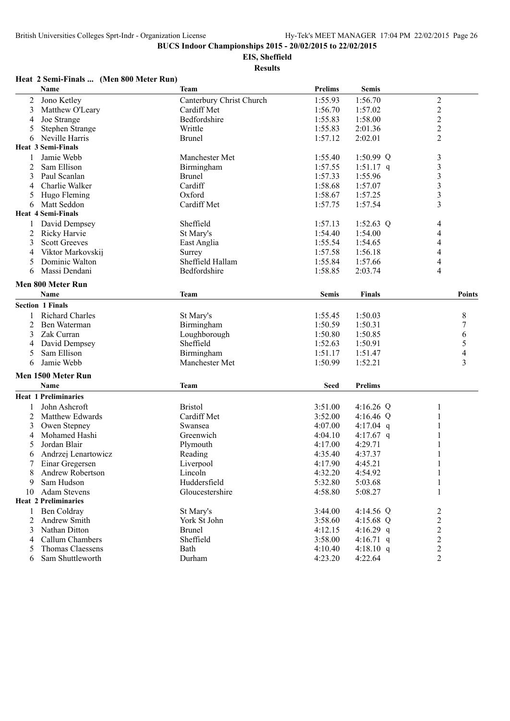**EIS, Sheffield**

**Results**

#### **Heat 2 Semi-Finals ... (Men 800 Meter Run)**

|                | Name                             | <b>Team</b>              | <b>Prelims</b> | <b>Semis</b>   |                         |
|----------------|----------------------------------|--------------------------|----------------|----------------|-------------------------|
| 2              | Jono Ketley                      | Canterbury Christ Church | 1:55.93        | 1:56.70        | $\overline{c}$          |
| 3              | Matthew O'Leary                  | Cardiff Met              | 1:56.70        | 1:57.02        | $\overline{c}$          |
| 4              | Joe Strange                      | Bedfordshire             | 1:55.83        | 1:58.00        | $\overline{c}$          |
| 5              | Stephen Strange                  | Writtle                  | 1:55.83        | 2:01.36        | $\overline{c}$          |
| 6              | Neville Harris                   | <b>Brunel</b>            | 1:57.12        | 2:02.01        | $\overline{2}$          |
|                | <b>Heat 3 Semi-Finals</b>        |                          |                |                |                         |
| 1              | Jamie Webb                       | Manchester Met           | 1:55.40        | 1:50.99 $Q$    | $\mathfrak{Z}$          |
| 2              | Sam Ellison                      | Birmingham               | 1:57.55        | $1:51.17$ q    | $\overline{\mathbf{3}}$ |
| 3              | Paul Scanlan                     | <b>Brunel</b>            | 1:57.33        | 1:55.96        | $\mathfrak{Z}$          |
| 4              | Charlie Walker                   | Cardiff                  | 1:58.68        | 1:57.07        | $\mathfrak{Z}$          |
| 5              | Hugo Fleming                     | Oxford                   | 1:58.67        | 1:57.25        | $\mathfrak{Z}$          |
| 6              | Matt Seddon                      | Cardiff Met              | 1:57.75        | 1:57.54        | 3                       |
|                | <b>Heat 4 Semi-Finals</b>        |                          |                |                |                         |
|                | David Dempsey                    | Sheffield                | 1:57.13        | 1:52.63 $Q$    | 4                       |
| 2              | Ricky Harvie                     | St Mary's                | 1:54.40        | 1:54.00        | 4                       |
| 3              | <b>Scott Greeves</b>             | East Anglia              | 1:55.54        | 1:54.65        | 4                       |
| 4              | Viktor Markovskij                | Surrey                   | 1:57.58        | 1:56.18        | 4                       |
| 5              | Dominic Walton                   | Sheffield Hallam         | 1:55.84        | 1:57.66        | 4                       |
| 6              | Massi Dendani                    | Bedfordshire             | 1:58.85        | 2:03.74        | 4                       |
|                |                                  |                          |                |                |                         |
|                | Men 800 Meter Run<br><b>Name</b> | <b>Team</b>              | <b>Semis</b>   | <b>Finals</b>  | Points                  |
|                | <b>Section 1 Finals</b>          |                          |                |                |                         |
|                | <b>Richard Charles</b>           | St Mary's                | 1:55.45        | 1:50.03        | 8                       |
| 2              | Ben Waterman                     | Birmingham               | 1:50.59        | 1:50.31        | 7                       |
| 3              | Zak Curran                       | Loughborough             | 1:50.80        | 1:50.85        | 6                       |
| 4              | David Dempsey                    | Sheffield                | 1:52.63        | 1:50.91        | 5                       |
| 5              | Sam Ellison                      | Birmingham               | 1:51.17        | 1:51.47        | 4                       |
| 6              | Jamie Webb                       | Manchester Met           | 1:50.99        | 1:52.21        | 3                       |
|                |                                  |                          |                |                |                         |
|                | Men 1500 Meter Run               |                          |                |                |                         |
|                | <b>Name</b>                      | <b>Team</b>              | <b>Seed</b>    | <b>Prelims</b> |                         |
|                | <b>Heat 1 Preliminaries</b>      |                          |                |                |                         |
| 1              | John Ashcroft                    | <b>Bristol</b>           | 3:51.00        | 4:16.26 $Q$    | 1                       |
| $\overline{c}$ | Matthew Edwards                  | Cardiff Met              | 3:52.00        | 4:16.46 Q      | 1                       |
| 3              | Owen Stepney                     | Swansea                  | 4:07.00        | 4:17.04 $q$    |                         |
| 4              | Mohamed Hashi                    | Greenwich                | 4:04.10        | 4:17.67 q      |                         |
| 5              | Jordan Blair                     | Plymouth                 | 4:17.00        | 4:29.71        | 1                       |
| 6              | Andrzej Lenartowicz              | Reading                  | 4:35.40        | 4:37.37        |                         |
| 7              | Einar Gregersen                  | Liverpool                | 4:17.90        | 4:45.21        | $\mathbf{1}$            |
| 8              | Andrew Robertson                 | Lincoln                  | 4:32.20        | 4:54.92        | 1                       |
| 9              | Sam Hudson                       | Huddersfield             | 5:32.80        | 5:03.68        | $\mathbf{1}$            |
| 10             | <b>Adam Stevens</b>              | Gloucestershire          | 4:58.80        | 5:08.27        | 1                       |
|                | <b>Heat 2 Preliminaries</b>      |                          |                |                |                         |
| 1              | Ben Coldray                      | St Mary's                | 3:44.00        | 4:14.56 Q      | $\overline{c}$          |
| 2              | Andrew Smith                     | York St John             | 3:58.60        | 4:15.68 Q      | $\overline{c}$          |
| 3              | Nathan Ditton                    | Brunel                   | 4:12.15        | 4:16.29 q      | $\overline{c}$          |
| 4              | Callum Chambers                  | Sheffield                | 3:58.00        | 4:16.71 q      | $\overline{c}$          |
| 5              | <b>Thomas Claessens</b>          | Bath                     | 4:10.40        | 4:18.10 q      | $\overline{c}$          |
| 6              | Sam Shuttleworth                 | Durham                   | 4:23.20        | 4:22.64        | $\overline{2}$          |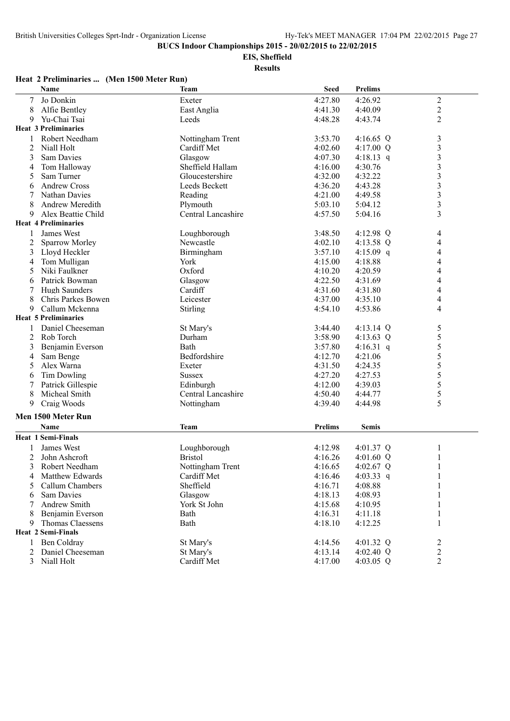**EIS, Sheffield**

**Results**

#### **Name Team Seed Prelims** 7 Jo Donkin Exeter 4:27.80 4:26.92 2 8 Alfie Bentley **East Anglia** East Anglia 4:41.30 4:40.09 2 9 Yu-Chai Tsai Leeds 4:48.28 4:43.74 2 **Heat 3 Preliminaries** 1 Robert Needham Nottingham Trent 3:53.70 4:16.65 Q 3 2 Niall Holt **Cardiff Met** 4:02.60 4:17.00 Q 3 3 Sam Davies Glasgow Glasgow 4:07.30 4:18.13 q 3 4 Tom Halloway Sheffield Hallam 4:16.00 4:30.76 3 5 Sam Turner Gloucestershire 4:32.00 4:32.22 3 6 Andrew Cross Leeds Beckett 4:36.20 4:43.28 3 7 Nathan Davies Reading 4:21.00 4:49.58 3 8 Andrew Meredith Plymouth 5:03.10 5:04.12 3 9 Alex Beattie Child Central Lancashire 4:57.50 5:04.16 3 **Heat 4 Preliminaries** 1 James West 1 1 Loughborough 1 3:48.50 4:12.98 Q 4 2 Sparrow Morley Newcastle 4:02.10 4:13.58 Q 4 3 Lloyd Heckler Birmingham 3:57.10 4:15.09 q 4 4 Tom Mulligan York 4:15.00 4:18.88 4 5 Niki Faulkner Oxford 4:10.20 4:20.59 4 6 Patrick Bowman Glasgow 4:22.50 4:31.69 4 7 Hugh Saunders Cardiff 21.31.60 4:31.80 4<br>
8 Chris Parkes Bowen 1.eicester 4:37.00 4:35.10 4 8 Chris Parkes Bowen Leicester 4:37.00 4:35.10 4 9 Callum Mckenna Stirling 4:54.10 4:53.86 4 **Heat 5 Preliminaries** 1 Daniel Cheeseman St Mary's 3:44.40 4:13.14 Q 5<br>2 Rob Torch Durham 3:58.90 4:13.63 Q 5 2 Rob Torch 2 Durham 2:58.90 4:13.63 Q 5 3 Benjamin Everson Bath 3:57.80 4:16.31 q 5<br>4 Sam Benge Bedfordshire 4:12.70 4:21.06 5 4 Sam Benge Bedfordshire 4:12.70 4:21.06 5 5 Alex Warna **Exeter** Exeter 4:31.50 4:24.35 5 6 Tim Dowling Sussex 4:27.20 4:27.53 5 7 Patrick Gillespie Edinburgh 4:12.00 4:39.03 5 8 Micheal Smith Central Lancashire 4:50.40 4:44.77 5<br>9 Craig Woods 6 Nottingham 4:39.40 4:44.98 5 9 Craig Woods **1.44.98** 5 Nottingham 1.44.98 4:39.40 4:44.98 **Men 1500 Meter Run Name Team Prelims Semis Heat 1 Semi-Finals** 1 James West Loughborough 4:12.98 4:01.37 Q 1 2 John Ashcroft **Bristol** Bristol **Bristol** 4:16.26 4:01.60 Q 1 3 Robert Needham 1 2 Nottingham Trent 4:16.65 4:02.67 Q 1<br>4 Matthew Edwards Cardiff Met 4:16.46 4:03.33 q 1 4 Matthew Edwards Cardiff Met 4:16.46 4:03.33 q 1 5 Callum Chambers Sheffield 4:16.71 4:08.88 1 6 Sam Davies Glasgow 4:18.13 4:08.93 1 7 Andrew Smith York St John 4:15.68 4:10.95 1 8 Benjamin Everson Bath 4:16.31 4:11.18 1 9 Thomas Claessens Bath 4:18.10 4:12.25 1 **Heat 2 Semi-Finals** 1 Ben Coldray 3 St Mary's 3 3 4:14.56 4:01.32 Q 2 2 Daniel Cheeseman St Mary's 4:13.14 4:02.40 Q 2 3 Niall Holt **Cardiff Met** 4:17.00 4:03.05 Q 2

#### **Heat 2 Preliminaries ... (Men 1500 Meter Run)**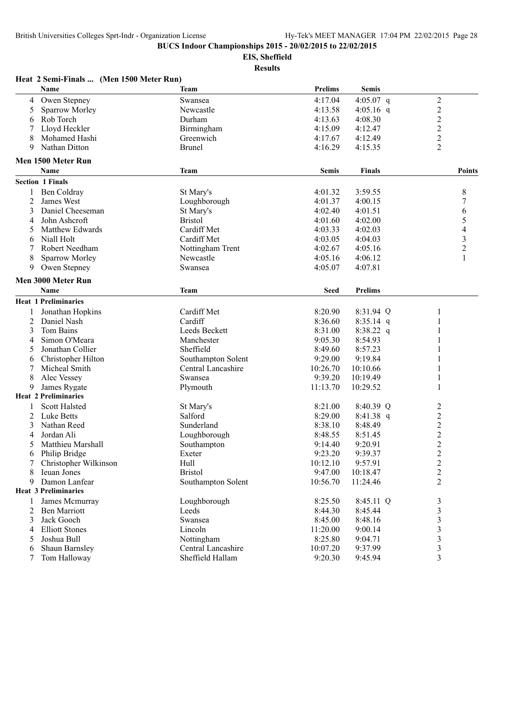**Heat 2 Semi-Finals ... (Men 1500 Meter Run)**

**BUCS Indoor Championships 2015 - 20/02/2015 to 22/02/2015**

**EIS, Sheffield**

|                | Name                        | <b>Team</b>          | <b>Prelims</b> | <b>Semis</b>   |                                           |
|----------------|-----------------------------|----------------------|----------------|----------------|-------------------------------------------|
| 4              | Owen Stepney                | Swansea              | 4:17.04        | 4:05.07 q      | $\overline{c}$                            |
| 5              | Sparrow Morley              | Newcastle            | 4:13.58        | 4:05.16 $q$    | $\overline{c}$                            |
| 6              | Rob Torch                   | Durham               | 4:13.63        | 4:08.30        | $\overline{c}$                            |
| 7              | Lloyd Heckler               | Birmingham           | 4:15.09        | 4:12.47        | $\overline{c}$                            |
| 8              | Mohamed Hashi               | Greenwich            | 4:17.67        | 4:12.49        | $\overline{c}$                            |
| 9              | Nathan Ditton               | <b>Brunel</b>        | 4:16.29        | 4:15.35        | 2                                         |
|                | Men 1500 Meter Run          |                      |                |                |                                           |
|                | <b>Name</b>                 | <b>Team</b>          | <b>Semis</b>   | <b>Finals</b>  | <b>Points</b>                             |
|                | <b>Section 1 Finals</b>     |                      |                |                |                                           |
|                | Ben Coldray                 |                      |                |                |                                           |
| 1              |                             | St Mary's            | 4:01.32        | 3:59.55        | 8                                         |
| $\overline{2}$ | James West                  | Loughborough         | 4:01.37        | 4:00.15        | 7                                         |
| 3              | Daniel Cheeseman            | St Mary's            | 4:02.40        | 4:01.51        | 6                                         |
| 4              | John Ashcroft               | <b>Bristol</b>       | 4:01.60        | 4:02.00        | 5                                         |
| 5              | Matthew Edwards             | Cardiff Met          | 4:03.33        | 4:02.03        | 4                                         |
| 6              | Niall Holt                  | Cardiff Met          | 4:03.05        | 4:04.03        | 3                                         |
| 7              | Robert Needham              | Nottingham Trent     | 4:02.67        | 4:05.16        | $\overline{c}$                            |
| 8              | Sparrow Morley              | Newcastle            | 4:05.16        | 4:06.12        | 1                                         |
| 9              | Owen Stepney                | Swansea              | 4:05.07        | 4:07.81        |                                           |
|                | Men 3000 Meter Run          |                      |                |                |                                           |
|                | <b>Name</b>                 | <b>Team</b>          | <b>Seed</b>    | <b>Prelims</b> |                                           |
|                | <b>Heat 1 Preliminaries</b> |                      |                |                |                                           |
|                | Jonathan Hopkins            | Cardiff Met          | 8:20.90        | 8:31.94 Q      | 1                                         |
| 2              | Daniel Nash                 | Cardiff              | 8:36.60        | $8:35.14$ q    |                                           |
| 3              | Tom Bains                   | <b>Leeds Beckett</b> | 8:31.00        | $8:38.22$ q    | 1                                         |
| 4              | Simon O'Meara               | Manchester           | 9:05.30        | 8:54.93        |                                           |
| 5              | Jonathan Collier            | Sheffield            | 8:49.60        | 8:57.23        | 1                                         |
| 6              | Christopher Hilton          | Southampton Solent   | 9:29.00        | 9:19.84        |                                           |
| 7              | Micheal Smith               | Central Lancashire   | 10:26.70       | 10:10.66       | 1                                         |
| 8              | Alec Vessey                 | Swansea              | 9:39.20        | 10:19.49       | 1                                         |
| 9              | James Rygate                | Plymouth             | 11:13.70       | 10:29.52       | 1                                         |
|                | <b>Heat 2 Preliminaries</b> |                      |                |                |                                           |
| 1              | <b>Scott Halsted</b>        | St Mary's            | 8:21.00        | 8:40.39 Q      | $\overline{c}$                            |
| 2              | <b>Luke Betts</b>           | Salford              | 8:29.00        | 8:41.38 q      | $\overline{c}$                            |
| 3              | Nathan Reed                 | Sunderland           | 8:38.10        | 8:48.49        | $\overline{c}$                            |
| 4              | Jordan Ali                  | Loughborough         | 8:48.55        | 8:51.45        | $\overline{c}$                            |
| 5              | Matthieu Marshall           | Southampton          | 9:14.40        | 9:20.91        | $\overline{c}$                            |
| 6              | Philip Bridge               | Exeter               | 9:23.20        | 9:39.37        | $\overline{c}$                            |
| 7              | Christopher Wilkinson       | Hull                 | 10:12.10       | 9:57.91        | $\overline{c}$                            |
|                | Ieuan Jones                 | <b>Bristol</b>       | 9:47.00        | 10:18.47       |                                           |
| 8<br>9         | Damon Lanfear               | Southampton Solent   | 10:56.70       | 11:24.46       | $\overline{\mathbf{c}}$<br>$\overline{c}$ |
|                | <b>Heat 3 Preliminaries</b> |                      |                |                |                                           |
|                |                             |                      |                |                |                                           |
| 1              | James Mcmurray              | Loughborough         | 8:25.50        | 8:45.11 Q      | 3                                         |
| 2              | <b>Ben Marriott</b>         | Leeds                | 8:44.30        | 8:45.44        | $\overline{\mathbf{3}}$                   |
| 3              | Jack Gooch                  | Swansea              | 8:45.00        | 8:48.16        | 3                                         |
| 4              | <b>Elliott Stones</b>       | Lincoln              | 11:20.00       | 9:00.14        | 3                                         |
| 5              | Joshua Bull                 | Nottingham           | 8:25.80        | 9:04.71        | 3                                         |
| 6              | Shaun Barnsley              | Central Lancashire   | 10:07.20       | 9:37.99        | 3                                         |
| 7              | Tom Halloway                | Sheffield Hallam     | 9:20.30        | 9:45.94        | 3                                         |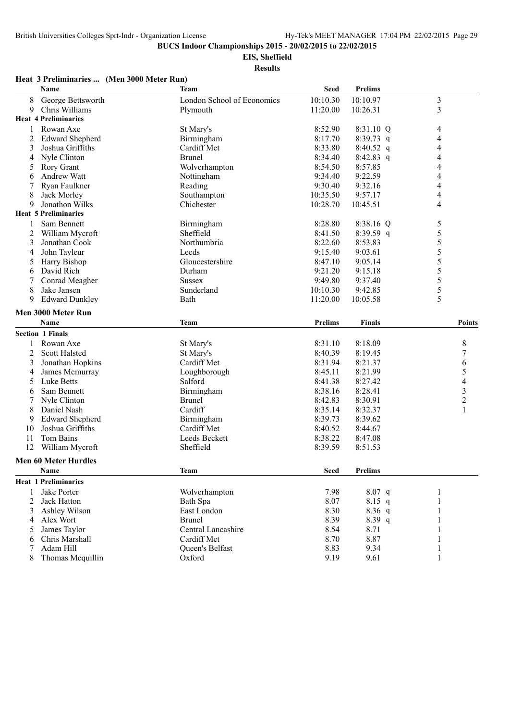**EIS, Sheffield**

**Results**

#### **Heat 3 Preliminaries ... (Men 3000 Meter Run)**

|    | Name                        | <b>Team</b>                | <b>Seed</b>    | <b>Prelims</b> |                |
|----|-----------------------------|----------------------------|----------------|----------------|----------------|
| 8  | George Bettsworth           | London School of Economics | 10:10.30       | 10:10.97       | $\mathfrak{Z}$ |
| 9  | Chris Williams              | Plymouth                   | 11:20.00       | 10:26.31       | 3              |
|    | <b>Heat 4 Preliminaries</b> |                            |                |                |                |
| 1  | Rowan Axe                   | St Mary's                  | 8:52.90        | 8:31.10 Q      | $\overline{4}$ |
| 2  | <b>Edward Shepherd</b>      | Birmingham                 | 8:17.70        | $8:39.73$ q    | 4              |
| 3  | Joshua Griffiths            | Cardiff Met                | 8:33.80        | 8:40.52 q      | 4              |
| 4  | Nyle Clinton                | <b>Brunel</b>              | 8:34.40        | $8:42.83$ q    | 4              |
| 5  | <b>Rory Grant</b>           | Wolverhampton              | 8:54.50        | 8:57.85        | 4              |
| 6  | Andrew Watt                 | Nottingham                 | 9:34.40        | 9:22.59        | 4              |
| 7  | Ryan Faulkner               | Reading                    | 9:30.40        | 9:32.16        | 4              |
| 8  | Jack Morley                 | Southampton                | 10:35.50       | 9:57.17        | 4              |
| 9  | Jonathon Wilks              | Chichester                 | 10:28.70       | 10:45.51       | 4              |
|    | <b>Heat 5 Preliminaries</b> |                            |                |                |                |
| 1  | Sam Bennett                 | Birmingham                 | 8:28.80        | 8:38.16 Q      | 5              |
| 2  | William Mycroft             | Sheffield                  | 8:41.50        | 8:39.59 q      | 5              |
| 3  | Jonathan Cook               | Northumbria                | 8:22.60        | 8:53.83        | 5              |
| 4  | John Tayleur                | Leeds                      | 9:15.40        | 9:03.61        | 5              |
| 5  | Harry Bishop                | Gloucestershire            | 8:47.10        | 9:05.14        | 5              |
| 6  | David Rich                  | Durham                     | 9:21.20        | 9:15.18        | 5              |
| 7  | Conrad Meagher              | <b>Sussex</b>              | 9:49.80        | 9:37.40        | 5              |
| 8  | Jake Jansen                 | Sunderland                 | 10:10.30       | 9:42.85        | 5              |
| 9  | <b>Edward Dunkley</b>       | Bath                       | 11:20.00       | 10:05.58       | 5              |
|    | Men 3000 Meter Run          |                            |                |                |                |
|    | Name                        | <b>Team</b>                | <b>Prelims</b> | <b>Finals</b>  | Points         |
|    |                             |                            |                |                |                |
|    | <b>Section 1 Finals</b>     |                            |                |                |                |
|    | Rowan Axe                   | St Mary's                  | 8:31.10        | 8:18.09        | 8              |
| 2  | <b>Scott Halsted</b>        | St Mary's                  | 8:40.39        | 8:19.45        | 7              |
| 3  | Jonathan Hopkins            | Cardiff Met                | 8:31.94        | 8:21.37        | 6              |
| 4  | James Mcmurray              | Loughborough               | 8:45.11        | 8:21.99        | 5              |
| 5  | Luke Betts                  | Salford                    | 8:41.38        | 8:27.42        | 4              |
| 6  | Sam Bennett                 | Birmingham                 | 8:38.16        | 8:28.41        | $\mathfrak{Z}$ |
|    | Nyle Clinton                | <b>Brunel</b>              | 8:42.83        | 8:30.91        | $\overline{c}$ |
| 8  | Daniel Nash                 | Cardiff                    | 8:35.14        | 8:32.37        | 1              |
| 9  | <b>Edward Shepherd</b>      | Birmingham                 | 8:39.73        | 8:39.62        |                |
| 10 | Joshua Griffiths            | Cardiff Met                | 8:40.52        | 8:44.67        |                |
| 11 | Tom Bains                   | Leeds Beckett              | 8:38.22        | 8:47.08        |                |
| 12 | William Mycroft             | Sheffield                  | 8:39.59        | 8:51.53        |                |
|    | <b>Men 60 Meter Hurdles</b> |                            |                |                |                |
|    | Name                        | <b>Team</b>                | Seed           | Prelims        |                |
|    | <b>Heat 1 Preliminaries</b> |                            |                |                |                |
| 1  | Jake Porter                 | Wolverhampton              | 7.98           | 8.07 q         | 1              |
| 2  | Jack Hatton                 | Bath Spa                   | 8.07           | $8.15$ q       | 1              |
| 3  | Ashley Wilson               | East London                | 8.30           | $8.36$ q       | 1              |
| 4  | Alex Wort                   | <b>Brunel</b>              | 8.39           | $8.39$ q       |                |
| 5  | James Taylor                | Central Lancashire         | 8.54           | 8.71           |                |
| 6  | Chris Marshall              | Cardiff Met                | 8.70           | 8.87           | 1              |
| 7  | Adam Hill                   | Queen's Belfast            | 8.83           | 9.34           | $\mathbf{1}$   |
| 8  | Thomas Mcquillin            | Oxford                     | 9.19           | 9.61           | 1              |
|    |                             |                            |                |                |                |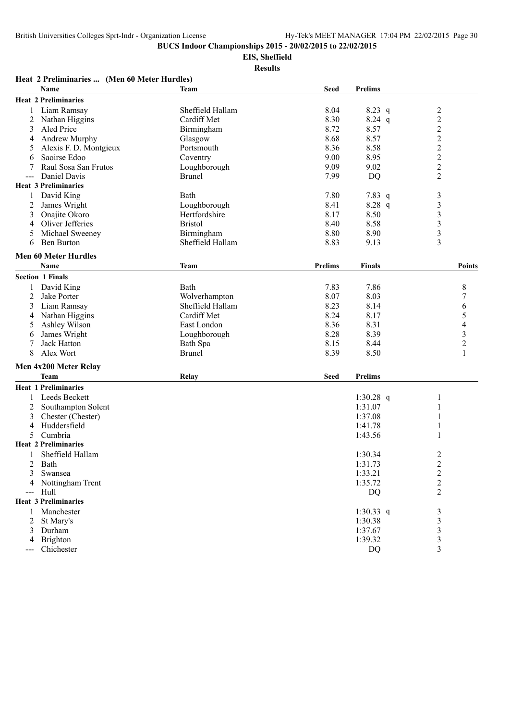**EIS, Sheffield**

|                | Heat 2 Preliminaries  (Men 60 Meter Hurdles) |                                   |                |                |                         |
|----------------|----------------------------------------------|-----------------------------------|----------------|----------------|-------------------------|
|                | Name                                         | <b>Team</b>                       | <b>Seed</b>    | <b>Prelims</b> |                         |
|                | <b>Heat 2 Preliminaries</b>                  |                                   |                |                |                         |
|                | Liam Ramsay                                  | Sheffield Hallam                  | 8.04           | $8.23$ q       | $\overline{c}$          |
| 2              | Nathan Higgins                               | Cardiff Met                       | 8.30           | $8.24$ q       | $\overline{c}$          |
| 3              | Aled Price                                   | Birmingham                        | 8.72           | 8.57           | $\overline{\mathbf{c}}$ |
| 4              | Andrew Murphy                                | Glasgow                           | 8.68           | 8.57           |                         |
| 5              | Alexis F. D. Montgieux                       | Portsmouth                        | 8.36           | 8.58           | $\frac{2}{2}$           |
| 6              | Saoirse Edoo                                 | Coventry                          | 9.00           | 8.95           | $\overline{c}$          |
| 7              | Raul Sosa San Frutos                         | Loughborough                      | 9.09           | 9.02           | $\overline{c}$          |
| $---$          | Daniel Davis                                 | <b>Brunel</b>                     | 7.99           | <b>DQ</b>      | $\overline{2}$          |
|                | <b>Heat 3 Preliminaries</b>                  |                                   |                |                |                         |
| 1              | David King                                   | Bath                              | 7.80           | 7.83 q         | 3                       |
| $\overline{c}$ | James Wright                                 | Loughborough                      | 8.41           | 8.28 q         | 3                       |
| 3              | Onajite Okoro                                | Hertfordshire                     | 8.17           | 8.50           | 3                       |
| 4              | Oliver Jefferies                             | <b>Bristol</b>                    | 8.40           | 8.58           | $\overline{\mathbf{3}}$ |
| 5              | Michael Sweeney                              | Birmingham                        | 8.80           | 8.90           | $\overline{\mathbf{3}}$ |
| 6              | <b>Ben Burton</b>                            | Sheffield Hallam                  | 8.83           | 9.13           | 3                       |
|                | <b>Men 60 Meter Hurdles</b>                  |                                   |                |                |                         |
|                | Name                                         | <b>Team</b>                       | <b>Prelims</b> | <b>Finals</b>  | <b>Points</b>           |
|                | <b>Section 1 Finals</b>                      |                                   |                |                |                         |
|                |                                              | <b>Bath</b>                       |                |                |                         |
| 1<br>2         | David King<br>Jake Porter                    |                                   | 7.83<br>8.07   | 7.86           | 8                       |
|                | Liam Ramsay                                  | Wolverhampton<br>Sheffield Hallam | 8.23           | 8.03<br>8.14   | 7                       |
| 3              | Nathan Higgins                               | Cardiff Met                       | 8.24           | 8.17           | 6<br>5                  |
| 4<br>5         | Ashley Wilson                                | East London                       | 8.36           | 8.31           | 4                       |
|                | James Wright                                 | Loughborough                      | 8.28           | 8.39           | $\mathfrak{Z}$          |
| 6<br>7         | Jack Hatton                                  | Bath Spa                          | 8.15           | 8.44           | $\overline{c}$          |
| 8              | Alex Wort                                    | <b>Brunel</b>                     | 8.39           | 8.50           |                         |
|                |                                              |                                   |                |                |                         |
|                | Men 4x200 Meter Relay                        |                                   |                |                |                         |
|                | <b>Team</b>                                  | Relay                             | <b>Seed</b>    | <b>Prelims</b> |                         |
|                | <b>Heat 1 Preliminaries</b>                  |                                   |                |                |                         |
|                | Leeds Beckett                                |                                   |                | 1:30.28 q      |                         |
| 2              | Southampton Solent                           |                                   |                | 1:31.07        |                         |
| 3              | Chester (Chester)                            |                                   |                | 1:37.08        |                         |
| 4              | Huddersfield                                 |                                   |                | 1:41.78        |                         |
| 5              | Cumbria                                      |                                   |                | 1:43.56        | 1                       |
|                | <b>Heat 2 Preliminaries</b>                  |                                   |                |                |                         |
|                | Sheffield Hallam                             |                                   |                | 1:30.34        | 2                       |
| 2              | Bath                                         |                                   |                | 1:31.73        | $\boldsymbol{2}$        |
| 3              | Swansea                                      |                                   |                | 1:33.21        | $\overline{c}$          |
|                | Nottingham Trent                             |                                   |                | 1:35.72        | $\overline{c}$          |
| ---            | Hull                                         |                                   |                | DQ             | $\overline{c}$          |
|                | <b>Heat 3 Preliminaries</b>                  |                                   |                |                |                         |
|                | Manchester                                   |                                   |                | 1:30.33 q      | $\mathfrak{Z}$          |
| 2              | St Mary's                                    |                                   |                | 1:30.38        | 3                       |
| 3              | Durham                                       |                                   |                | 1:37.67        | 3                       |
| 4              | Brighton                                     |                                   |                | 1:39.32        | 3                       |
| ---            | Chichester                                   |                                   |                | DQ             | 3                       |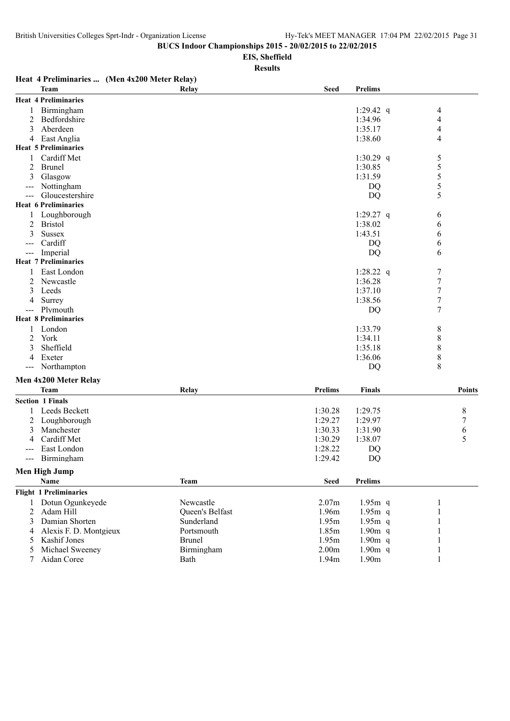**EIS, Sheffield**

|       |                               | Heat 4 Preliminaries  (Men 4x200 Meter Relay) |                   |                |                  |
|-------|-------------------------------|-----------------------------------------------|-------------------|----------------|------------------|
|       | <b>Team</b>                   | Relay                                         | <b>Seed</b>       | <b>Prelims</b> |                  |
|       | <b>Heat 4 Preliminaries</b>   |                                               |                   |                |                  |
|       | Birmingham                    |                                               |                   | 1:29.42 q      | 4                |
| 2     | Bedfordshire                  |                                               |                   | 1:34.96        | 4                |
| 3     | Aberdeen                      |                                               |                   | 1:35.17        | 4                |
| 4     | East Anglia                   |                                               |                   | 1:38.60        | 4                |
|       | <b>Heat 5 Preliminaries</b>   |                                               |                   |                |                  |
| 1     | Cardiff Met                   |                                               |                   | 1:30.29 q      | 5                |
| 2     | <b>Brunel</b>                 |                                               |                   | 1:30.85        | 5                |
| 3     | Glasgow                       |                                               |                   | 1:31.59        | 5                |
| ---   | Nottingham                    |                                               |                   | DQ             | 5                |
| $---$ | Gloucestershire               |                                               |                   | DQ             | 5                |
|       | <b>Heat 6 Preliminaries</b>   |                                               |                   |                |                  |
| 1     | Loughborough                  |                                               |                   | 1:29.27 q      | 6                |
| 2     | <b>Bristol</b>                |                                               |                   | 1:38.02        | 6                |
| 3     | <b>Sussex</b>                 |                                               |                   | 1:43.51        | 6                |
| ---   | Cardiff                       |                                               |                   | DQ             | 6                |
| $---$ | Imperial                      |                                               |                   | DQ             | 6                |
|       | <b>Heat 7 Preliminaries</b>   |                                               |                   |                |                  |
| 1     | East London                   |                                               |                   | 1:28.22 q      | 7                |
| 2     | Newcastle                     |                                               |                   | 1:36.28        | $\overline{7}$   |
| 3     | Leeds                         |                                               |                   | 1:37.10        | 7                |
| 4     | Surrey                        |                                               |                   | 1:38.56        | $\boldsymbol{7}$ |
| $---$ | Plymouth                      |                                               |                   | DQ             | $\boldsymbol{7}$ |
|       | <b>Heat 8 Preliminaries</b>   |                                               |                   |                |                  |
| 1     | London                        |                                               |                   | 1:33.79        | 8                |
| 2     | York                          |                                               |                   | 1:34.11        | 8                |
|       | Sheffield                     |                                               |                   | 1:35.18        | 8                |
| 4     | Exeter                        |                                               |                   | 1:36.06        | 8                |
| $---$ | Northampton                   |                                               |                   | DQ             | 8                |
|       | Men 4x200 Meter Relay         |                                               |                   |                |                  |
|       | <b>Team</b>                   | Relay                                         | <b>Prelims</b>    | <b>Finals</b>  | <b>Points</b>    |
|       | <b>Section 1 Finals</b>       |                                               |                   |                |                  |
|       | Leeds Beckett                 |                                               | 1:30.28           | 1:29.75        | 8                |
| 2     | Loughborough                  |                                               | 1:29.27           | 1:29.97        | 7                |
| 3     | Manchester                    |                                               | 1:30.33           | 1:31.90        | 6                |
| 4     | Cardiff Met                   |                                               | 1:30.29           | 1:38.07        | 5                |
|       | East London                   |                                               | 1:28.22           | DQ             |                  |
|       | --- Birmingham                |                                               | 1:29.42           | DQ             |                  |
|       | <b>Men High Jump</b>          |                                               |                   |                |                  |
|       | Name                          | <b>Team</b>                                   | <b>Seed</b>       | <b>Prelims</b> |                  |
|       | <b>Flight 1 Preliminaries</b> |                                               |                   |                |                  |
| 1     | Dotun Ogunkeyede              | Newcastle                                     | 2.07m             | $1.95m$ q      |                  |
| 2     | Adam Hill                     | Queen's Belfast                               | 1.96m             | $1.95m$ q      | 1                |
| 3     | Damian Shorten                | Sunderland                                    | 1.95m             | $1.95m$ q      |                  |
| 4     | Alexis F. D. Montgieux        | Portsmouth                                    | 1.85m             | $1.90m$ q      |                  |
| 5     | Kashif Jones                  | <b>Brunel</b>                                 | 1.95m             | $1.90m$ q      |                  |
| 5     | Michael Sweeney               | Birmingham                                    | 2.00 <sub>m</sub> | $1.90m$ q      |                  |
|       | Aidan Coree                   | Bath                                          | 1.94m             | 1.90m          |                  |
|       |                               |                                               |                   |                |                  |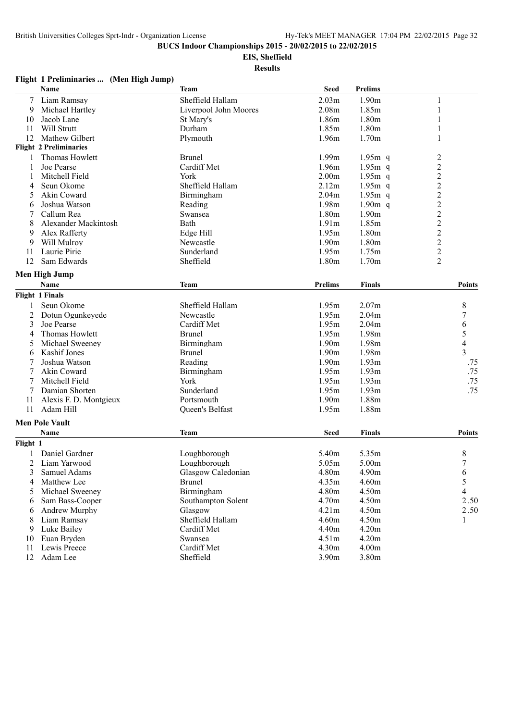## **EIS, Sheffield**

**Results**

| тиgни тт       | $\ldots$ (Mention $\ldots$ ) (Mention $\ldots$ )<br>Name | Team                  | <b>Seed</b>       | <b>Prelims</b> |                         |
|----------------|----------------------------------------------------------|-----------------------|-------------------|----------------|-------------------------|
| 7              | Liam Ramsay                                              | Sheffield Hallam      | 2.03m             | 1.90m          | 1                       |
| 9              | Michael Hartley                                          | Liverpool John Moores | 2.08m             | 1.85m          | 1                       |
| 10             | Jacob Lane                                               | St Mary's             | 1.86m             | 1.80m          | 1                       |
| 11             | Will Strutt                                              | Durham                | 1.85m             | 1.80m          | 1                       |
| 12             | Mathew Gilbert                                           | Plymouth              | 1.96m             | 1.70m          | 1                       |
|                | <b>Flight 2 Preliminaries</b>                            |                       |                   |                |                         |
|                | Thomas Howlett                                           | <b>Brunel</b>         | 1.99m             | $1.95m$ q      | $\overline{c}$          |
| 1              | Joe Pearse                                               | Cardiff Met           | 1.96m             | $1.95m$ q      | $\overline{c}$          |
| 1              | Mitchell Field                                           | York                  | 2.00 <sub>m</sub> | $1.95m$ q      | $\overline{c}$          |
| 4              | Seun Okome                                               | Sheffield Hallam      | 2.12m             | $1.95m$ q      | $\overline{c}$          |
| 5              | Akin Coward                                              | Birmingham            | 2.04 <sub>m</sub> | $1.95m$ q      | $\overline{c}$          |
| 6              | Joshua Watson                                            | Reading               | 1.98m             | $1.90m$ q      | $\overline{c}$          |
| 7              | Callum Rea                                               | Swansea               | 1.80m             | 1.90m          | $\overline{c}$          |
| 8              | Alexander Mackintosh                                     | Bath                  | 1.91m             | 1.85m          | $\overline{\mathbf{c}}$ |
| 9              | Alex Rafferty                                            | Edge Hill             | 1.95m             | 1.80m          | $\overline{c}$          |
| 9              | Will Mulroy                                              | Newcastle             | 1.90m             | 1.80m          | $\overline{c}$          |
| 11             | Laurie Pirie                                             | Sunderland            | 1.95m             | 1.75m          |                         |
| 12             | Sam Edwards                                              | Sheffield             | 1.80m             | 1.70m          | $\frac{2}{2}$           |
|                |                                                          |                       |                   |                |                         |
|                | Men High Jump                                            |                       |                   |                |                         |
|                | Name                                                     | <b>Team</b>           | <b>Prelims</b>    | <b>Finals</b>  | Points                  |
|                | <b>Flight 1 Finals</b>                                   |                       |                   |                |                         |
| 1              | Seun Okome                                               | Sheffield Hallam      | 1.95m             | 2.07m          | 8                       |
| 2              | Dotun Ogunkeyede                                         | Newcastle             | 1.95m             | 2.04m          | 7                       |
| 3              | Joe Pearse                                               | Cardiff Met           | 1.95m             | 2.04m          | 6                       |
| 4              | Thomas Howlett                                           | <b>Brunel</b>         | 1.95m             | 1.98m          | 5                       |
| 5              | Michael Sweeney                                          | Birmingham            | 1.90m             | 1.98m          | $\overline{4}$          |
| 6              | Kashif Jones                                             | <b>Brunel</b>         | 1.90m             | 1.98m          | 3                       |
| 7              | Joshua Watson                                            | Reading               | 1.90m             | 1.93m          | .75                     |
| 7              | Akin Coward                                              | Birmingham            | 1.95m             | 1.93m          | .75                     |
| 7              | Mitchell Field                                           | York                  | 1.95m             | 1.93m          | .75                     |
| 7              | Damian Shorten                                           | Sunderland            | 1.95m             | 1.93m          | .75                     |
| 11             | Alexis F. D. Montgieux                                   | Portsmouth            | 1.90m             | 1.88m          |                         |
| 11             | Adam Hill                                                | Queen's Belfast       | 1.95m             | 1.88m          |                         |
|                | <b>Men Pole Vault</b>                                    |                       |                   |                |                         |
|                | Name                                                     | <b>Team</b>           | <b>Seed</b>       | Finals         | Points                  |
| Flight 1       |                                                          |                       |                   |                |                         |
| 1              | Daniel Gardner                                           | Loughborough          | 5.40m             | 5.35m          | 8                       |
| $\overline{2}$ | Liam Yarwood                                             | Loughborough          | 5.05m             | 5.00m          | $\overline{7}$          |
| 3              | Samuel Adams                                             | Glasgow Caledonian    | 4.80m             | 4.90m          | 6                       |
| 4              | Matthew Lee                                              | <b>Brunel</b>         | 4.35m             | 4.60m          | 5                       |
| 5              | Michael Sweeney                                          | Birmingham            | 4.80m             | 4.50m          | 4                       |
| 6              | Sam Bass-Cooper                                          | Southampton Solent    | 4.70m             | 4.50m          | 2.50                    |
| 6              | Andrew Murphy                                            | Glasgow               | 4.21m             | 4.50m          | 2.50                    |
| 8              | Liam Ramsay                                              | Sheffield Hallam      | 4.60m             | 4.50m          | 1                       |
| 9              | Luke Bailey                                              | Cardiff Met           | 4.40m             | 4.20m          |                         |
| 10             | Euan Bryden                                              | Swansea               | 4.51m             | 4.20m          |                         |
| 11             | Lewis Preece                                             | Cardiff Met           | 4.30m             | 4.00m          |                         |
|                | 12 Adam Lee                                              | Sheffield             | 3.90m             | 3.80m          |                         |
|                |                                                          |                       |                   |                |                         |

## **Flight 1 Preliminaries ... (Men High Jump)**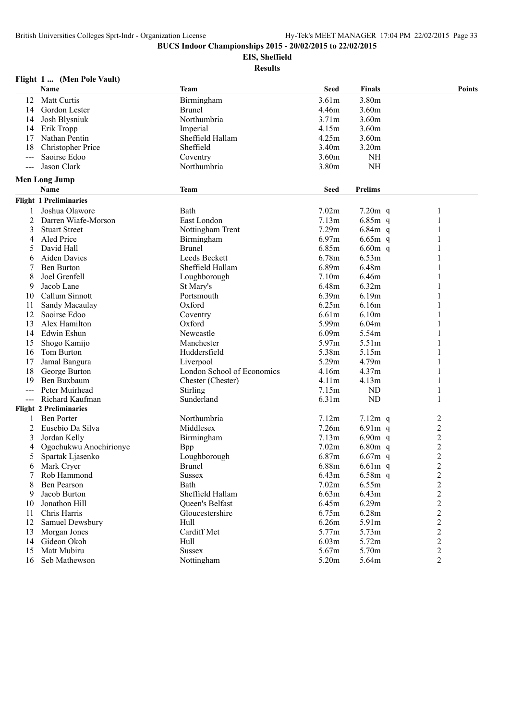**EIS, Sheffield**

|                     | Flight 1  (Men Pole Vault)    |                            |                   |                |                         |
|---------------------|-------------------------------|----------------------------|-------------------|----------------|-------------------------|
|                     | Name                          | <b>Team</b>                | <b>Seed</b>       | <b>Finals</b>  | Points                  |
| 12                  | Matt Curtis                   | Birmingham                 | 3.61m             | 3.80m          |                         |
| 14                  | Gordon Lester                 | <b>Brunel</b>              | 4.46m             | 3.60m          |                         |
| 14                  | Josh Blysniuk                 | Northumbria                | 3.71m             | 3.60m          |                         |
| 14                  | Erik Tropp                    | Imperial                   | 4.15m             | 3.60m          |                         |
| 17                  | Nathan Pentin                 | Sheffield Hallam           | 4.25m             | 3.60m          |                         |
| 18                  | <b>Christopher Price</b>      | Sheffield                  | 3.40m             | 3.20m          |                         |
| $---$               | Saoirse Edoo                  | Coventry                   | 3.60m             | <b>NH</b>      |                         |
| $---$               | Jason Clark                   | Northumbria                | 3.80m             | <b>NH</b>      |                         |
|                     | <b>Men Long Jump</b>          |                            |                   |                |                         |
|                     | Name                          | <b>Team</b>                | <b>Seed</b>       | <b>Prelims</b> |                         |
|                     | <b>Flight 1 Preliminaries</b> |                            |                   |                |                         |
| 1                   | Joshua Olawore                | Bath                       | 7.02m             | $7.20m$ q      | 1                       |
| 2                   | Darren Wiafe-Morson           | East London                | 7.13m             | $6.85m$ q      | 1                       |
| 3                   | <b>Stuart Street</b>          | Nottingham Trent           | 7.29m             | $6.84m$ q      |                         |
| 4                   | Aled Price                    | Birmingham                 | 6.97m             | $6.65m$ q      |                         |
| 5                   | David Hall                    | <b>Brunel</b>              | 6.85m             | $6.60m$ q      |                         |
| 6                   | Aiden Davies                  | Leeds Beckett              | 6.78m             | 6.53m          |                         |
| 7                   | <b>Ben Burton</b>             | Sheffield Hallam           | 6.89m             | 6.48m          | 1                       |
| 8                   | Joel Grenfell                 | Loughborough               | 7.10m             | 6.46m          |                         |
| 9                   | Jacob Lane                    | St Mary's                  | 6.48m             | 6.32m          |                         |
| 10                  | Callum Sinnott                | Portsmouth                 | 6.39m             | 6.19m          |                         |
| 11                  | Sandy Macaulay                | Oxford                     | 6.25m             | 6.16m          |                         |
| 12                  | Saoirse Edoo                  | Coventry                   | 6.61m             | 6.10m          |                         |
| 13                  | Alex Hamilton                 | Oxford                     | 5.99m             | 6.04m          |                         |
| 14                  | Edwin Eshun                   | Newcastle                  | 6.09m             | 5.54m          |                         |
| 15                  | Shogo Kamijo                  | Manchester                 | 5.97m             | 5.51m          |                         |
| 16                  | Tom Burton                    | Huddersfield               | 5.38m             | 5.15m          |                         |
| 17                  | Jamal Bangura                 | Liverpool                  | 5.29m             | 4.79m          |                         |
| 18                  | George Burton                 | London School of Economics | 4.16m             | 4.37m          |                         |
| 19                  | Ben Buxbaum                   | Chester (Chester)          | 4.11m             | 4.13m          | 1                       |
| $---$               | Peter Muirhead                | Stirling                   | 7.15m             | ND             | 1                       |
| $\qquad \qquad - -$ | Richard Kaufman               | Sunderland                 | 6.31 <sub>m</sub> | ND             | 1                       |
|                     | <b>Flight 2 Preliminaries</b> |                            |                   |                |                         |
|                     | <b>Ben Porter</b>             | Northumbria                | 7.12m             | $7.12m$ q      | $\overline{\mathbf{c}}$ |
| 2                   | Eusebio Da Silva              | Middlesex                  | 7.26m             | $6.91m$ q      | $\overline{c}$          |
| 3                   | Jordan Kelly                  | Birmingham                 | 7.13m             | $6.90m$ q      |                         |
| 4                   | Ogochukwu Anochirionye        | <b>Bpp</b>                 | 7.02m             | $6.80m$ q      | $\frac{2}{2}$           |
|                     | Spartak Ljasenko              | Loughborough               | 6.87m             | $6.67m$ q      | $\overline{2}$          |
| 6                   | Mark Cryer                    | <b>Brunel</b>              | 6.88m             | $6.61m$ q      | $\overline{\mathbf{c}}$ |
| 7                   | Rob Hammond                   | <b>Sussex</b>              | 6.43m             | $6.58m$ q      | $\overline{\mathbf{c}}$ |
| 8                   | Ben Pearson                   | Bath                       | 7.02m             | 6.55m          | $\overline{c}$          |
| 9                   | Jacob Burton                  | Sheffield Hallam           | 6.63m             | 6.43m          | $\overline{c}$          |
| 10                  | Jonathon Hill                 | Queen's Belfast            | 6.45m             | 6.29m          | $\overline{\mathbf{c}}$ |
| 11                  | Chris Harris                  | Gloucestershire            | 6.75m             | 6.28m          | $\overline{c}$          |
| 12                  | Samuel Dewsbury               | Hull                       | 6.26m             | 5.91m          | $\overline{\mathbf{c}}$ |
| 13                  | Morgan Jones                  | Cardiff Met                | 5.77m             | 5.73m          | $\overline{c}$          |
| 14                  | Gideon Okoh                   | Hull                       | 6.03m             | 5.72m          | $\overline{c}$          |
| 15                  | Matt Mubiru                   | <b>Sussex</b>              | 5.67m             | 5.70m          | $\overline{c}$          |
| 16                  | Seb Mathewson                 | Nottingham                 | 5.20m             | 5.64m          | $\overline{c}$          |
|                     |                               |                            |                   |                |                         |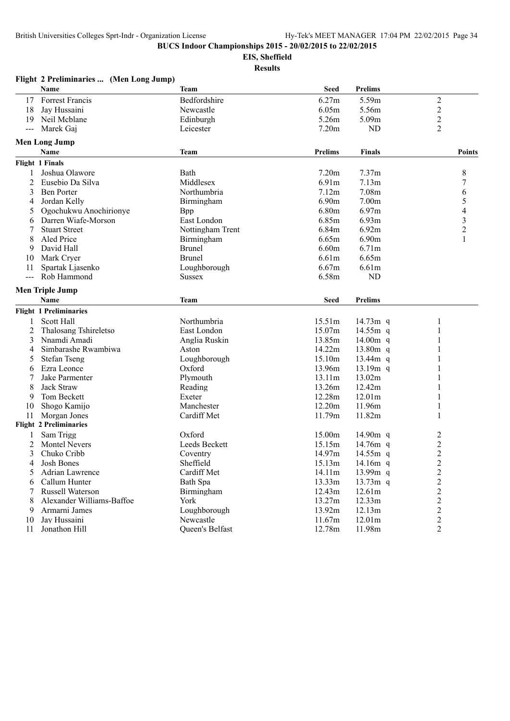**Flight 2 Preliminaries ... (Men Long Jump)**

**BUCS Indoor Championships 2015 - 20/02/2015 to 22/02/2015**

**EIS, Sheffield**

|                | Name                          | <b>Team</b>      | <b>Seed</b>       | <b>Prelims</b>       |                                           |
|----------------|-------------------------------|------------------|-------------------|----------------------|-------------------------------------------|
| 17             | Forrest Francis               | Bedfordshire     | 6.27m             | 5.59m                | $\overline{c}$                            |
| 18             | Jay Hussaini                  | Newcastle        | 6.05m             | 5.56m                | $\overline{c}$                            |
| 19             | Neil Mcblane                  | Edinburgh        | 5.26m             | 5.09m                | $\overline{c}$                            |
| $---$          | Marek Gaj                     | Leicester        | 7.20 <sub>m</sub> | <b>ND</b>            | $\overline{2}$                            |
|                | <b>Men Long Jump</b>          |                  |                   |                      |                                           |
|                | Name                          | Team             | <b>Prelims</b>    | <b>Finals</b>        | <b>Points</b>                             |
|                | <b>Flight 1 Finals</b>        |                  |                   |                      |                                           |
|                | Joshua Olawore                | Bath             | 7.20m             | 7.37m                | 8                                         |
| $\overline{c}$ | Eusebio Da Silva              | Middlesex        | 6.91m             | 7.13m                | $\boldsymbol{7}$                          |
| 3              | <b>Ben Porter</b>             | Northumbria      | 7.12m             | 7.08m                | 6                                         |
| 4              | Jordan Kelly                  | Birmingham       | 6.90m             | 7.00m                | 5                                         |
| 5              | Ogochukwu Anochirionye        | Bpp              | 6.80m             | 6.97m                | $\overline{\mathcal{L}}$                  |
| 6              | Darren Wiafe-Morson           | East London      | 6.85m             | 6.93m                | 3                                         |
| 7              | <b>Stuart Street</b>          | Nottingham Trent | 6.84m             | 6.92m                | $\overline{c}$                            |
| 8              | Aled Price                    | Birmingham       | 6.65m             | 6.90m                | 1                                         |
| 9              | David Hall                    | <b>Brunel</b>    | 6.60m             | 6.71m                |                                           |
| 10             | Mark Cryer                    | <b>Brunel</b>    | 6.61m             | 6.65m                |                                           |
| 11             | Spartak Ljasenko              | Loughborough     | 6.67m             | 6.61m                |                                           |
| $---$          | Rob Hammond                   | <b>Sussex</b>    | 6.58m             | ND                   |                                           |
|                | <b>Men Triple Jump</b>        |                  |                   |                      |                                           |
|                | Name                          | <b>Team</b>      | <b>Seed</b>       | <b>Prelims</b>       |                                           |
|                | <b>Flight 1 Preliminaries</b> |                  |                   |                      |                                           |
| 1              | Scott Hall                    | Northumbria      | 15.51m            | 14.73 $m$ q          | $\mathbf{1}$                              |
| $\overline{2}$ | Thalosang Tshireletso         | East London      | 15.07m            | $14.55m$ q           | 1                                         |
| 3              | Nnamdi Amadi                  | Anglia Ruskin    | 13.85m            | $14.00m$ q           |                                           |
| 4              | Simbarashe Rwambiwa           | Aston            | 14.22m            | 13.80m q             |                                           |
| 5              | <b>Stefan Tseng</b>           | Loughborough     | 15.10m            | 13.44 $m$ q          |                                           |
| 6              | Ezra Leonce                   | Oxford           | 13.96m            | 13.19m q             |                                           |
| 7              | Jake Parmenter                | Plymouth         | 13.11m            | 13.02m               |                                           |
| 8              | Jack Straw                    | Reading          | 13.26m            | 12.42m               |                                           |
| 9              | Tom Beckett                   | Exeter           | 12.28m            | 12.01m               |                                           |
| 10             | Shogo Kamijo                  | Manchester       | 12.20m            | 11.96m               |                                           |
| 11             | Morgan Jones                  | Cardiff Met      | 11.79m            | 11.82m               | 1                                         |
|                | <b>Flight 2 Preliminaries</b> |                  |                   |                      |                                           |
|                | Sam Trigg                     | Oxford           | 15.00m            | 14.90 $m$ q          | $\overline{c}$                            |
| 2              | <b>Montel Nevers</b>          | Leeds Beckett    | 15.15m            | 14.76m q             | $\overline{c}$                            |
| 3              | Chuko Cribb                   | Coventry         | 14.97m            | 14.55 $m$ q          |                                           |
| 4              | Josh Bones                    | Sheffield        | 15.13m            | 14.16 $m$ q          | $\overline{\mathbf{c}}$<br>$\overline{c}$ |
|                | Adrian Lawrence               | Cardiff Met      |                   |                      |                                           |
| 5              | Callum Hunter                 |                  | 14.11m<br>13.33m  | 13.99m q             | 2                                         |
| 6<br>7         | <b>Russell Waterson</b>       | Bath Spa         | 12.43m            | $13.73m$ q<br>12.61m | $\overline{c}$<br>$\overline{c}$          |
|                |                               | Birmingham       |                   |                      |                                           |
| 8              | Alexander Williams-Baffoe     | York             | 13.27m            | 12.33m               | $\overline{c}$                            |
| 9              | Armarni James                 | Loughborough     | 13.92m            | 12.13m               | $\overline{c}$                            |
| 10             | Jay Hussaini                  | Newcastle        | 11.67m            | 12.01m               | $\overline{c}$                            |
| 11             | Jonathon Hill                 | Queen's Belfast  | 12.78m            | 11.98m               | 2                                         |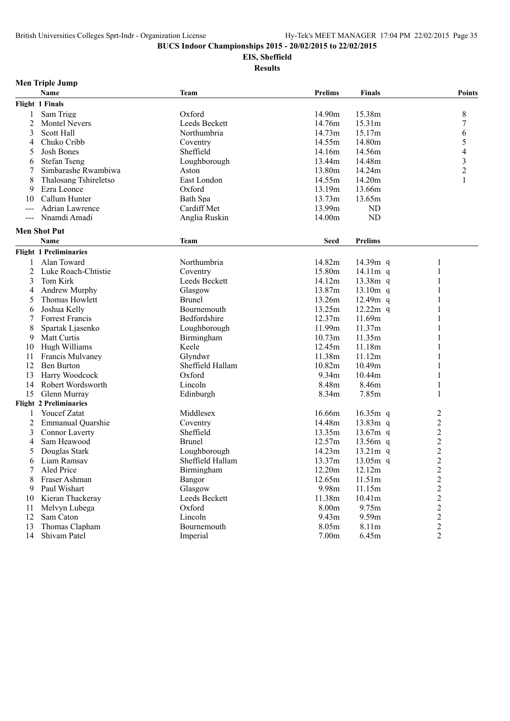## **EIS, Sheffield**

|       | <b>Men Triple Jump</b>        |                  |                |                |                         |
|-------|-------------------------------|------------------|----------------|----------------|-------------------------|
|       | Name                          | Team             | <b>Prelims</b> | <b>Finals</b>  | Points                  |
|       | Flight 1 Finals               |                  |                |                |                         |
| 1     | Sam Trigg                     | Oxford           | 14.90m         | 15.38m         | 8                       |
| 2     | <b>Montel Nevers</b>          | Leeds Beckett    | 14.76m         | 15.31m         | 7                       |
| 3     | <b>Scott Hall</b>             | Northumbria      | 14.73m         | 15.17m         | 6                       |
| 4     | Chuko Cribb                   | Coventry         | 14.55m         | 14.80m         | 5                       |
| 5     | <b>Josh Bones</b>             | Sheffield        | 14.16m         | 14.56m         | 4                       |
| 6     | <b>Stefan Tseng</b>           | Loughborough     | 13.44m         | 14.48m         | 3                       |
| 7     | Simbarashe Rwambiwa           | Aston            | 13.80m         | 14.24m         | $\overline{c}$          |
| 8     | Thalosang Tshireletso         | East London      | 14.55m         | 14.20m         | 1                       |
| 9     | Ezra Leonce                   | Oxford           | 13.19m         | 13.66m         |                         |
| 10    | Callum Hunter                 | Bath Spa         | 13.73m         | 13.65m         |                         |
| $---$ | <b>Adrian Lawrence</b>        | Cardiff Met      | 13.99m         | ND             |                         |
| $---$ | Nnamdi Amadi                  | Anglia Ruskin    | 14.00m         | <b>ND</b>      |                         |
|       |                               |                  |                |                |                         |
|       | <b>Men Shot Put</b>           |                  |                |                |                         |
|       | Name                          | <b>Team</b>      | <b>Seed</b>    | <b>Prelims</b> |                         |
|       | <b>Flight 1 Preliminaries</b> |                  |                |                |                         |
| 1     | Alan Toward                   | Northumbria      | 14.82m         | 14.39m q       | 1                       |
| 2     | Luke Roach-Chtistie           | Coventry         | 15.80m         | 14.11 $m$ q    | 1                       |
| 3     | Tom Kirk                      | Leeds Beckett    | 14.12m         | 13.38m q       |                         |
| 4     | Andrew Murphy                 | Glasgow          | 13.87m         | $13.10m$ q     | 1                       |
| 5     | Thomas Howlett                | <b>Brunel</b>    | 13.26m         | $12.49m$ q     |                         |
| 6     | Joshua Kelly                  | Bournemouth      | 13.25m         | $12.22m$ q     |                         |
|       | Forrest Francis               | Bedfordshire     | 12.37m         | 11.69m         |                         |
| 8     | Spartak Ljasenko              | Loughborough     | 11.99m         | 11.37m         |                         |
| 9     | Matt Curtis                   | Birmingham       | 10.73m         | 11.35m         |                         |
| 10    | Hugh Williams                 | Keele            | 12.45m         | 11.18m         |                         |
| 11    | Francis Mulvaney              | Glyndwr          | 11.38m         | 11.12m         |                         |
| 12    | <b>Ben Burton</b>             | Sheffield Hallam | 10.82m         | 10.49m         |                         |
| 13    | Harry Woodcock                | Oxford           | 9.34m          | 10.44m         | 1                       |
| 14    | Robert Wordsworth             | Lincoln          | 8.48m          | 8.46m          | 1                       |
| 15    | Glenn Murray                  | Edinburgh        | 8.34m          | 7.85m          | 1                       |
|       | <b>Flight 2 Preliminaries</b> |                  |                |                |                         |
|       | <b>Youcef Zatat</b>           | Middlesex        | 16.66m         | $16.35m$ q     | 2                       |
| 2     | Emmanual Quarshie             | Coventry         | 14.48m         | 13.83m q       | $\overline{c}$          |
| 3     | <b>Connor Laverty</b>         | Sheffield        | 13.35m         | 13.67m q       | $\overline{c}$          |
| 4     | Sam Heawood                   | <b>Brunel</b>    | 12.57m         | 13.56m q       | $\frac{2}{2}$           |
| 5     | Douglas Stark                 | Loughborough     | 14.23m         | $13.21m$ q     |                         |
|       | 6 Liam Ramsay                 | Sheffield Hallam | 13.37m         | $13.05m$ q     | $\overline{2}$          |
|       | Aled Price                    | Birmingham       | 12.20m         | 12.12m         | $\overline{c}$          |
|       | Fraser Ashman                 | Bangor           | 12.65m         | 11.51m         | $\overline{c}$          |
| 9     | Paul Wishart                  | Glasgow          | 9.98m          | 11.15m         | $\overline{c}$          |
| 10    | Kieran Thackeray              | Leeds Beckett    | 11.38m         | 10.41m         | $\overline{\mathbf{c}}$ |
| 11    | Melvyn Lubega                 | Oxford           | 8.00m          | 9.75m          | $\overline{c}$          |
| 12    | Sam Caton                     | Lincoln          | 9.43m          | 9.59m          | $\overline{c}$          |
| 13    | Thomas Clapham                | Bournemouth      | 8.05m          | 8.11m          | $\overline{\mathbf{c}}$ |
|       | 14 Shivam Patel               | Imperial         | 7.00m          | 6.45m          | $\overline{2}$          |